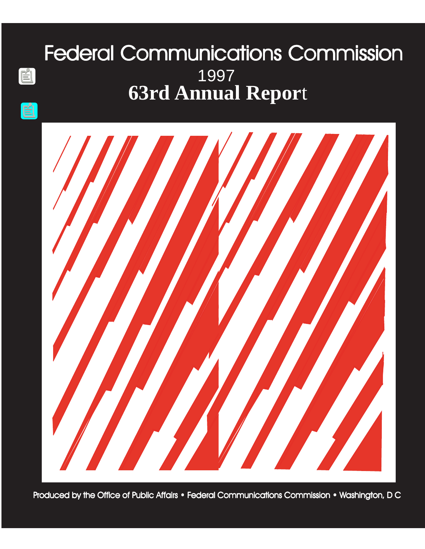# Federal Communications Commission **63rd Annual Repor**t 1997

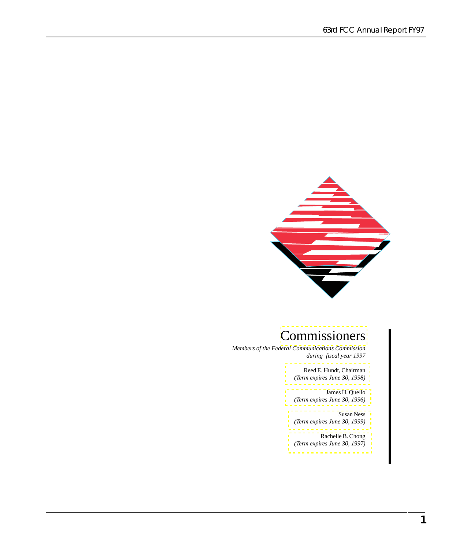63rd FCC Annual Report FY97



### [Commissioners](#page-5-0)

*Members of the Federal Communications Commission during fiscal year 1997*

> [Reed E. Hundt, Chairman](#page-6-0) *(Term expires June 30, 1998)*

> [James H. Quello](#page-6-0) *(Term expires June 30, 1996)*

> Susan Ness *(Term expires June 30, 1999)*

Rachelle B. Chong *(Term expires June 30, 1997)*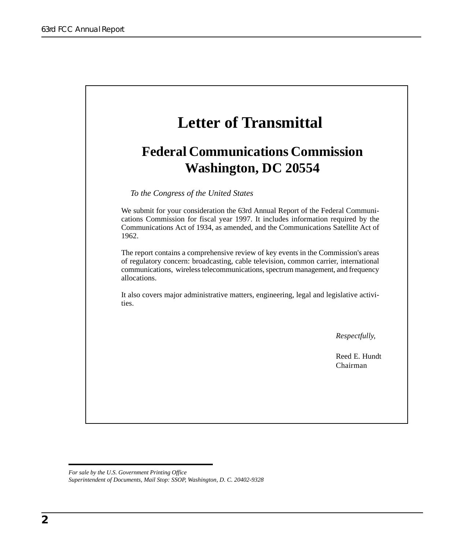

*For sale by the U.S. Government Printing Office Superintendent of Documents, Mail Stop: SSOP, Washington, D. C. 20402-9328*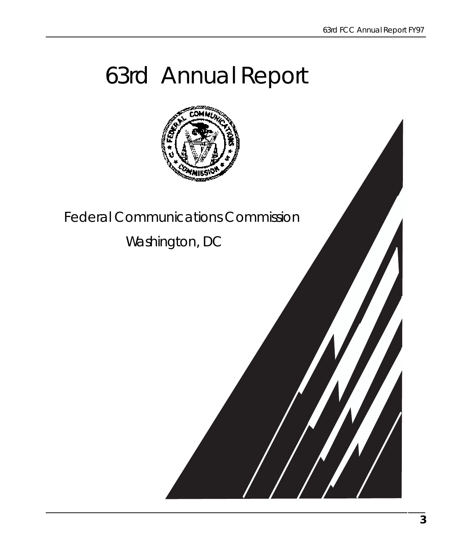# 63rd Annual Report



Federal Communications Commission

Washington, DC

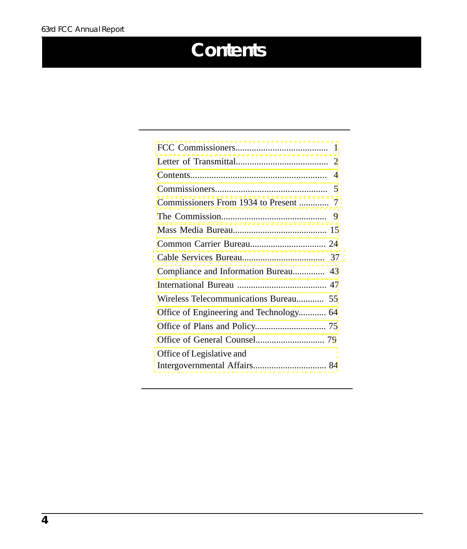# **Contents**

| Compliance and Information Bureau 43    |
|-----------------------------------------|
|                                         |
|                                         |
| Office of Engineering and Technology 64 |
|                                         |
|                                         |
| Office of Legislative and               |
|                                         |
|                                         |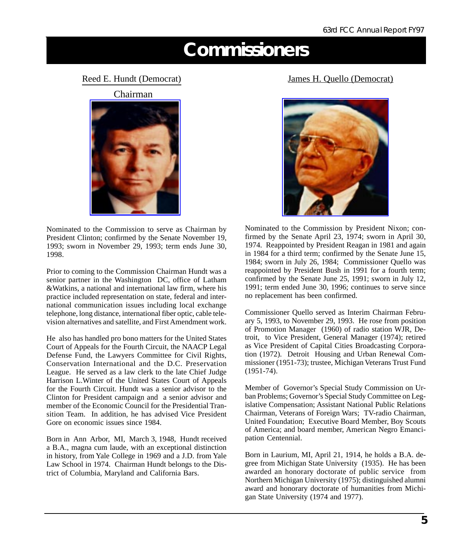## **Commissioners**

#### <span id="page-5-0"></span>R[eed E. Hundt \(Democrat\)](http://www.fcc.gov/commissioners/previous/welcome.html#hundt)

Chairman



Nominated to the Commission to serve as Chairman by President Clinton; confirmed by the Senate November 19, 1993; sworn in November 29, 1993; term ends June 30, 1998.

Prior to coming to the Commission Chairman Hundt was a senior partner in the Washington DC, office of Latham &Watkins, a national and international law firm, where his practice included representation on state, federal and international communication issues including local exchange telephone, long distance, international fiber optic, cable television alternatives and satellite, and First Amendment work.

He also has handled pro bono matters for the United States Court of Appeals for the Fourth Circuit, the NAACP Legal Defense Fund, the Lawyers Committee for Civil Rights, Conservation International and the D.C. Preservation League. He served as a law clerk to the late Chief Judge Harrison L.Winter of the United States Court of Appeals for the Fourth Circuit. Hundt was a senior advisor to the Clinton for President campaign and a senior advisor and member of the Economic Council for the Presidential Transition Team. In addition, he has advised Vice President Gore on economic issues since 1984.

Born in Ann Arbor, MI, March 3, 1948, Hundt received a B.A., magna cum laude, with an exceptional distinction in history, from Yale College in 1969 and a J.D. from Yale Law School in 1974. Chairman Hundt belongs to the District of Columbia, Maryland and California Bars.

#### [James H. Quello \(Democrat](http://www.fcc.gov/commissioners/previous/welcome.html#quello))



Nominated to the Commission by President Nixon; confirmed by the Senate April 23, 1974; sworn in April 30, 1974. Reappointed by President Reagan in 1981 and again in 1984 for a third term; confirmed by the Senate June 15, 1984; sworn in July 26, 1984; Commissioner Quello was reappointed by President Bush in 1991 for a fourth term; confirmed by the Senate June 25, 1991; sworn in July 12, 1991; term ended June 30, 1996; continues to serve since no replacement has been confirmed.

Commissioner Quello served as Interim Chairman February 5, 1993, to November 29, 1993. He rose from position of Promotion Manager (1960) of radio station WJR, Detroit, to Vice President, General Manager (1974); retired as Vice President of Capital Cities Broadcasting Corporation (1972). Detroit Housing and Urban Renewal Commissioner (1951-73); trustee, Michigan Veterans Trust Fund (1951-74).

Member of Governor's Special Study Commission on Urban Problems; Governor's Special Study Committee on Legislative Compensation; Assistant National Public Relations Chairman, Veterans of Foreign Wars; TV-radio Chairman, United Foundation; Executive Board Member, Boy Scouts of America; and board member, American Negro Emancipation Centennial.

Born in Laurium, MI, April 21, 1914, he holds a B.A. degree from Michigan State University (1935). He has been awarded an honorary doctorate of public service from Northern Michigan University (1975); distinguished alumni award and honorary doctorate of humanities from Michigan State University (1974 and 1977).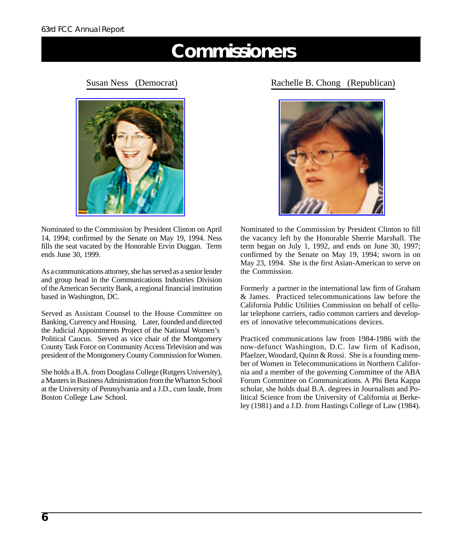## **Commissioners**

<span id="page-6-0"></span>[Susan Ness \(Democrat\)](http://www.fcc.gov/commissioners/ness/)



Nominated to the Commission by President Clinton on April 14, 1994; confirmed by the Senate on May 19, 1994. Ness fills the seat vacated by the Honorable Ervin Duggan. Term ends June 30, 1999.

As a communications attorney, she has served as a senior lender and group head in the Communications Industries Division of the American Security Bank, a regional financial institution based in Washington, DC.

Served as Assistant Counsel to the House Committee on Banking, Currency and Housing. Later, founded and directed the Judicial Appointments Project of the National Women's Political Caucus. Served as vice chair of the Montgomery County Task Force on Community Access Television and was president of the Montgomery County Commission for Women.

She holds a B.A. from Douglass College (Rutgers University), a Masters in Business Administration from the Wharton School at the University of Pennsylvania and a J.D., cum laude, from Boston College Law School.

R[achelle B. Chong \(Republica](http://www.fcc.gov/commissioners/previous/welcome.html#chong)n)



Nominated to the Commission by President Clinton to fill the vacancy left by the Honorable Sherrie Marshall. The term began on July 1, 1992, and ends on June 30, 1997; confirmed by the Senate on May 19, 1994; sworn in on May 23, 1994. She is the first Asian-American to serve on the Commission.

Formerly a partner in the international law firm of Graham & James. Practiced telecommunications law before the California Public Utilities Commission on behalf of cellular telephone carriers, radio common carriers and developers of innovative telecommunications devices.

Practiced communications law from 1984-1986 with the now-defunct Washington, D.C. law firm of Kadison, Pfaelzer, Woodard, Quinn & Rossi. She is a founding member of Women in Telecommunications in Northern California and a member of the governing Committee of the ABA Forum Committee on Communications. A Phi Beta Kappa scholar, she holds dual B.A. degrees in Journalism and Political Science from the University of California at Berkeley (1981) and a J.D. from Hastings College of Law (1984).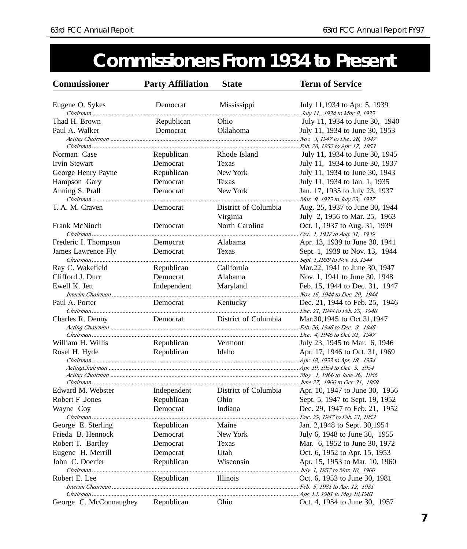## **Commissioners From 1934 to Present**

<span id="page-7-0"></span>

| <b>Commissioner</b>    | <b>Party Affiliation</b> | <b>State</b>                  | <b>Term of Service</b>          |
|------------------------|--------------------------|-------------------------------|---------------------------------|
| Eugene O. Sykes        | Democrat                 | Mississippi                   | July 11,1934 to Apr. 5, 1939    |
| Thad H. Brown          | Republican               | Ohio                          | July 11, 1934 to June 30, 1940  |
| Paul A. Walker         | Democrat                 | Oklahoma                      | July 11, 1934 to June 30, 1953  |
|                        |                          |                               |                                 |
|                        |                          |                               |                                 |
| Norman Case            | Republican               | Rhode Island                  | July 11, 1934 to June 30, 1945  |
| <b>Irvin Stewart</b>   | Democrat                 | Texas                         | July 11, 1934 to June 30, 1937  |
| George Henry Payne     | Republican               | New York                      | July 11, 1934 to June 30, 1943  |
| Hampson Gary           | Democrat                 | Texas                         | July 11, 1934 to Jan. 1, 1935   |
| Anning S. Prall        | Democrat                 | New York                      | Jan. 17, 1935 to July 23, 1937  |
|                        |                          |                               | Mar. 9, 1935 to July 23, 1937   |
| T. A. M. Craven        | Democrat                 | District of Columbia          | Aug. 25, 1937 to June 30, 1944  |
|                        |                          | Virginia                      | July 2, 1956 to Mar. 25, 1963   |
| Frank McNinch          | Democrat                 | North Carolina                | Oct. 1, 1937 to Aug. 31, 1939   |
|                        |                          |                               | Oct. 1, 1937 to Aug. 31, 1939   |
| Frederic I. Thompson   | Democrat                 | Alabama                       | Apr. 13, 1939 to June 30, 1941  |
| James Lawrence Fly     | Democrat                 | Texas                         | Sept. 1, 1939 to Nov. 13, 1944  |
|                        |                          |                               |                                 |
| Ray C. Wakefield       | Republican               | California                    | Mar.22, 1941 to June 30, 1947   |
| Clifford J. Durr       | Democrat                 | Alabama                       | Nov. 1, 1941 to June 30, 1948   |
| Ewell K. Jett          | Independent              | Maryland                      | Feb. 15, 1944 to Dec. 31, 1947  |
|                        |                          |                               |                                 |
| Paul A. Porter         | Democrat                 | Kentucky                      | Dec. 21, 1944 to Feb. 25, 1946  |
| Charles R. Denny       |                          | Democrat District of Columbia | Mar.30,1945 to Oct.31,1947      |
|                        |                          |                               |                                 |
|                        |                          |                               |                                 |
| William H. Willis      | Republican               | Vermont                       | July 23, 1945 to Mar. 6, 1946   |
| Rosel H. Hyde          | Republican               | Idaho                         | Apr. 17, 1946 to Oct. 31, 1969  |
|                        |                          |                               |                                 |
|                        |                          |                               |                                 |
|                        |                          |                               |                                 |
| Edward M. Webster      | Independent              | District of Columbia          | Apr. 10, 1947 to June 30, 1956  |
| Robert F .Jones        | Republican               | Ohio                          | Sept. 5, 1947 to Sept. 19, 1952 |
| Wayne Coy              | Democrat                 | Indiana                       | Dec. 29, 1947 to Feb. 21, 1952  |
|                        |                          |                               | Dec. 29, 1947 to Feb. 21, 1952  |
| George E. Sterling     | Republican               | Maine                         | Jan. 2,1948 to Sept. 30,1954    |
| Frieda B. Hennock      | Democrat                 | New York                      | July 6, 1948 to June 30, 1955   |
| Robert T. Bartley      | Democrat                 | Texas                         | Mar. 6, 1952 to June 30, 1972   |
| Eugene H. Merrill      | Democrat                 | Utah                          | Oct. 6, 1952 to Apr. 15, 1953   |
| John C. Doerfer        | Republican               | Wisconsin                     | Apr. 15, 1953 to Mar. 10, 1960  |
|                        |                          |                               |                                 |
| Robert E. Lee          | Republican               | Illinois                      | Oct. 6, 1953 to June 30, 1981   |
|                        |                          |                               |                                 |
|                        |                          |                               |                                 |
| George C. McConnaughey | Republican               | Ohio                          | Oct. 4, 1954 to June 30, 1957   |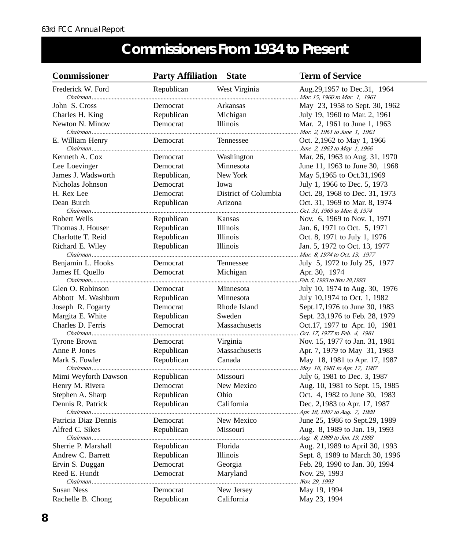## **Commissioners From 1934 to Present**

| <b>Commissioner</b>           | <b>Party Affiliation</b> | <b>State</b>         | <b>Term of Service</b>                                         |
|-------------------------------|--------------------------|----------------------|----------------------------------------------------------------|
| Frederick W. Ford             | Republican               | West Virginia        | Aug.29,1957 to Dec.31, 1964<br>Mar. 15, 1960 to Mar. 1, 1961   |
| John S. Cross                 | Democrat                 | Arkansas             | May 23, 1958 to Sept. 30, 1962                                 |
| Charles H. King               | Republican               | Michigan             | July 19, 1960 to Mar. 2, 1961                                  |
| Newton N. Minow               | Democrat                 | Illinois             | Mar. 2, 1961 to June 1, 1963<br>Mar. 2, 1961 to June 1, 1963   |
| E. William Henry              | Democrat                 | Tennessee            | Oct. 2,1962 to May 1, 1966                                     |
| Kenneth A. Cox                | Democrat                 | Washington           | Mar. 26, 1963 to Aug. 31, 1970                                 |
| Lee Loevinger                 | Democrat                 | Minnesota            | June 11, 1963 to June 30, 1968                                 |
| James J. Wadsworth            | Republican,              | New York             | May 5,1965 to Oct.31,1969                                      |
| Nicholas Johnson              | Democrat                 | Iowa                 | July 1, 1966 to Dec. 5, 1973                                   |
| H. Rex Lee                    | Democrat                 | District of Columbia | Oct. 28, 1968 to Dec. 31, 1973                                 |
| Dean Burch                    | Republican               | Arizona              | Oct. 31, 1969 to Mar. 8, 1974<br>Oct. 31, 1969 to Mar. 8, 1974 |
| Robert Wells                  | Republican               | Kansas               | Nov. 6, 1969 to Nov. 1, 1971                                   |
| Thomas J. Houser              | Republican               | Illinois             | Jan. 6, 1971 to Oct. 5, 1971                                   |
| Charlotte T. Reid             | Republican               | Illinois             | Oct. 8, 1971 to July 1, 1976                                   |
| Richard E. Wiley              | Republican               | Illinois             | Jan. 5, 1972 to Oct. 13, 1977<br>Mar. 8, 1974 to Oct. 13, 1977 |
| Benjamin L. Hooks             | Democrat                 | Tennessee            | July 5, 1972 to July 25, 1977                                  |
| James H. Quello               | Democrat                 | Michigan             | Apr. 30, 1974<br>Feb. 5, 1993 to Nov 28,1993.                  |
| Glen O. Robinson              | Democrat                 | Minnesota            | July 10, 1974 to Aug. 30, 1976                                 |
| Abbott M. Washburn            | Republican               | Minnesota            | July 10,1974 to Oct. 1, 1982                                   |
| Joseph R. Fogarty             | Democrat                 | Rhode Island         | Sept.17,1976 to June 30, 1983                                  |
| Margita E. White              | Republican               | Sweden               | Sept. 23,1976 to Feb. 28, 1979                                 |
| Charles D. Ferris             | Democrat                 | Massachusetts        | Oct.17, 1977 to Apr. 10, 1981<br>Oct. 17, 1977 to Feb. 4, 1981 |
| Tyrone Brown                  | Democrat                 | Virginia             | Nov. 15, 1977 to Jan. 31, 1981                                 |
| Anne P. Jones                 | Republican               | Massachusetts        | Apr. 7, 1979 to May 31, 1983                                   |
| Mark S. Fowler                | Republican               | Canada               | May 18, 1981 to Apr. 17, 1987<br>May 18, 1981 to Apr. 17, 1987 |
| Mimi Weyforth Dawson          | Republican               | <b>Missouri</b>      | July 6, 1981 to Dec. 3, 1987                                   |
| Henry M. Rivera               | Democrat                 | New Mexico           | Aug. 10, 1981 to Sept. 15, 1985                                |
| Stephen A. Sharp              | Republican               | Ohio                 | Oct. 4, 1982 to June 30, 1983                                  |
| Dennis R. Patrick<br>Chairman | Republican               | California           | Dec. 2,1983 to Apr. 17, 1987<br>Apr. 18, 1987 to Aug. 7, 1989  |
| Patricia Diaz Dennis          | Democrat                 | New Mexico           | June 25, 1986 to Sept.29, 1989                                 |
| Alfred C. Sikes               | Republican               | Missouri             | Aug. 8, 1989 to Jan. 19, 1993<br>Aug. 8, 1989 to Jan. 19, 1993 |
| Sherrie P. Marshall           | Republican               | Florida              | Aug. 21,1989 to April 30, 1993                                 |
| Andrew C. Barrett             | Republican               | Illinois             | Sept. 8, 1989 to March 30, 1996                                |
| Ervin S. Duggan               | Democrat                 | Georgia              | Feb. 28, 1990 to Jan. 30, 1994                                 |
| Reed E. Hundt                 | Democrat                 | Maryland             | Nov. 29, 1993<br>Nov. 29, 1993                                 |
| <b>Susan Ness</b>             | Democrat                 | New Jersey           | May 19, 1994                                                   |
| Rachelle B. Chong             | Republican               | California           | May 23, 1994                                                   |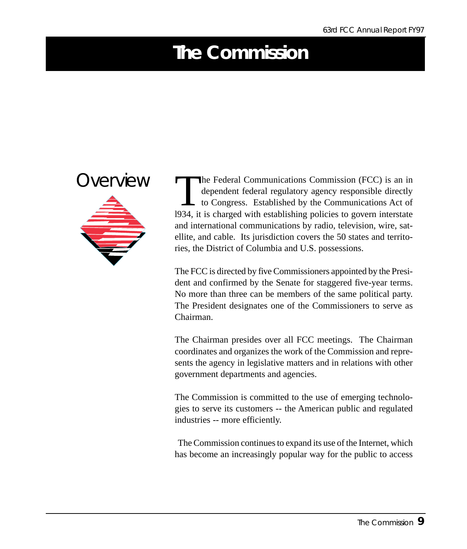## <span id="page-9-0"></span>**The Commission**



The Federal Communications Commission (FCC) is an in<br>dependent federal regulatory agency responsible directly<br>to Congress. Established by the Communications Act of<br>1934 it is charged with establishing policies to govern in dependent federal regulatory agency responsible directly to Congress. Established by the Communications Act of l934, it is charged with establishing policies to govern interstate and international communications by radio, television, wire, satellite, and cable. Its jurisdiction covers the 50 states and territories, the District of Columbia and U.S. possessions.

The FCC is directed by five Commissioners appointed by the President and confirmed by the Senate for staggered five-year terms. No more than three can be members of the same political party. The President designates one of the Commissioners to serve as Chairman.

The Chairman presides over all FCC meetings. The Chairman coordinates and organizes the work of the Commission and represents the agency in legislative matters and in relations with other government departments and agencies.

The Commission is committed to the use of emerging technologies to serve its customers -- the American public and regulated industries -- more efficiently.

 The Commission continues to expand its use of the Internet, which has become an increasingly popular way for the public to access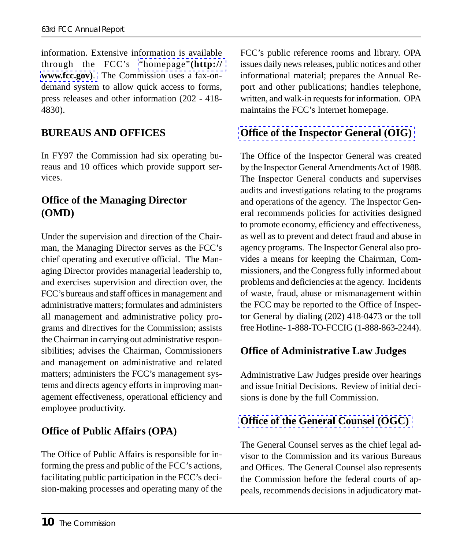information. Extensive information is available through the FCC's "homepage"**(http:// www.fcc.gov)**. The Commission uses a fax-ondemand system to allow quick access to forms, press releases and other information (202 - 418- 4830).

#### **BUREAUS AND OFFICES**

In FY97 the Commission had six operating bureaus and 10 offices which provide support services.

#### **Office of the Managing Director (OMD)**

Under the supervision and direction of the Chairman, the Managing Director serves as the FCC's chief operating and executive official. The Managing Director provides managerial leadership to, and exercises supervision and direction over, the FCC's bureaus and staff offices in management and administrative matters; formulates and administers all management and administrative policy programs and directives for the Commission; assists the Chairman in carrying out administrative responsibilities; advises the Chairman, Commissioners and management on administrative and related matters; administers the FCC's management systems and directs agency efforts in improving management effectiveness, operational efficiency and employee productivity.

#### **Office of Public Affairs (OPA)**

The Office of Public Affairs is responsible for informing the press and public of the FCC's actions, facilitating public participation in the FCC's decision-making processes and operating many of the FCC's public reference rooms and library. OPA issues daily news releases, public notices and other [informational material; prepares the Annual Re](http://www.fcc.gov/oig.html)port and other publications; handles telephone, written, and walk-in requests for information. OPA maintains the FCC's Internet homepage.

#### **Office of the Inspector General (OIG)**

The Office of the Inspector General was created by the Inspector General Amendments Act of 1988. The Inspector General conducts and supervises audits and investigations relating to the programs and operations of the agency. The Inspector General recommends policies for activities designed to promote economy, efficiency and effectiveness, as well as to prevent and detect fraud and abuse in agency programs. The Inspector General also provides a means for keeping the Chairman, Commissioners, and the Congress fully informed about problems and deficiencies at the agency. Incidents of waste, fraud, abuse or mismanagement within the FCC may be reported to the Office of Inspector General by dialing (202) 418-0473 or the toll free Hotline- 1-888-TO-FCCIG (1-888-863-2244).

#### **Office of Administrative Law Judges**

[Administrative Law Judges preside over hearin](http://www.fcc.gov/ogc/)gs and issue Initial Decisions. Review of initial decisions is done by the full Commission.

#### **Office of the General Counsel (OGC)**

The General Counsel serves as the chief legal advisor to the Commission and its various Bureaus and Offices. The General Counsel also represents the Commission before the federal courts of appeals, recommends decisions in adjudicatory mat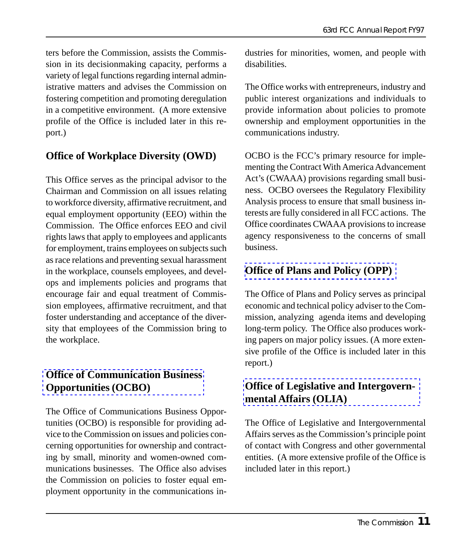ters before the Commission, assists the Commission in its decisionmaking capacity, performs a variety of legal functions regarding internal administrative matters and advises the Commission on fostering competition and promoting deregulation in a competitive environment. (A more extensive profile of the Office is included later in this report.)

#### **Office of Workplace Diversity (OWD)**

This Office serves as the principal advisor to the Chairman and Commission on all issues relating to workforce diversity, affirmative recruitment, and equal employment opportunity (EEO) within the Commission. The Office enforces EEO and civil rights laws that apply to employees and applicants for employment, trains employees on subjects such as race relations and preventing sexual harassment in the workplace, counsels employees, and develops and implements policies and programs that encourage fair and equal treatment of Commission employees, affirmative recruitment, and that foster understanding and acceptance of the diver[sity that employees of the Commission br](http://www.fcc.gov/Bureaus/OCBO/ocbo.html)ing to the workplace.

#### **Office of Communication Business Opportunities (OCBO)**

The Office of Communications Business Opportunities (OCBO) is responsible for providing advice to the Commission on issues and policies concerning opportunities for ownership and contracting by small, minority and women-owned communications businesses. The Office also advises the Commission on policies to foster equal employment opportunity in the communications industries for minorities, women, and people with disabilities.

The Office works with entrepreneurs, industry and public interest organizations and individuals to provide information about policies to promote ownership and employment opportunities in the communications industry.

OCBO is the FCC's primary resource for implementing the Contract With America Advancement Act's (CWAAA) provisions regarding small business. OCBO oversees the Regulatory Flexibility Analysis process to ensure that small business in[terests are fully considered in all FCC actio](http://www.fcc.gov/Bureaus/OPP/)ns. The Office coordinates CWAAA provisions to increase agency responsiveness to the concerns of small business.

#### **Office of Plans and Policy (OPP)**

The Office of Plans and Policy serves as principal economic and technical policy adviser to the Commission, analyzing agenda items and developing [long-term policy. The Office also produces work](http://www.fcc.gov/Bureaus/olia/)ing papers on major policy issues. (A more extensive profile of the Office is included later in this report.)

#### **Office of Legislative and Intergovernmental Affairs (OLIA)**

The Office of Legislative and Intergovernmental Affairs serves as the Commission's principle point of contact with Congress and other governmental entities. (A more extensive profile of the Office is included later in this report.)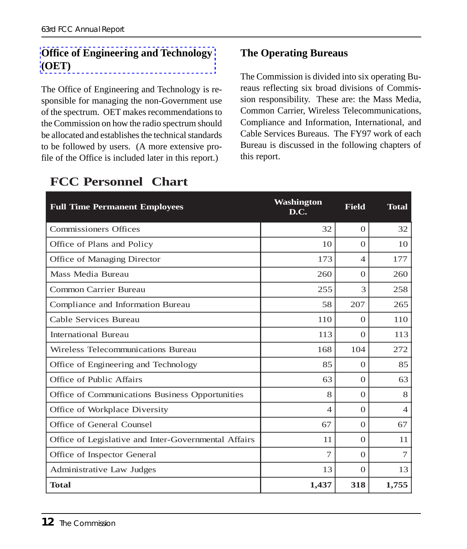#### **Office of Engineering and Technology (OET)**

The Office of Engineering and Technology is responsible for managing the non-Government use of the spectrum. OET makes recommendations to the Commission on how the radio spectrum should be allocated and establishes the technical standards to be followed by users. (A more extensive profile of the Office is included later in this report.)

#### **The Operating Bureaus**

The Commission is divided into six operating Bureaus reflecting six broad divisions of Commission responsibility. These are: the Mass Media, Common Carrier, Wireless Telecommunications, Compliance and Information, International, and Cable Services Bureaus. The FY97 work of each Bureau is discussed in the following chapters of this report.

| <b>Full Time Permanent Employees</b>                 | Washington<br>D.C. | <b>Field</b>   | <b>Total</b> |
|------------------------------------------------------|--------------------|----------------|--------------|
| <b>Commissioners Offices</b>                         | 32                 | $\Omega$       | 32           |
| Office of Plans and Policy                           | 10                 | $\Omega$       | 10           |
| Office of Managing Director                          | 173                | $\overline{4}$ | 177          |
| Mass Media Bureau                                    | 260                | $\Omega$       | 260          |
| <b>Common Carrier Bureau</b>                         | 255                | 3              | 258          |
| Compliance and Information Bureau                    | 58                 | 207            | 265          |
| Cable Services Bureau                                | 110                | $\Omega$       | 110          |
| <b>International Bureau</b>                          | 113                | $\Omega$       | 113          |
| Wireless Telecommunications Bureau                   | 168                | 104            | 272          |
| Office of Engineering and Technology                 | 85                 | $\Omega$       | 85           |
| Office of Public Affairs                             | 63                 | $\Omega$       | 63           |
| Office of Communications Business Opportunities      | 8                  | $\theta$       | 8            |
| Office of Workplace Diversity                        | $\overline{4}$     | $\Omega$       | 4            |
| Office of General Counsel                            | 67                 | $\Omega$       | 67           |
| Office of Legislative and Inter-Governmental Affairs | 11                 | $\Omega$       | 11           |
| Office of Inspector General                          | 7                  | $\Omega$       | $\tau$       |
| Administrative Law Judges                            | 13                 | $\Omega$       | 13           |
| <b>Total</b>                                         | 1,437              | 318            | 1,755        |

### **FCC Personnel Chart**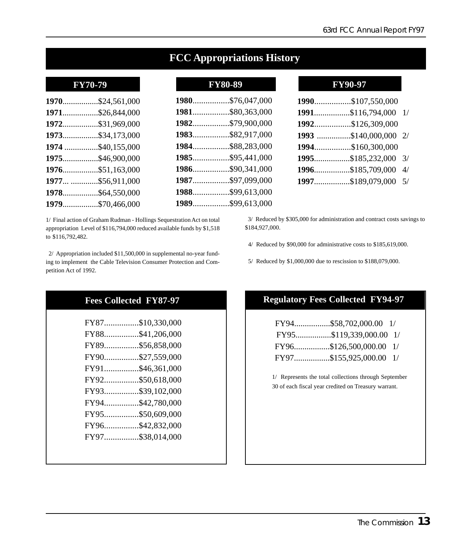|  | <b>FCC Appropriations History</b> |  |
|--|-----------------------------------|--|
|--|-----------------------------------|--|

| 1970\$24,561,000  |
|-------------------|
| 1971\$26,844,000  |
| 1972\$31,969,000  |
| 1973\$34,173,000  |
| 1974 \$40,155,000 |
| 1975\$46,900,000  |
| 1976\$51,163,000  |
| 1977 \$56,911,000 |
| 1978\$64,550,000  |
| 1979\$70,466,000  |
|                   |

1/ Final action of Graham Rudman - Hollings Sequestration Act on total appropriation Level of \$116,794,000 reduced available funds by \$1,518 to \$116,792,482.

 2/ Appropriation included \$11,500,000 in supplemental no-year funding to implement the Cable Television Consumer Protection and Competition Act of 1992.

#### **Fees Collected FY87-97**

| FY87\$10,330,000 |
|------------------|
| FY88\$41,206,000 |
| FY89\$56,858,000 |
| FY90\$27,559,000 |
| FY91\$46,361,000 |
| FY92\$50,618,000 |
| FY93\$39,102,000 |
| FY94\$42,780,000 |
| FY95\$50,609,000 |
| FY96\$42,832,000 |
| FY97\$38,014,000 |
|                  |

#### **FY70-79 FY80-89 FY90-97**

| 1980\$76,047,000 |  |
|------------------|--|
| 1981\$80,363,000 |  |
| 1982\$79,900,000 |  |
| 1983\$82,917,000 |  |
| 1984\$88,283,000 |  |
| 1985\$95,441,000 |  |
| 1986\$90,341,000 |  |
| 1987\$97,099,000 |  |
| 1988\$99,613,000 |  |
| 1989\$99,613,000 |  |

| 1990\$107,550,000     |  |
|-----------------------|--|
| 1991\$116,794,000 1/  |  |
| 1992\$126,309,000     |  |
| 1993 \$140,000,000 2/ |  |
| 1994\$160,300,000     |  |
| 1995\$185,232,000 3/  |  |
| 1996\$185,709,000 4/  |  |
| 1997\$189,079,000 5/  |  |
|                       |  |

 3/ Reduced by \$305,000 for administration and contract costs savings to \$184,927,000.

4/ Reduced by \$90,000 for administrative costs to \$185,619,000.

5/ Reduced by \$1,000,000 due to rescission to \$188,079,000.

#### **Regulatory Fees Collected FY94-97**

| FY94\$58,702,000.00 1/  |  |
|-------------------------|--|
| FY95\$119,339,000.00 1/ |  |
| FY96\$126,500,000.00 1/ |  |
| FY97\$155,925,000.00 1/ |  |

1/ Represents the total collections through September 30 of each fiscal year credited on Treasury warrant.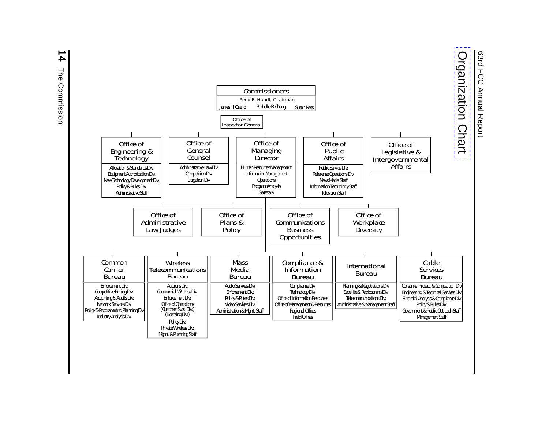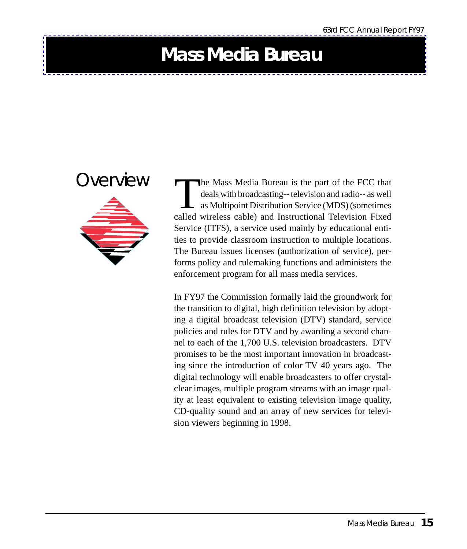## <span id="page-15-0"></span>**Mass Media Bureau**



The Mass Media Bureau is the part of the FCC that deals with broadcasting-- television and radio-- as well as Multipoint Distribution Service (MDS) (sometimes called wireless cable) and Instructional Television Fixed Service (ITFS), a service used mainly by educational entities to provide classroom instruction to multiple locations. The Bureau issues licenses (authorization of service), performs policy and rulemaking functions and administers the enforcement program for all mass media services.

In FY97 the Commission formally laid the groundwork for the transition to digital, high definition television by adopting a digital broadcast television (DTV) standard, service policies and rules for DTV and by awarding a second channel to each of the 1,700 U.S. television broadcasters. DTV promises to be the most important innovation in broadcasting since the introduction of color TV 40 years ago. The digital technology will enable broadcasters to offer crystalclear images, multiple program streams with an image quality at least equivalent to existing television image quality, CD-quality sound and an array of new services for television viewers beginning in 1998.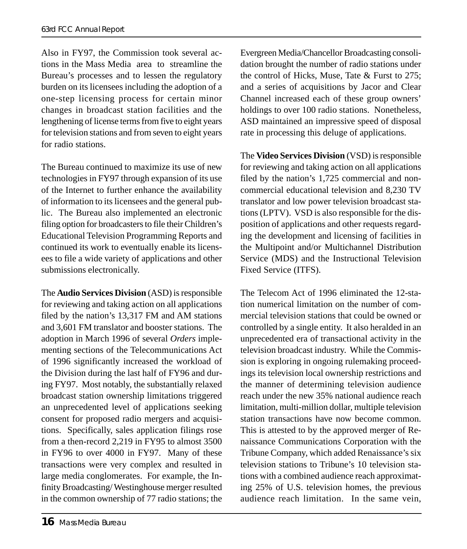Also in FY97, the Commission took several actions in the Mass Media area to streamline the Bureau's processes and to lessen the regulatory burden on its licensees including the adoption of a one-step licensing process for certain minor changes in broadcast station facilities and the lengthening of license terms from five to eight years for television stations and from seven to eight years for radio stations.

The Bureau continued to maximize its use of new technologies in FY97 through expansion of its use of the Internet to further enhance the availability of information to its licensees and the general public. The Bureau also implemented an electronic filing option for broadcasters to file their Children's Educational Television Programming Reports and continued its work to eventually enable its licensees to file a wide variety of applications and other submissions electronically.

The **Audio Services Division** (ASD) is responsible for reviewing and taking action on all applications filed by the nation's 13,317 FM and AM stations and 3,601 FM translator and booster stations. The adoption in March 1996 of several *Orders* implementing sections of the Telecommunications Act of 1996 significantly increased the workload of the Division during the last half of FY96 and during FY97. Most notably, the substantially relaxed broadcast station ownership limitations triggered an unprecedented level of applications seeking consent for proposed radio mergers and acquisitions. Specifically, sales application filings rose from a then-record 2,219 in FY95 to almost 3500 in FY96 to over 4000 in FY97. Many of these transactions were very complex and resulted in large media conglomerates. For example, the Infinity Broadcasting/ Westinghouse merger resulted in the common ownership of 77 radio stations; the

Evergreen Media/Chancellor Broadcasting consolidation brought the number of radio stations under the control of Hicks, Muse, Tate & Furst to 275; and a series of acquisitions by Jacor and Clear Channel increased each of these group owners' holdings to over 100 radio stations. Nonetheless, ASD maintained an impressive speed of disposal rate in processing this deluge of applications.

The **Video Services Division** (VSD) is responsible for reviewing and taking action on all applications filed by the nation's 1,725 commercial and noncommercial educational television and 8,230 TV translator and low power television broadcast stations (LPTV). VSD is also responsible for the disposition of applications and other requests regarding the development and licensing of facilities in the Multipoint and/or Multichannel Distribution Service (MDS) and the Instructional Television Fixed Service (ITFS).

The Telecom Act of 1996 eliminated the 12-station numerical limitation on the number of commercial television stations that could be owned or controlled by a single entity. It also heralded in an unprecedented era of transactional activity in the television broadcast industry. While the Commission is exploring in ongoing rulemaking proceedings its television local ownership restrictions and the manner of determining television audience reach under the new 35% national audience reach limitation, multi-million dollar, multiple television station transactions have now become common. This is attested to by the approved merger of Renaissance Communications Corporation with the Tribune Company, which added Renaissance's six television stations to Tribune's 10 television stations with a combined audience reach approximating 25% of U.S. television homes, the previous audience reach limitation. In the same vein,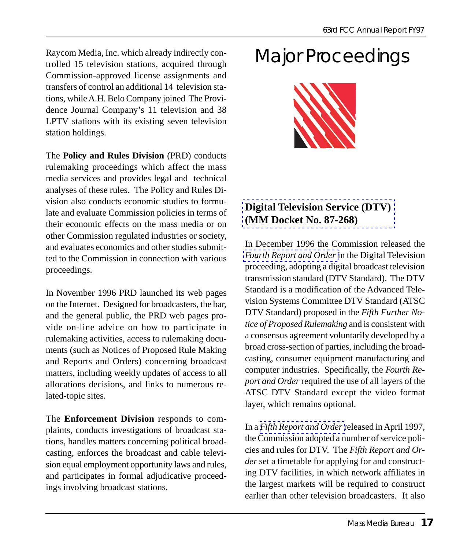Raycom Media, Inc. which already indirectly controlled 15 television stations, acquired through Commission-approved license assignments and transfers of control an additional 14 television stations, while A.H. Belo Company joined The Providence Journal Company's 11 television and 38 LPTV stations with its existing seven television station holdings.

The **Policy and Rules Division** (PRD) conducts rulemaking proceedings which affect the mass media services and provides legal and technical analyses of these rules. The Policy and Rules Division also conducts economic studies to formulate and evaluate Commission policies in terms of their economic effects on the mass media or on other Commission regulated industries or society, and evaluates economics and other studies submitted to the Commission in connection with various proceedings.

In November 1996 PRD launched its web pages on the Internet. Designed for broadcasters, the bar, and the general public, the PRD web pages provide on-line advice on how to participate in rulemaking activities, access to rulemaking documents (such as Notices of Proposed Rule Making and Reports and Orders) concerning broadcast matters, including weekly updates of access to all allocations decisions, and links to numerous related-topic sites.

The **Enforcement Division** responds to complaints, conducts investigations of broadcast stations, handles matters concerning political broadcasting, enforces the broadcast and cable television equal employment opportunity laws and rules, and participates in formal adjudicative proceedings involving broadcast stations.

## Major Proceedings



#### **[Digital Television Ser](http://www.fcc.gov/Bureaus/Mass_Media/Orders/1996/fcc96493.pdf)vice (DTV) (MM Docket No. 87-268)**

In December 1996 the Commission released the *Fourth Report and Order* in the Digital Television proceeding, adopting a digital broadcast television transmission standard (DTV Standard). The DTV Standard is a modification of the Advanced Television Systems Committee DTV Standard (ATSC DTV Standard) proposed in the *Fifth Further Notice of Proposed Rulemaking* and is consistent with a consensus agreement voluntarily developed by a broad cross-section of parties, including the broadcasting, consumer equipment manufacturing and co[mputer industries. Speci](http://www.fcc.gov/Bureaus/Mass_Media/Orders/1997/fcc97116.html)fically, the *Fourth Report and Order* required the use of all layers of the ATSC DTV Standard except the video format layer, which remains optional.

In a *Fifth Report and Order* released in April 1997, the Commission adopted a number of service policies and rules for DTV. The *Fifth Report and Order* set a timetable for applying for and constructing DTV facilities, in which network affiliates in the largest markets will be required to construct earlier than other television broadcasters. It also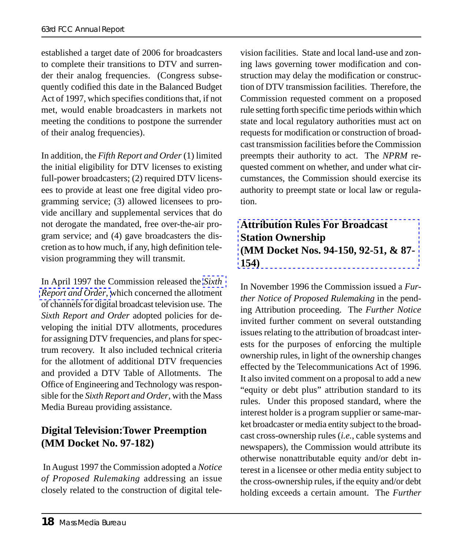established a target date of 2006 for broadcasters to complete their transitions to DTV and surrender their analog frequencies. (Congress subsequently codified this date in the Balanced Budget Act of 1997, which specifies conditions that, if not met, would enable broadcasters in markets not meeting the conditions to postpone the surrender of their analog frequencies).

In addition, the *Fifth Report and Order* (1) limited the initial eligibility for DTV licenses to existing full-power broadcasters; (2) required DTV licensees to provide at least one free digital video programming service; (3) allowed licensees to provide ancillary and supplemental services that do not derogate the mandated, free over-the-ai[r pro](http://www.fcc.gov/Bureaus/Engineering_Technology/Orders/1997/fcc97115.html)[gram service; and](http://www.fcc.gov/Bureaus/Engineering_Technology/Orders/1997/fcc97115.html) (4) gave broadcasters the discretion as to how much, if any, high definition television programming they will transmit.

In April 1997 the Commission released the *Sixth Report and Order*, which concerned the allotment of channels for digital broadcast television use. The *Sixth Report and Order* adopted policies for developing the initial DTV allotments, procedures for assigning DTV frequencies, and plans for spectrum recovery. It also included technical criteria for the allotment of additional DTV frequencies and provided a DTV Table of Allotments. The Office of Engineering and Technology was responsible for the *Sixth Report and Order*, with the Mass Media Bureau providing assistance.

#### **Digital Television:Tower Preemption (MM Docket No. 97-182)**

 In August 1997 the Commission adopted a *Notice of Proposed Rulemaking* addressing an issue closely related to the construction of digital television facilities. State and local land-use and zoning laws governing tower modification and construction may delay the modification or construction of DTV transmission facilities. Therefore, the Commission requested comment on a proposed rule setting forth specific time periods within which state and local regulatory authorities must act on requests for modification or construction of broadcast transmission facilities before the Commission preempts their authority to act. The *NPRM* requested comment on whether, and under what cir[cumstances, the Commission should exercise its](http://www.fcc.gov/mmb/prd/own.html#ATTRIB) authority to preempt state or local law or regulation.

#### **Attribution Rules For Broadcast Station Ownership (MM Docket Nos. 94-150, 92-51, & 87- 154)**

In November 1996 the Commission issued a *Further Notice of Proposed Rulemaking* in the pending Attribution proceeding. The *Further Notice* invited further comment on several outstanding issues relating to the attribution of broadcast interests for the purposes of enforcing the multiple ownership rules, in light of the ownership changes effected by the Telecommunications Act of 1996. It also invited comment on a proposal to add a new "equity or debt plus" attribution standard to its rules. Under this proposed standard, where the interest holder is a program supplier or same-market broadcaster or media entity subject to the broadcast cross-ownership rules (*i.e.*, cable systems and newspapers), the Commission would attribute its otherwise nonattributable equity and/or debt interest in a licensee or other media entity subject to the cross-ownership rules, if the equity and/or debt holding exceeds a certain amount. The *Further*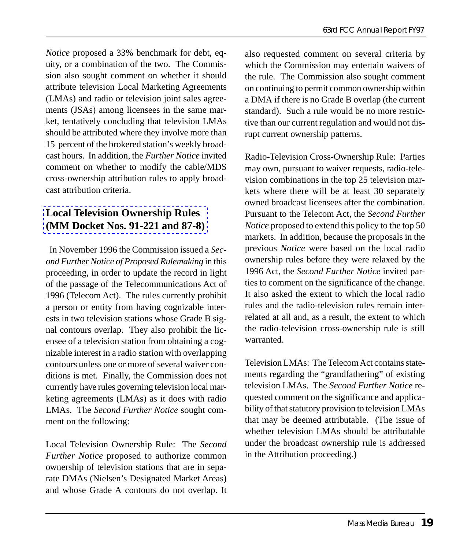*Notice* proposed a 33% benchmark for debt, equity, or a combination of the two. The Commission also sought comment on whether it should attribute television Local Marketing Agreements (LMAs) and radio or television joint sales agreements (JSAs) among licensees in the same market, tentatively concluding that television LMAs should be attributed where they involve more than 15 percent of the brokered station's weekly broadcast hours. In addition, the *Further Notice* invited [comment on whether to modify the cable/M](http://www.fcc.gov/mmb/prd/own.html#LOCAL)DS cross-ownership attribution rules to apply broadcast attribution criteria.

#### **Local Television Ownership Rules (MM Docket Nos. 91-221 and 87-8)**

 In November 1996 the Commission issued a *Second Further Notice of Proposed Rulemaking* in this proceeding, in order to update the record in light of the passage of the Telecommunications Act of 1996 (Telecom Act). The rules currently prohibit a person or entity from having cognizable interests in two television stations whose Grade B signal contours overlap. They also prohibit the licensee of a television station from obtaining a cognizable interest in a radio station with overlapping contours unless one or more of several waiver conditions is met. Finally, the Commission does not currently have rules governing television local marketing agreements (LMAs) as it does with radio LMAs. The *Second Further Notice* sought comment on the following:

Local Television Ownership Rule: The *Second Further Notice* proposed to authorize common ownership of television stations that are in separate DMAs (Nielsen's Designated Market Areas) and whose Grade A contours do not overlap. It

also requested comment on several criteria by which the Commission may entertain waivers of the rule. The Commission also sought comment on continuing to permit common ownership within a DMA if there is no Grade B overlap (the current standard). Such a rule would be no more restrictive than our current regulation and would not disrupt current ownership patterns.

Radio-Television Cross-Ownership Rule: Parties may own, pursuant to waiver requests, radio-television combinations in the top 25 television markets where there will be at least 30 separately owned broadcast licensees after the combination. Pursuant to the Telecom Act, the *Second Further Notice* proposed to extend this policy to the top 50 markets. In addition, because the proposals in the previous *Notice* were based on the local radio ownership rules before they were relaxed by the 1996 Act, the *Second Further Notice* invited parties to comment on the significance of the change. It also asked the extent to which the local radio rules and the radio-television rules remain interrelated at all and, as a result, the extent to which the radio-television cross-ownership rule is still warranted.

Television LMAs: The Telecom Act contains statements regarding the "grandfathering" of existing television LMAs. The *Second Further Notice* requested comment on the significance and applicability of that statutory provision to television LMAs that may be deemed attributable. (The issue of whether television LMAs should be attributable under the broadcast ownership rule is addressed in the Attribution proceeding.)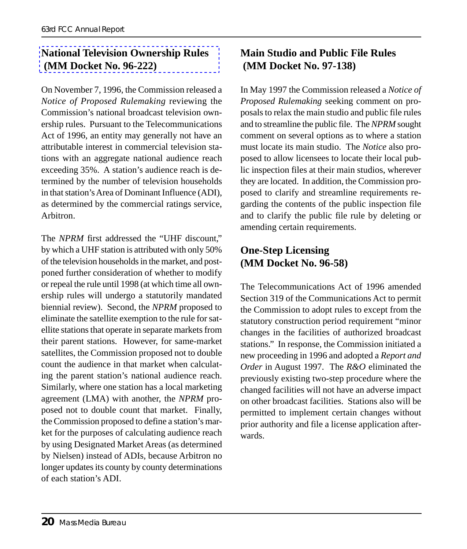#### **National Television Ownership Rules (MM Docket No. 96-222)**

On November 7, 1996, the Commission released a *Notice of Proposed Rulemaking* reviewing the Commission's national broadcast television ownership rules. Pursuant to the Telecommunications Act of 1996, an entity may generally not have an attributable interest in commercial television stations with an aggregate national audience reach exceeding 35%. A station's audience reach is determined by the number of television households in that station's Area of Dominant Influence (ADI), as determined by the commercial ratings service, Arbitron.

The *NPRM* first addressed the "UHF discount," by which a UHF station is attributed with only 50% of the television households in the market, and postponed further consideration of whether to modify or repeal the rule until 1998 (at which time all ownership rules will undergo a statutorily mandated biennial review). Second, the *NPRM* proposed to eliminate the satellite exemption to the rule for satellite stations that operate in separate markets from their parent stations. However, for same-market satellites, the Commission proposed not to double count the audience in that market when calculating the parent station's national audience reach. Similarly, where one station has a local marketing agreement (LMA) with another, the *NPRM* proposed not to double count that market. Finally, the Commission proposed to define a station's market for the purposes of calculating audience reach by using Designated Market Areas (as determined by Nielsen) instead of ADIs, because Arbitron no longer updates its county by county determinations of each station's ADI.

#### **Main Studio and Public File Rules (MM Docket No. 97-138)**

In May 1997 the Commission released a *Notice of Proposed Rulemaking* seeking comment on proposals to relax the main studio and public file rules and to streamline the public file. The *NPRM* sought comment on several options as to where a station must locate its main studio. The *Notice* also proposed to allow licensees to locate their local public inspection files at their main studios, wherever they are located. In addition, the Commission proposed to clarify and streamline requirements regarding the contents of the public inspection file and to clarify the public file rule by deleting or amending certain requirements.

#### **One-Step Licensing (MM Docket No. 96-58)**

The Telecommunications Act of 1996 amended Section 319 of the Communications Act to permit the Commission to adopt rules to except from the statutory construction period requirement "minor changes in the facilities of authorized broadcast stations." In response, the Commission initiated a new proceeding in 1996 and adopted a *Report and Order* in August 1997. The *R&O* eliminated the previously existing two-step procedure where the changed facilities will not have an adverse impact on other broadcast facilities. Stations also will be permitted to implement certain changes without prior authority and file a license application afterwards.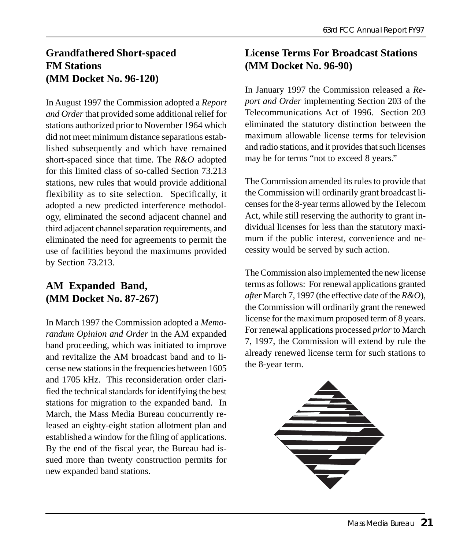#### **Grandfathered Short-spaced FM Stations (MM Docket No. 96-120)**

In August 1997 the Commission adopted a *Report and Order* that provided some additional relief for stations authorized prior to November 1964 which did not meet minimum distance separations established subsequently and which have remained short-spaced since that time. The *R&O* adopted for this limited class of so-called Section 73.213 stations, new rules that would provide additional flexibility as to site selection. Specifically, it adopted a new predicted interference methodology, eliminated the second adjacent channel and third adjacent channel separation requirements, and eliminated the need for agreements to permit the use of facilities beyond the maximums provided by Section 73.213.

#### **AM Expanded Band, (MM Docket No. 87-267)**

In March 1997 the Commission adopted a *Memorandum Opinion and Order* in the AM expanded band proceeding, which was initiated to improve and revitalize the AM broadcast band and to license new stations in the frequencies between 1605 and 1705 kHz. This reconsideration order clarified the technical standards for identifying the best stations for migration to the expanded band. In March, the Mass Media Bureau concurrently released an eighty-eight station allotment plan and established a window for the filing of applications. By the end of the fiscal year, the Bureau had issued more than twenty construction permits for new expanded band stations.

#### **License Terms For Broadcast Stations (MM Docket No. 96-90)**

In January 1997 the Commission released a *Report and Order* implementing Section 203 of the Telecommunications Act of 1996. Section 203 eliminated the statutory distinction between the maximum allowable license terms for television and radio stations, and it provides that such licenses may be for terms "not to exceed 8 years."

The Commission amended its rules to provide that the Commission will ordinarily grant broadcast licenses for the 8-year terms allowed by the Telecom Act, while still reserving the authority to grant individual licenses for less than the statutory maximum if the public interest, convenience and necessity would be served by such action.

The Commission also implemented the new license terms as follows: For renewal applications granted *after* March 7, 1997 (the effective date of the *R&O*), the Commission will ordinarily grant the renewed license for the maximum proposed term of 8 years. For renewal applications processed *prior* to March 7, 1997, the Commission will extend by rule the already renewed license term for such stations to the 8-year term.

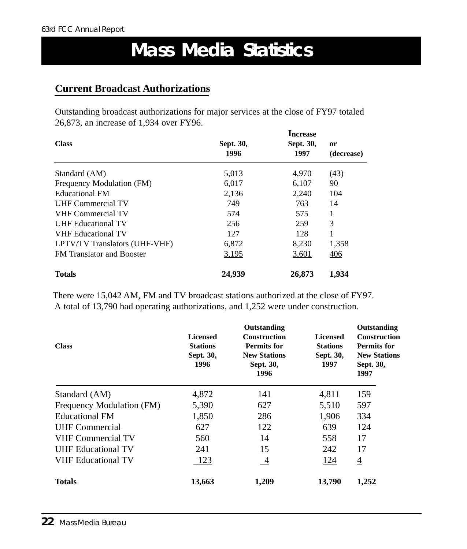## **Mass Media Statistics**

#### **Current Broadcast Authorizations**

Outstanding broadcast authorizations for major services at the close of FY97 totaled 26,873, an increase of 1,934 over FY96.

| <b>Class</b>                     | Sept. 30,<br>1996 | Increase<br>Sept. 30,<br>1997 | <sub>or</sub><br>(decrease) |
|----------------------------------|-------------------|-------------------------------|-----------------------------|
| Standard (AM)                    | 5,013             | 4,970                         | (43)                        |
| Frequency Modulation (FM)        | 6,017             | 6,107                         | 90                          |
| Educational FM                   | 2,136             | 2,240                         | 104                         |
| <b>UHF Commercial TV</b>         | 749               | 763                           | 14                          |
| <b>VHF Commercial TV</b>         | 574               | 575                           | 1                           |
| <b>UHF Educational TV</b>        | 256               | 259                           | 3                           |
| <b>VHF Educational TV</b>        | 127               | 128                           |                             |
| LPTV/TV Translators (UHF-VHF)    | 6,872             | 8,230                         | 1,358                       |
| <b>FM</b> Translator and Booster | 3,195             | <u>3,601</u>                  | 406                         |
| <b>Totals</b>                    | 24,939            | 26,873                        | 1,934                       |

 There were 15,042 AM, FM and TV broadcast stations authorized at the close of FY97. A total of 13,790 had operating authorizations, and 1,252 were under construction.

| <b>Class</b>              | <b>Licensed</b><br><b>Stations</b><br>Sept. 30,<br>1996 | Outstanding<br><b>Construction</b><br><b>Permits for</b><br><b>New Stations</b><br>Sept. 30,<br>1996 | <b>Licensed</b><br><b>Stations</b><br>Sept. 30,<br>1997 | Outstanding<br><b>Construction</b><br><b>Permits for</b><br><b>New Stations</b><br>Sept. 30,<br>1997 |
|---------------------------|---------------------------------------------------------|------------------------------------------------------------------------------------------------------|---------------------------------------------------------|------------------------------------------------------------------------------------------------------|
| Standard (AM)             | 4,872                                                   | 141                                                                                                  | 4,811                                                   | 159                                                                                                  |
| Frequency Modulation (FM) | 5,390                                                   | 627                                                                                                  | 5,510                                                   | 597                                                                                                  |
| <b>Educational FM</b>     | 1,850                                                   | 286                                                                                                  | 1,906                                                   | 334                                                                                                  |
| <b>UHF</b> Commercial     | 627                                                     | 122                                                                                                  | 639                                                     | 124                                                                                                  |
| <b>VHF Commercial TV</b>  | 560                                                     | 14                                                                                                   | 558                                                     | 17                                                                                                   |
| <b>UHF Educational TV</b> | 241                                                     | 15                                                                                                   | 242                                                     | 17                                                                                                   |
| <b>VHF Educational TV</b> | <u>123</u>                                              | $\overline{-4}$                                                                                      | 124                                                     | $\overline{4}$                                                                                       |
| <b>Totals</b>             | 13,663                                                  | 1,209                                                                                                | 13,790                                                  | 1,252                                                                                                |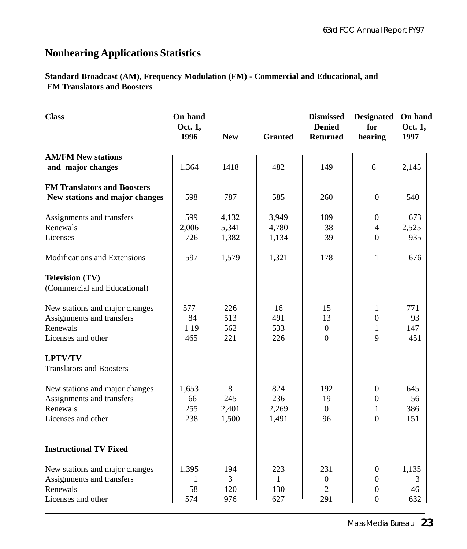### **Nonhearing Applications Statistics**

**Standard Broadcast (AM)**, **Frequency Modulation (FM) - Commercial and Educational, and FM Translators and Boosters**

| <b>Class</b>                                                                                  | On hand<br>Oct. 1,<br>1996 | <b>New</b>                          | <b>Granted</b>                    | <b>Dismissed</b><br><b>Denied</b><br><b>Returned</b> | <b>Designated</b><br>for<br>hearing                                        | On hand<br>Oct. 1,<br>1997 |
|-----------------------------------------------------------------------------------------------|----------------------------|-------------------------------------|-----------------------------------|------------------------------------------------------|----------------------------------------------------------------------------|----------------------------|
| <b>AM/FM New stations</b><br>and major changes                                                | 1,364                      | 1418                                | 482                               | 149                                                  | 6                                                                          | 2,145                      |
| <b>FM Translators and Boosters</b><br>New stations and major changes                          | 598                        | 787                                 | 585                               | 260                                                  | $\boldsymbol{0}$                                                           | 540                        |
| Assignments and transfers<br>Renewals<br>Licenses                                             | 599<br>2,006<br>726        | 4,132<br>5,341<br>1,382             | 3,949<br>4,780<br>1,134           | 109<br>38<br>39                                      | $\boldsymbol{0}$<br>4<br>$\overline{0}$                                    | 673<br>2,525<br>935        |
| Modifications and Extensions                                                                  | 597                        | 1,579                               | 1,321                             | 178                                                  | 1                                                                          | 676                        |
| <b>Television (TV)</b><br>(Commercial and Educational)                                        |                            |                                     |                                   |                                                      |                                                                            |                            |
| New stations and major changes<br>Assignments and transfers<br>Renewals<br>Licenses and other | 577<br>84<br>1 1 9<br>465  | 226<br>513<br>562<br>221            | 16<br>491<br>533<br>226           | 15<br>13<br>$\boldsymbol{0}$<br>$\overline{0}$       | 1<br>$\boldsymbol{0}$<br>1<br>9                                            | 771<br>93<br>147<br>451    |
| <b>LPTV/TV</b><br><b>Translators and Boosters</b>                                             |                            |                                     |                                   |                                                      |                                                                            |                            |
| New stations and major changes<br>Assignments and transfers<br>Renewals<br>Licenses and other | 1,653<br>66<br>255<br>238  | 8<br>245<br>2,401<br>1,500          | 824<br>236<br>2,269<br>1,491      | 192<br>19<br>$\overline{0}$<br>96                    | $\boldsymbol{0}$<br>$\mathbf{0}$<br>$\mathbf{1}$<br>$\overline{0}$         | 645<br>56<br>386<br>151    |
| <b>Instructional TV Fixed</b>                                                                 |                            |                                     |                                   |                                                      |                                                                            |                            |
| New stations and major changes<br>Assignments and transfers<br>Renewals<br>Licenses and other | 1,395<br>1<br>58<br>574    | 194<br>$\overline{3}$<br>120<br>976 | 223<br>$\mathbf{1}$<br>130<br>627 | 231<br>$\boldsymbol{0}$<br>$\overline{2}$<br>291     | $\boldsymbol{0}$<br>$\boldsymbol{0}$<br>$\boldsymbol{0}$<br>$\overline{0}$ | 1,135<br>3<br>46<br>632    |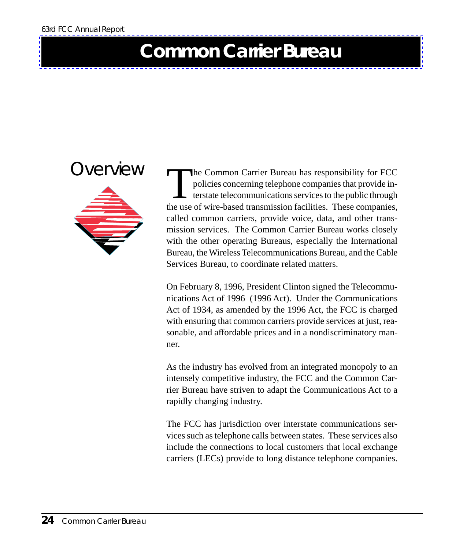## <span id="page-24-0"></span>**Common Carrier Bureau**



The Common Carrier Bureau has responsibility for FCC<br>policies concerning telephone companies that provide in-<br>terstate telecommunications services to the public through<br>the use of wire-based transmission facilities. These policies concerning telephone companies that provide in- $\Box$  terstate telecommunications services to the public through the use of wire-based transmission facilities. These companies, called common carriers, provide voice, data, and other transmission services. The Common Carrier Bureau works closely with the other operating Bureaus, especially the International Bureau, the Wireless Telecommunications Bureau, and the Cable Services Bureau, to coordinate related matters.

On February 8, 1996, President Clinton signed the Telecommunications Act of 1996 (1996 Act). Under the Communications Act of 1934, as amended by the 1996 Act, the FCC is charged with ensuring that common carriers provide services at just, reasonable, and affordable prices and in a nondiscriminatory manner.

As the industry has evolved from an integrated monopoly to an intensely competitive industry, the FCC and the Common Carrier Bureau have striven to adapt the Communications Act to a rapidly changing industry.

The FCC has jurisdiction over interstate communications services such as telephone calls between states. These services also include the connections to local customers that local exchange carriers (LECs) provide to long distance telephone companies.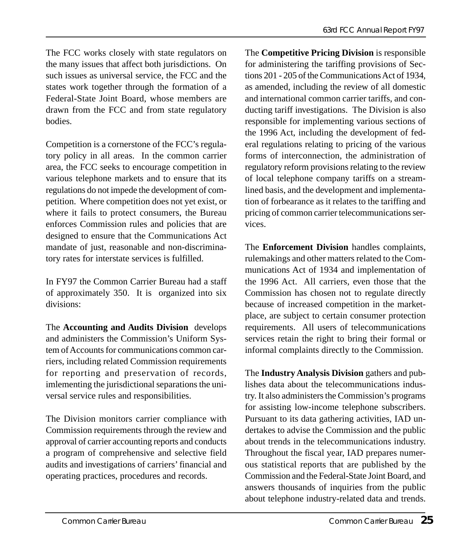The FCC works closely with state regulators on the many issues that affect both jurisdictions. On such issues as universal service, the FCC and the states work together through the formation of a Federal-State Joint Board, whose members are drawn from the FCC and from state regulatory bodies.

Competition is a cornerstone of the FCC's regulatory policy in all areas. In the common carrier area, the FCC seeks to encourage competition in various telephone markets and to ensure that its regulations do not impede the development of competition. Where competition does not yet exist, or where it fails to protect consumers, the Bureau enforces Commission rules and policies that are designed to ensure that the Communications Act mandate of just, reasonable and non-discriminatory rates for interstate services is fulfilled.

In FY97 the Common Carrier Bureau had a staff of approximately 350. It is organized into six divisions:

The **Accounting and Audits Division** develops and administers the Commission's Uniform System of Accounts for communications common carriers, including related Commission requirements for reporting and preservation of records, imlementing the jurisdictional separations the universal service rules and responsibilities.

The Division monitors carrier compliance with Commission requirements through the review and approval of carrier accounting reports and conducts a program of comprehensive and selective field audits and investigations of carriers' financial and operating practices, procedures and records.

The **Competitive Pricing Division** is responsible for administering the tariffing provisions of Sections 201 - 205 of the Communications Act of 1934, as amended, including the review of all domestic and international common carrier tariffs, and conducting tariff investigations. The Division is also responsible for implementing various sections of the 1996 Act, including the development of federal regulations relating to pricing of the various forms of interconnection, the administration of regulatory reform provisions relating to the review of local telephone company tariffs on a streamlined basis, and the development and implementation of forbearance as it relates to the tariffing and pricing of common carrier telecommunications services.

The **Enforcement Division** handles complaints, rulemakings and other matters related to the Communications Act of 1934 and implementation of the 1996 Act. All carriers, even those that the Commission has chosen not to regulate directly because of increased competition in the marketplace, are subject to certain consumer protection requirements. All users of telecommunications services retain the right to bring their formal or informal complaints directly to the Commission.

The **Industry Analysis Division** gathers and publishes data about the telecommunications industry. It also administers the Commission's programs for assisting low-income telephone subscribers. Pursuant to its data gathering activities, IAD undertakes to advise the Commission and the public about trends in the telecommunications industry. Throughout the fiscal year, IAD prepares numerous statistical reports that are published by the Commission and the Federal-State Joint Board, and answers thousands of inquiries from the public about telephone industry-related data and trends.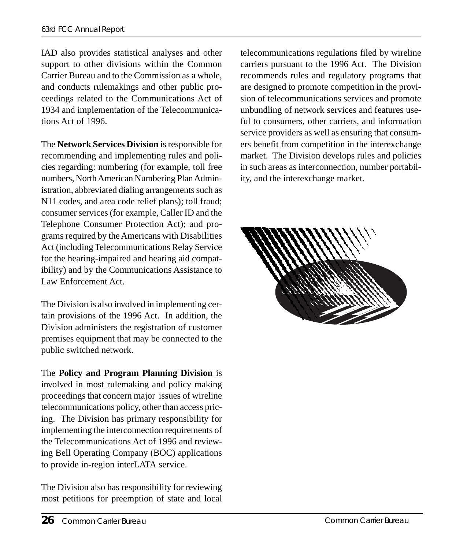IAD also provides statistical analyses and other support to other divisions within the Common Carrier Bureau and to the Commission as a whole, and conducts rulemakings and other public proceedings related to the Communications Act of 1934 and implementation of the Telecommunications Act of 1996.

The **Network Services Division** is responsible for recommending and implementing rules and policies regarding: numbering (for example, toll free numbers, North American Numbering Plan Administration, abbreviated dialing arrangements such as N11 codes, and area code relief plans); toll fraud; consumer services (for example, Caller ID and the Telephone Consumer Protection Act); and programs required by the Americans with Disabilities Act (including Telecommunications Relay Service for the hearing-impaired and hearing aid compatibility) and by the Communications Assistance to Law Enforcement Act.

The Division is also involved in implementing certain provisions of the 1996 Act. In addition, the Division administers the registration of customer premises equipment that may be connected to the public switched network.

The **Policy and Program Planning Division** is involved in most rulemaking and policy making proceedings that concern major issues of wireline telecommunications policy, other than access pricing. The Division has primary responsibility for implementing the interconnection requirements of the Telecommunications Act of 1996 and reviewing Bell Operating Company (BOC) applications to provide in-region interLATA service.

The Division also has responsibility for reviewing most petitions for preemption of state and local

telecommunications regulations filed by wireline carriers pursuant to the 1996 Act. The Division recommends rules and regulatory programs that are designed to promote competition in the provision of telecommunications services and promote unbundling of network services and features useful to consumers, other carriers, and information service providers as well as ensuring that consumers benefit from competition in the interexchange market. The Division develops rules and policies in such areas as interconnection, number portability, and the interexchange market.

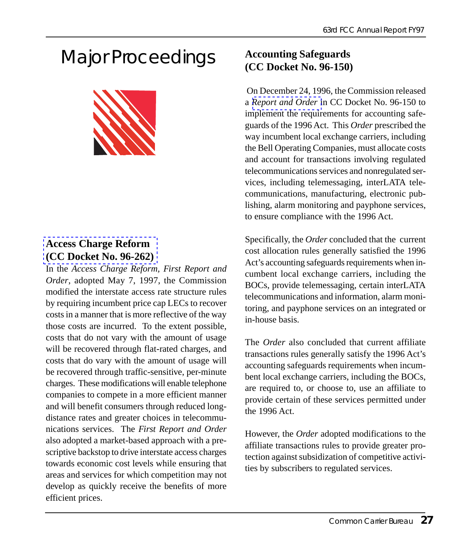## Major Proceedings



#### **Access Charge Reform (CC Docket No. 96-262)**

In the *Access Charge Reform, First Report and Order*, adopted May 7, 1997, the Commission modified the interstate access rate structure rules by requiring incumbent price cap LECs to recover costs in a manner that is more reflective of the way those costs are incurred. To the extent possible, costs that do not vary with the amount of usage will be recovered through flat-rated charges, and costs that do vary with the amount of usage will be recovered through traffic-sensitive, per-minute charges. These modifications will enable telephone companies to compete in a more efficient manner and will benefit consumers through reduced longdistance rates and greater choices in telecommunications services. The *First Report and Order* also adopted a market-based approach with a prescriptive backstop to drive interstate access charges towards economic cost levels while ensuring that areas and services for which competition may not develop as quickly receive the benefits of more efficient prices.

#### **[Accounting Safeg](http://www.fcc.gov/Bureaus/Common_Carrier/Orders/1996/fcc96490.wp)uards (CC Docket No. 96-150)**

 On December 24, 1996, the Commission released a *Report and Order* in CC Docket No. 96-150 to implement the requirements for accounting safeguards of the 1996 Act. This *Order* prescribed the way incumbent local exchange carriers, including the Bell Operating Companies, must allocate costs and account for transactions involving regulated telecommunications services and nonregulated services, including telemessaging, interLATA telecommunications, manufacturing, electronic publishing, alarm monitoring and payphone services, to ensure compliance with the 1996 Act.

Specifically, the *Order* concluded that the current cost allocation rules generally satisfied the 1996 Act's accounting safeguards requirements when incumbent local exchange carriers, including the BOCs, provide telemessaging, certain interLATA telecommunications and information, alarm monitoring, and payphone services on an integrated or in-house basis.

The *Order* also concluded that current affiliate transactions rules generally satisfy the 1996 Act's accounting safeguards requirements when incumbent local exchange carriers, including the BOCs, are required to, or choose to, use an affiliate to provide certain of these services permitted under the 1996 Act.

However, the *Order* adopted modifications to the affiliate transactions rules to provide greater protection against subsidization of competitive activities by subscribers to regulated services.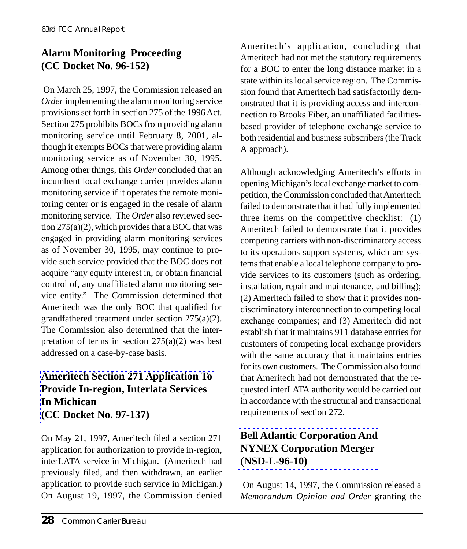#### **Alarm Monitoring Proceeding (CC Docket No. 96-152)**

 On March 25, 1997, the Commission released an *Order* implementing the alarm monitoring service provisions set forth in section 275 of the 1996 Act. Section 275 prohibits BOCs from providing alarm monitoring service until February 8, 2001, although it exempts BOCs that were providing alarm monitoring service as of November 30, 1995. Among other things, this *Order* concluded that an incumbent local exchange carrier provides alarm monitoring service if it operates the remote monitoring center or is engaged in the resale of alarm monitoring service. The *Order* also reviewed section  $275(a)(2)$ , which provides that a BOC that was engaged in providing alarm monitoring services as of November 30, 1995, may continue to provide such service provided that the BOC does not acquire "any equity interest in, or obtain financial control of, any unaffiliated alarm monitoring service entity." The Commission determined that Ameritech was the only BOC that qualified for grandfathered treatment under section 275(a)(2). [The Commission also determined that the inte](http://www.fcc.gov/ccb/ameritech_mi.html)rpretation of terms in section  $275(a)(2)$  was best addressed on a case-by-case basis.

#### **Ameritech Section 271 Application To Provide In-region, Interlata Services In Michican (CC Docket No. 97-137)**

On May 21, 1997, Ameritech filed a section 271 application for authorization to provide in-region, interLATA service in Michigan. (Ameritech had previously filed, and then withdrawn, an earlier application to provide such service in Michigan.) On August 19, 1997, the Commission denied Ameritech's application, concluding that Ameritech had not met the statutory requirements for a BOC to enter the long distance market in a state within its local service region. The Commission found that Ameritech had satisfactorily demonstrated that it is providing access and interconnection to Brooks Fiber, an unaffiliated facilitiesbased provider of telephone exchange service to both residential and business subscribers (the Track A approach).

Although acknowledging Ameritech's efforts in opening Michigan's local exchange market to competition, the Commission concluded that Ameritech failed to demonstrate that it had fully implemented three items on the competitive checklist: (1) Ameritech failed to demonstrate that it provides competing carriers with non-discriminatory access to its operations support systems, which are systems that enable a local telephone company to provide services to its customers (such as ordering, installation, repair and maintenance, and billing); (2) Ameritech failed to show that it provides nondiscriminatory interconnection to competing local exchange companies; and (3) Ameritech did not establish that it maintains 911 database entries for customers of competing local exchange providers with the same accuracy that it maintains entries for its own customers. The Commission also found [that Ameritech had not demonstrated](http://www.fcc.gov/ccb/Mergers/Bell_Atlantic_NYNEX/) that the requested interLATA authority would be carried out in accordance with the structural and transactional requirements of section 272.

#### **Bell Atlantic Corporation And NYNEX Corporation Merger (NSD-L-96-10)**

 On August 14, 1997, the Commission released a *Memorandum Opinion and Order* granting the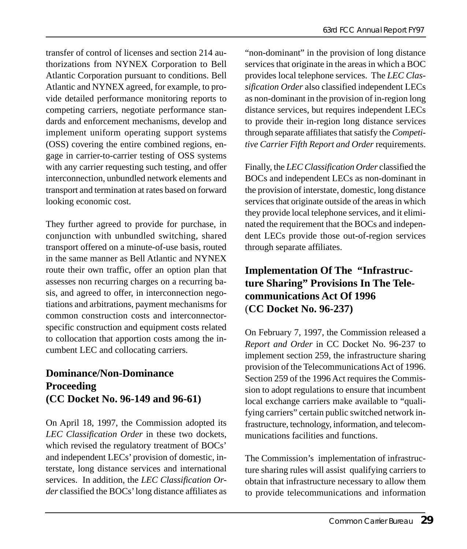transfer of control of licenses and section 214 authorizations from NYNEX Corporation to Bell Atlantic Corporation pursuant to conditions. Bell Atlantic and NYNEX agreed, for example, to provide detailed performance monitoring reports to competing carriers, negotiate performance standards and enforcement mechanisms, develop and implement uniform operating support systems (OSS) covering the entire combined regions, engage in carrier-to-carrier testing of OSS systems with any carrier requesting such testing, and offer interconnection, unbundled network elements and transport and termination at rates based on forward looking economic cost.

They further agreed to provide for purchase, in conjunction with unbundled switching, shared transport offered on a minute-of-use basis, routed in the same manner as Bell Atlantic and NYNEX route their own traffic, offer an option plan that assesses non recurring charges on a recurring basis, and agreed to offer, in interconnection negotiations and arbitrations, payment mechanisms for common construction costs and interconnectorspecific construction and equipment costs related to collocation that apportion costs among the incumbent LEC and collocating carriers.

#### **Dominance/Non-Dominance Proceeding (CC Docket No. 96-149 and 96-61)**

On April 18, 1997, the Commission adopted its *LEC Classification Order* in these two dockets, which revised the regulatory treatment of BOCs' and independent LECs' provision of domestic, interstate, long distance services and international services. In addition, the *LEC Classification Order* classified the BOCs' long distance affiliates as

"non-dominant" in the provision of long distance services that originate in the areas in which a BOC provides local telephone services. The *LEC Classification Order* also classified independent LECs as non-dominant in the provision of in-region long distance services, but requires independent LECs to provide their in-region long distance services through separate affiliates that satisfy the *Competitive Carrier Fifth Report and Order* requirements.

Finally, the *LEC Classification Order* classified the BOCs and independent LECs as non-dominant in the provision of interstate, domestic, long distance services that originate outside of the areas in which they provide local telephone services, and it eliminated the requirement that the BOCs and independent LECs provide those out-of-region services through separate affiliates.

#### **Implementation Of The "Infrastructure Sharing" Provisions In The Telecommunications Act Of 1996** (**CC Docket No. 96-237)**

On February 7, 1997, the Commission released a *Report and Order* in CC Docket No. 96-237 to implement section 259, the infrastructure sharing provision of the Telecommunications Act of 1996. Section 259 of the 1996 Act requires the Commission to adopt regulations to ensure that incumbent local exchange carriers make available to "qualifying carriers" certain public switched network infrastructure, technology, information, and telecommunications facilities and functions.

The Commission's implementation of infrastructure sharing rules will assist qualifying carriers to obtain that infrastructure necessary to allow them to provide telecommunications and information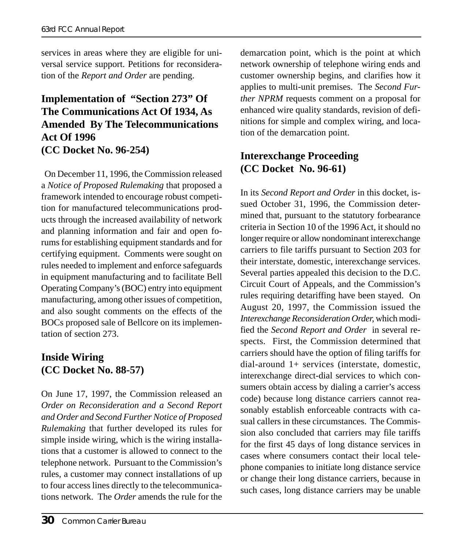services in areas where they are eligible for universal service support. Petitions for reconsideration of the *Report and Order* are pending.

#### **Implementation of "Section 273" Of The Communications Act Of 1934, As Amended By The Telecommunications Act Of 1996 (CC Docket No. 96-254)**

 On December 11, 1996, the Commission released a *Notice of Proposed Rulemaking* that proposed a framework intended to encourage robust competition for manufactured telecommunications products through the increased availability of network and planning information and fair and open forums for establishing equipment standards and for certifying equipment. Comments were sought on rules needed to implement and enforce safeguards in equipment manufacturing and to facilitate Bell Operating Company's (BOC) entry into equipment manufacturing, among other issues of competition, and also sought comments on the effects of the BOCs proposed sale of Bellcore on its implementation of section 273.

#### **Inside Wiring (CC Docket No. 88-57)**

On June 17, 1997, the Commission released an *Order on Reconsideration and a Second Report and Order and Second Further Notice of Proposed Rulemaking* that further developed its rules for simple inside wiring, which is the wiring installations that a customer is allowed to connect to the telephone network. Pursuant to the Commission's rules, a customer may connect installations of up to four access lines directly to the telecommunications network. The *Order* amends the rule for the

demarcation point, which is the point at which network ownership of telephone wiring ends and customer ownership begins, and clarifies how it applies to multi-unit premises. The *Second Further NPRM* requests comment on a proposal for enhanced wire quality standards, revision of definitions for simple and complex wiring, and location of the demarcation point.

#### **Interexchange Proceeding (CC Docket No. 96-61)**

In its *Second Report and Order* in this docket, issued October 31, 1996, the Commission determined that, pursuant to the statutory forbearance criteria in Section 10 of the 1996 Act, it should no longer require or allow nondominant interexchange carriers to file tariffs pursuant to Section 203 for their interstate, domestic, interexchange services. Several parties appealed this decision to the D.C. Circuit Court of Appeals, and the Commission's rules requiring detariffing have been stayed. On August 20, 1997, the Commission issued the *Interexchange Reconsideration Order,* which modified the *Second Report and Order* in several respects. First, the Commission determined that carriers should have the option of filing tariffs for dial-around 1+ services (interstate, domestic, interexchange direct-dial services to which consumers obtain access by dialing a carrier's access code) because long distance carriers cannot reasonably establish enforceable contracts with casual callers in these circumstances. The Commission also concluded that carriers may file tariffs for the first 45 days of long distance services in cases where consumers contact their local telephone companies to initiate long distance service or change their long distance carriers, because in such cases, long distance carriers may be unable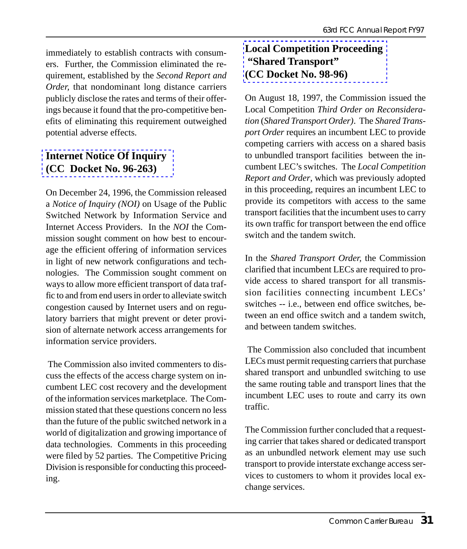immediately to establish contracts with consumers. Further, the Commission eliminated the requirement, established by the *Second Report and Order,* that nondominant long distance carriers publicly disclose the rates and terms of their offer[ings because it found that the pro-co](http://www.fcc.gov/isp.html)mpetitive benefits of eliminating this requirement outweighed potential adverse effects.

#### **Internet Notice Of Inquiry (CC Docket No. 96-263)**

On December 24, 1996, the Commission released a *Notice of Inquiry (NOI)* on Usage of the Public Switched Network by Information Service and Internet Access Providers. In the *NOI* the Commission sought comment on how best to encourage the efficient offering of information services in light of new network configurations and technologies. The Commission sought comment on ways to allow more efficient transport of data traffic to and from end users in order to alleviate switch congestion caused by Internet users and on regulatory barriers that might prevent or deter provision of alternate network access arrangements for information service providers.

 The Commission also invited commenters to discuss the effects of the access charge system on incumbent LEC cost recovery and the development of the information services marketplace. The Commission stated that these questions concern no less than the future of the public switched network in a world of digitalization and growing importance of data technologies. Comments in this proceeding were filed by 52 parties. The Competitive Pricing Division is responsible for conducting this proceeding.

#### **Local Competition Proceeding "Shared Transport" (CC Docket No. 98-96)**

On August 18, 1997, the Commission issued the Local Competition *Third Order on Reconsideration* (*Shared Transport Order)*. The *Shared Transport Order* requires an incumbent LEC to provide competing carriers with access on a shared basis to unbundled transport facilities between the incumbent LEC's switches. The *Local Competition Report and Order*, which was previously adopted in this proceeding, requires an incumbent LEC to provide its competitors with access to the same transport facilities that the incumbent uses to carry its own traffic for transport between the end office switch and the tandem switch.

In the *Shared Transport Order,* the Commission clarified that incumbent LECs are required to provide access to shared transport for all transmission facilities connecting incumbent LECs' switches -- i.e., between end office switches, between an end office switch and a tandem switch, and between tandem switches.

 The Commission also concluded that incumbent LECs must permit requesting carriers that purchase shared transport and unbundled switching to use the same routing table and transport lines that the incumbent LEC uses to route and carry its own traffic.

The Commission further concluded that a requesting carrier that takes shared or dedicated transport as an unbundled network element may use such transport to provide interstate exchange access services to customers to whom it provides local exchange services.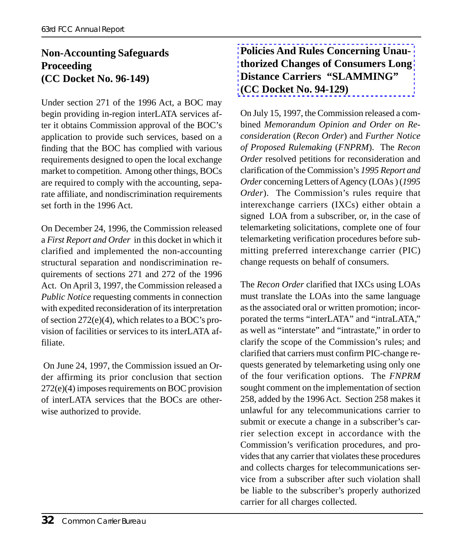#### **Non-Accounting Safeguards Proceeding (CC Docket No. 96-149)**

Under section 271 of the 1996 Act, a BOC may begin providing in-region interLATA services after it obtains Commission approval of the BOC's application to provide such services, based on a finding that the BOC has complied with various requirements designed to open the local exchange market to competition. Among other things, BOCs are required to comply with the accounting, separate affiliate, and nondiscrimination requirements set forth in the 1996 Act.

On December 24, 1996, the Commission released a *First Report and Order* in this docket in which it clarified and implemented the non-accounting structural separation and nondiscrimination requirements of sections 271 and 272 of the 1996 Act. On April 3, 1997, the Commission released a *Public Notice* requesting comments in connection with expedited reconsideration of its interpretation of section 272(e)(4), which relates to a BOC's provision of facilities or services to its interLATA affiliate.

 On June 24, 1997, the Commission issued an Order affirming its prior conclusion that section 272(e)(4) imposes requirements on BOC provision of interLATA services that the BOCs are otherwise authorized to provide.

#### **Policies And Rules Concerning Unauthorized Changes of Consumers Long Distance Carriers "SLAMMING" (CC Docket No. 94-129)**

On July 15, 1997, the Commission released a combined *Memorandum Opinion and Order on Reconsideration* (*Recon Order*) and *Further Notice of Proposed Rulemaking* (*FNPRM*). The *Recon Order* resolved petitions for reconsideration and clarification of the Commission's *1995 Report and Order* concerning Letters of Agency (LOAs ) (*1995 Order*). The Commission's rules require that interexchange carriers (IXCs) either obtain a signed LOA from a subscriber, or, in the case of telemarketing solicitations, complete one of four telemarketing verification procedures before submitting preferred interexchange carrier (PIC) change requests on behalf of consumers.

The *Recon Order* clarified that IXCs using LOAs must translate the LOAs into the same language as the associated oral or written promotion; incorporated the terms "interLATA" and "intraLATA," as well as "interstate" and "intrastate," in order to clarify the scope of the Commission's rules; and clarified that carriers must confirm PIC-change requests generated by telemarketing using only one of the four verification options. The *FNPRM* sought comment on the implementation of section 258, added by the 1996 Act. Section 258 makes it unlawful for any telecommunications carrier to submit or execute a change in a subscriber's carrier selection except in accordance with the Commission's verification procedures, and provides that any carrier that violates these procedures and collects charges for telecommunications service from a subscriber after such violation shall be liable to the subscriber's properly authorized carrier for all charges collected.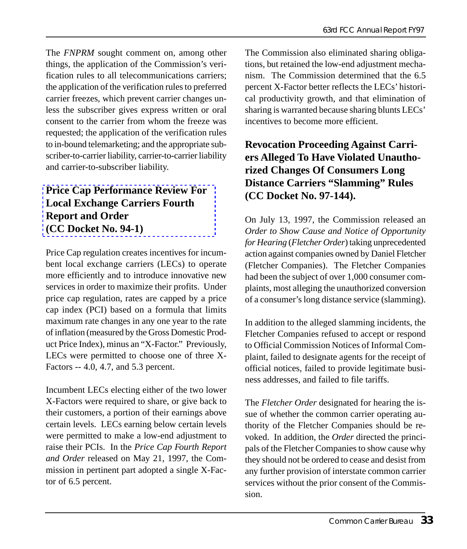The *FNPRM* sought comment on, among other things, the application of the Commission's verification rules to all telecommunications carriers; the application of the verification rules to preferred carrier freezes, which prevent carrier changes unless the subscriber gives express written or oral consent to the carrier from whom the freeze was requested; the application of the verification rules [to in-bound telemarketing; and the appropriate su](http://www.fcc.gov/ccb/price_cap/fcc97159.html)bscriber-to-carrier liability, carrier-to-carrier liability and carrier-to-subscriber liability.

#### **Price Cap Performance Review For Local Exchange Carriers Fourth Report and Order (CC Docket No. 94-1)**

Price Cap regulation creates incentives for incumbent local exchange carriers (LECs) to operate more efficiently and to introduce innovative new services in order to maximize their profits. Under price cap regulation, rates are capped by a price cap index (PCI) based on a formula that limits maximum rate changes in any one year to the rate of inflation (measured by the Gross Domestic Product Price Index), minus an "X-Factor." Previously, LECs were permitted to choose one of three X-Factors -- 4.0, 4.7, and 5.3 percent.

Incumbent LECs electing either of the two lower X-Factors were required to share, or give back to their customers, a portion of their earnings above certain levels. LECs earning below certain levels were permitted to make a low-end adjustment to raise their PCIs. In the *Price Cap Fourth Report and Order* released on May 21, 1997, the Commission in pertinent part adopted a single X-Factor of 6.5 percent.

The Commission also eliminated sharing obligations, but retained the low-end adjustment mechanism. The Commission determined that the 6.5 percent X-Factor better reflects the LECs' historical productivity growth, and that elimination of sharing is warranted because sharing blunts LECs' incentives to become more efficient.

#### **Revocation Proceeding Against Carriers Alleged To Have Violated Unauthorized Changes Of Consumers Long Distance Carriers "Slamming" Rules (CC Docket No. 97-144).**

On July 13, 1997, the Commission released an *Order to Show Cause and Notice of Opportunity for Hearing* (*Fletcher Order*) taking unprecedented action against companies owned by Daniel Fletcher (Fletcher Companies). The Fletcher Companies had been the subject of over 1,000 consumer complaints, most alleging the unauthorized conversion of a consumer's long distance service (slamming).

In addition to the alleged slamming incidents, the Fletcher Companies refused to accept or respond to Official Commission Notices of Informal Complaint, failed to designate agents for the receipt of official notices, failed to provide legitimate business addresses, and failed to file tariffs.

The *Fletcher Order* designated for hearing the issue of whether the common carrier operating authority of the Fletcher Companies should be revoked. In addition, the *Order* directed the principals of the Fletcher Companies to show cause why they should not be ordered to cease and desist from any further provision of interstate common carrier services without the prior consent of the Commission.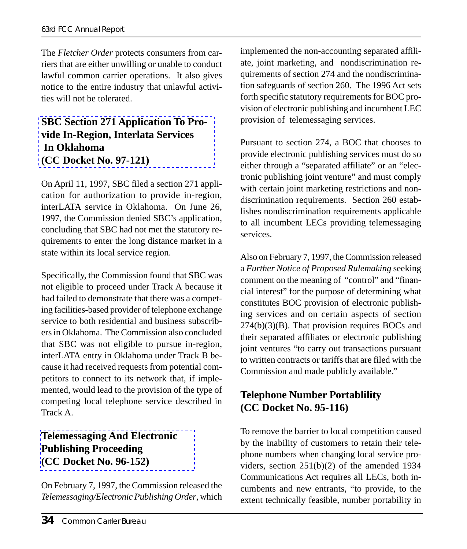The *Fletcher Order* protects consumers from carriers that are either unwilling or unable to conduct [lawful common carrier operations. It also giv](http://www.fcc.gov/Bureaus/Common_Carrier/in-region_applications/sbc/sbcapp.html)es notice to the entire industry that unlawful activities will not be tolerated.

#### **SBC Section 271 Application To Provide In-Region, Interlata Services In Oklahoma (CC Docket No. 97-121)**

On April 11, 1997, SBC filed a section 271 application for authorization to provide in-region, interLATA service in Oklahoma. On June 26, 1997, the Commission denied SBC's application, concluding that SBC had not met the statutory requirements to enter the long distance market in a state within its local service region.

Specifically, the Commission found that SBC was not eligible to proceed under Track A because it had failed to demonstrate that there was a competing facilities-based provider of telephone exchange service to both residential and business subscribers in Oklahoma. The Commission also concluded that SBC was not eligible to pursue in-region, interLATA entry in Oklahoma under Track B because it had received requests from potential competitors to connect to its network that, if imple[mented, would lead to the provision of the](http://www.fcc.gov/Bureaus/Common_Carrier/Orders/1997/fcc97035.wp) type of competing local telephone service described in Track A.

#### **Telemessaging And Electronic Publishing Proceeding (CC Docket No. 96-152)**

On February 7, 1997, the Commission released the *Telemessaging/Electronic Publishing Order*, which

implemented the non-accounting separated affiliate, joint marketing, and nondiscrimination requirements of section 274 and the nondiscrimination safeguards of section 260. The 1996 Act sets forth specific statutory requirements for BOC provision of electronic publishing and incumbent LEC provision of telemessaging services.

Pursuant to section 274, a BOC that chooses to provide electronic publishing services must do so either through a "separated affiliate" or an "electronic publishing joint venture" and must comply with certain joint marketing restrictions and nondiscrimination requirements. Section 260 establishes nondiscrimination requirements applicable to all incumbent LECs providing telemessaging services.

Also on February 7, 1997, the Commission released a *Further Notice of Proposed Rulemaking* seeking comment on the meaning of "control" and "financial interest" for the purpose of determining what constitutes BOC provision of electronic publishing services and on certain aspects of section 274(b)(3)(B). That provision requires BOCs and their separated affiliates or electronic publishing joint ventures "to carry out transactions pursuant to written contracts or tariffs that are filed with the Commission and made publicly available."

#### **Telephone Number Portablility (CC Docket No. 95-116)**

To remove the barrier to local competition caused by the inability of customers to retain their telephone numbers when changing local service providers, section 251(b)(2) of the amended 1934 Communications Act requires all LECs, both incumbents and new entrants, "to provide, to the extent technically feasible, number portability in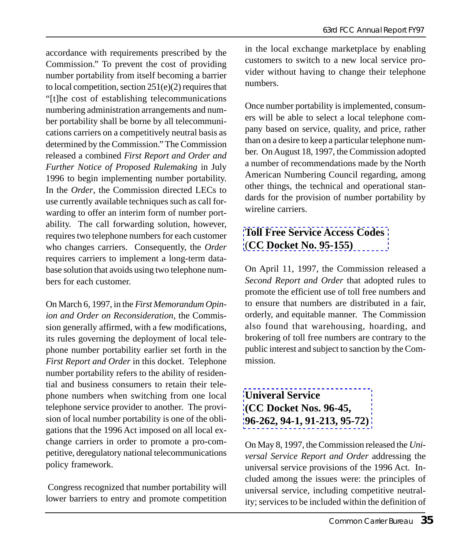accordance with requirements prescribed by the Commission." To prevent the cost of providing number portability from itself becoming a barrier to local competition, section 251(e)(2) requires that "[t]he cost of establishing telecommunications numbering administration arrangements and number portability shall be borne by all telecommunications carriers on a competitively neutral basis as determined by the Commission." The Commission released a combined *First Report and Order and Further Notice of Proposed Rulemaking* in July 1996 to begin implementing number portability. In the *Order*, the Commission directed LECs to use currently available techniques such as call forwarding to offer an interim form of number portability. The call forwarding solution, however, requires two telephone numbers for each customer who changes carriers. Consequently, the *Order* requires carriers to implement a long-term database solution that avoids using two telephone numbers for each customer.

On March 6, 1997, in the *First Memorandum Opinion and Order on Reconsideration*, the Commission generally affirmed, with a few modifications, its rules governing the deployment of local telephone number portability earlier set forth in the *First Report and Order* in this docket. Telephone number portability refers to the ability of residential and business consumers to retain their telephone numbers when switching from one local telephone service provider to another. The provision of local number portability is one of the obligations that the 1996 Act imposed on all local exchange carriers in order to promote a pro-competitive, deregulatory national telecommunications policy framework.

 Congress recognized that number portability will lower barriers to entry and promote competition in the local exchange marketplace by enabling customers to switch to a new local service provider without having to change their telephone numbers.

Once number portability is implemented, consumers will be able to select a local telephone company based on service, quality, and price, rather than on a desire to keep a particular telephone number. On August 18, 1997, the Commission adopted a number of recommendations made by the North American Numbering Council regarding, among [other things, the technical and operati](http://www.fcc.gov/ccb/888/)onal standards for the provision of number portability by wireline carriers.

#### **Toll Free Service Access Codes** (**CC Docket No. 95-155)**

On April 11, 1997, the Commission released a *Second Report and Order* that adopted rules to promote the efficient use of toll free numbers and to ensure that numbers are distributed in a fair, orderly, and equitable manner. The Commission also found that warehousing, hoarding, and brokering of toll free numbers are contrary to the [public interest and subject to sanctio](http://www.fcc.gov/ccb/universal_service/)n by the Commission.

#### **Univeral Service (CC Docket Nos. 96-45, 96-262, 94-1, 91-213, 95-72)**

On May 8, 1997, the Commission released the *Universal Service Report and Order* addressing the universal service provisions of the 1996 Act. Included among the issues were: the principles of universal service, including competitive neutrality; services to be included within the definition of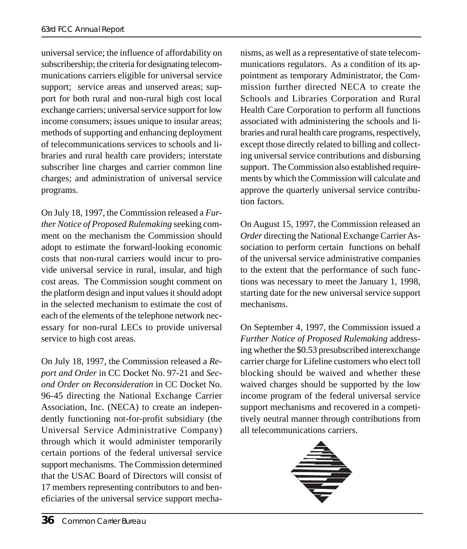universal service; the influence of affordability on subscribership; the criteria for designating telecommunications carriers eligible for universal service support; service areas and unserved areas; support for both rural and non-rural high cost local exchange carriers; universal service support for low income consumers; issues unique to insular areas; methods of supporting and enhancing deployment of telecommunications services to schools and libraries and rural health care providers; interstate subscriber line charges and carrier common line charges; and administration of universal service programs.

On July 18, 1997, the Commission released a *Further Notice of Proposed Rulemaking* seeking comment on the mechanism the Commission should adopt to estimate the forward-looking economic costs that non-rural carriers would incur to provide universal service in rural, insular, and high cost areas. The Commission sought comment on the platform design and input values it should adopt in the selected mechanism to estimate the cost of each of the elements of the telephone network necessary for non-rural LECs to provide universal service to high cost areas.

On July 18, 1997, the Commission released a *Report and Order* in CC Docket No. 97-21 and *Second Order on Reconsideration* in CC Docket No. 96-45 directing the National Exchange Carrier Association, Inc. (NECA) to create an independently functioning not-for-profit subsidiary (the Universal Service Administrative Company) through which it would administer temporarily certain portions of the federal universal service support mechanisms. The Commission determined that the USAC Board of Directors will consist of 17 members representing contributors to and beneficiaries of the universal service support mecha-

nisms, as well as a representative of state telecommunications regulators. As a condition of its appointment as temporary Administrator, the Commission further directed NECA to create the Schools and Libraries Corporation and Rural Health Care Corporation to perform all functions associated with administering the schools and libraries and rural health care programs, respectively, except those directly related to billing and collecting universal service contributions and disbursing support. The Commission also established requirements by which the Commission will calculate and approve the quarterly universal service contribution factors.

On August 15, 1997, the Commission released an *Order* directing the National Exchange Carrier Association to perform certain functions on behalf of the universal service administrative companies to the extent that the performance of such functions was necessary to meet the January 1, 1998, starting date for the new universal service support mechanisms.

On September 4, 1997, the Commission issued a *Further Notice of Proposed Rulemaking* addressing whether the \$0.53 presubscribed interexchange carrier charge for Lifeline customers who elect toll blocking should be waived and whether these waived charges should be supported by the low income program of the federal universal service support mechanisms and recovered in a competitively neutral manner through contributions from all telecommunications carriers.

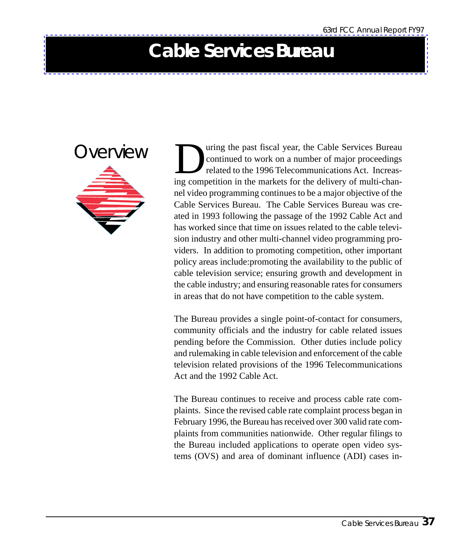### **Cable Services Bureau**

**Overview** 

The past fiscal year, the Cable Services Bureau<br>
continued to work on a number of major proceedings<br>
related to the 1996 Telecommunications Act. Increas-<br>
ing competition in the markets for the delivery of multi-chancontinued to work on a number of major proceedings related to the 1996 Telecommunications Act. Increasing competition in the markets for the delivery of multi-channel video programming continues to be a major objective of the Cable Services Bureau. The Cable Services Bureau was created in 1993 following the passage of the 1992 Cable Act and has worked since that time on issues related to the cable television industry and other multi-channel video programming providers. In addition to promoting competition, other important policy areas include:promoting the availability to the public of cable television service; ensuring growth and development in the cable industry; and ensuring reasonable rates for consumers in areas that do not have competition to the cable system.

The Bureau provides a single point-of-contact for consumers, community officials and the industry for cable related issues pending before the Commission. Other duties include policy and rulemaking in cable television and enforcement of the cable television related provisions of the 1996 Telecommunications Act and the 1992 Cable Act.

The Bureau continues to receive and process cable rate complaints. Since the revised cable rate complaint process began in February 1996, the Bureau has received over 300 valid rate complaints from communities nationwide. Other regular filings to the Bureau included applications to operate open video systems (OVS) and area of dominant influence (ADI) cases in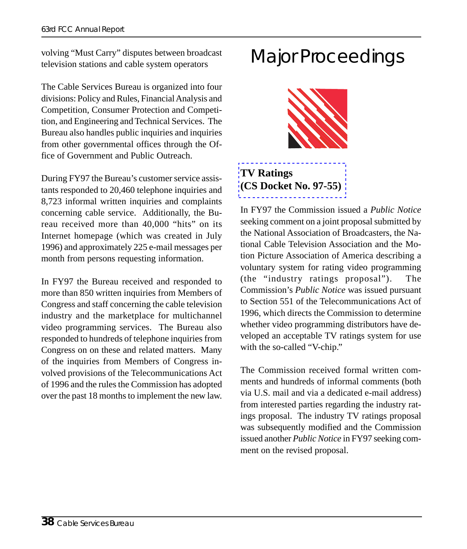volving "Must Carry" disputes between broadcast television stations and cable system operators

The Cable Services Bureau is organized into four divisions: Policy and Rules, Financial Analysis and Competition, Consumer Protection and Competition, and Engineering and Technical Services. The Bureau also handles public inquiries and inquiries from other governmental offices through the Office of Government and Public Outreach.

During FY97 the Bureau's customer service assistants responded to 20,460 telephone inquiries and 8,723 informal written inquiries and complaints concerning cable service. Additionally, the Bureau received more than 40,000 "hits" on its Internet homepage (which was created in July 1996) and approximately 225 e-mail messages per month from persons requesting information.

In FY97 the Bureau received and responded to more than 850 written inquiries from Members of Congress and staff concerning the cable television industry and the marketplace for multichannel video programming services. The Bureau also responded to hundreds of telephone inquiries from Congress on on these and related matters. Many of the inquiries from Members of Congress involved provisions of the Telecommunications Act of 1996 and the rules the Commission has adopted over the past 18 months to implement the new law.

### Major Proceedings



**TV Ratings (CS Docket No. 97-55)**

In FY97 the Commission issued a *Public Notice* seeking comment on a joint proposal submitted by the National Association of Broadcasters, the National Cable Television Association and the Motion Picture Association of America describing a voluntary system for rating video programming (the "industry ratings proposal"). The Commission's *Public Notice* was issued pursuant to Section 551 of the Telecommunications Act of 1996, which directs the Commission to determine whether video programming distributors have developed an acceptable TV ratings system for use with the so-called "V-chip."

The Commission received formal written comments and hundreds of informal comments (both via U.S. mail and via a dedicated e-mail address) from interested parties regarding the industry ratings proposal. The industry TV ratings proposal was subsequently modified and the Commission issued another *Public Notice* in FY97 seeking comment on the revised proposal.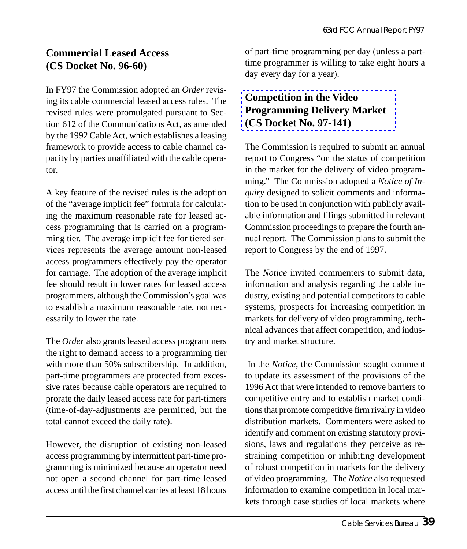#### **Commercial Leased Access (CS Docket No. 96-60)**

In FY97 the Commission adopted an *Order* revising its cable commercial leased access rules. The revised rules were promulgated pursuant to Section 612 of the Communications Act, as amended by the 1992 Cable Act, which establishes a leasing framework to provide access to cable channel capacity by parties unaffiliated with the cable operator.

A key feature of the revised rules is the adoption of the "average implicit fee" formula for calculating the maximum reasonable rate for leased access programming that is carried on a programming tier. The average implicit fee for tiered services represents the average amount non-leased access programmers effectively pay the operator for carriage. The adoption of the average implicit fee should result in lower rates for leased access programmers, although the Commission's goal was to establish a maximum reasonable rate, not necessarily to lower the rate.

The *Order* also grants leased access programmers the right to demand access to a programming tier with more than 50% subscribership. In addition, part-time programmers are protected from excessive rates because cable operators are required to prorate the daily leased access rate for part-timers (time-of-day-adjustments are permitted, but the total cannot exceed the daily rate).

However, the disruption of existing non-leased access programming by intermittent part-time programming is minimized because an operator need not open a second channel for part-time leased access until the first channel carries at least 18 hours [of part-time programming per day \(unles](http://www.fcc.gov/Bureaus/Cable/Reports/fcc97423.html)s a parttime programmer is willing to take eight hours a day every day for a year).

### **Competition in the Video Programming Delivery Market (CS Docket No. 97-141)**

The Commission is required to submit an annual report to Congress "on the status of competition in the market for the delivery of video programming." The Commission adopted a *Notice of Inquiry* designed to solicit comments and information to be used in conjunction with publicly available information and filings submitted in relevant Commission proceedings to prepare the fourth annual report. The Commission plans to submit the report to Congress by the end of 1997.

The *Notice* invited commenters to submit data, information and analysis regarding the cable industry, existing and potential competitors to cable systems, prospects for increasing competition in markets for delivery of video programming, technical advances that affect competition, and industry and market structure.

 In the *Notice*, the Commission sought comment to update its assessment of the provisions of the 1996 Act that were intended to remove barriers to competitive entry and to establish market conditions that promote competitive firm rivalry in video distribution markets. Commenters were asked to identify and comment on existing statutory provisions, laws and regulations they perceive as restraining competition or inhibiting development of robust competition in markets for the delivery of video programming. The *Notice* also requested information to examine competition in local markets through case studies of local markets where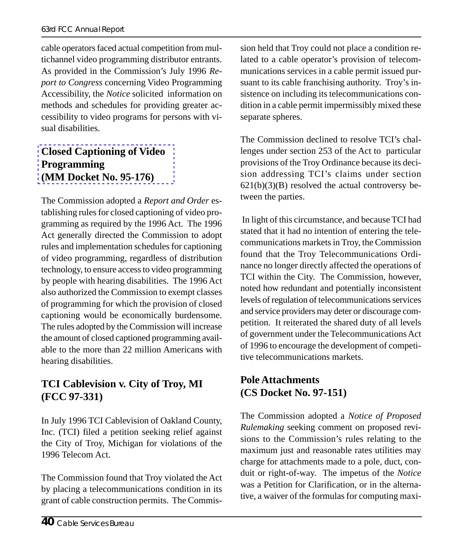cable operators faced actual competition from multichannel video programming distributor entrants. As provided in the Commission's July 1996 *Report to Congress* concerning Video Programming Accessibility, the *Notice* solicited information on [methods and schedules for providin](http://www.fcc.gov/Bureaus/Cable/Orders/1997/fcc97279.wp)g greater accessibility to video programs for persons with visual disabilities.

#### **Closed Captioning of Video Programming (MM Docket No. 95-176)**

The Commission adopted a *Report and Order* establishing rules for closed captioning of video programming as required by the 1996 Act. The 1996 Act generally directed the Commission to adopt rules and implementation schedules for captioning of video programming, regardless of distribution technology, to ensure access to video programming by people with hearing disabilities. The 1996 Act also authorized the Commission to exempt classes of programming for which the provision of closed captioning would be economically burdensome. The rules adopted by the Commission will increase the amount of closed captioned programming available to the more than 22 million Americans with hearing disabilities.

#### **TCI Cablevision v. City of Troy, MI (FCC 97-331)**

In July 1996 TCI Cablevision of Oakland County, Inc. (TCI) filed a petition seeking relief against the City of Troy, Michigan for violations of the 1996 Telecom Act.

The Commission found that Troy violated the Act by placing a telecommunications condition in its grant of cable construction permits. The Commission held that Troy could not place a condition related to a cable operator's provision of telecommunications services in a cable permit issued pursuant to its cable franchising authority. Troy's insistence on including its telecommunications condition in a cable permit impermissibly mixed these separate spheres.

The Commission declined to resolve TCI's challenges under section 253 of the Act to particular provisions of the Troy Ordinance because its decision addressing TCI's claims under section  $621(b)(3)(B)$  resolved the actual controversy between the parties.

 In light of this circumstance, and because TCI had stated that it had no intention of entering the telecommunications markets in Troy, the Commission found that the Troy Telecommunications Ordinance no longer directly affected the operations of TCI within the City. The Commission, however, noted how redundant and potentially inconsistent levels of regulation of telecommunications services and service providers may deter or discourage competition. It reiterated the shared duty of all levels of government under the Telecommunications Act of 1996 to encourage the development of competitive telecommunications markets.

#### **Pole Attachments (CS Docket No. 97-151)**

The Commission adopted a *Notice of Proposed Rulemaking* seeking comment on proposed revisions to the Commission's rules relating to the maximum just and reasonable rates utilities may charge for attachments made to a pole, duct, conduit or right-of-way. The impetus of the *Notice* was a Petition for Clarification, or in the alternative, a waiver of the formulas for computing maxi-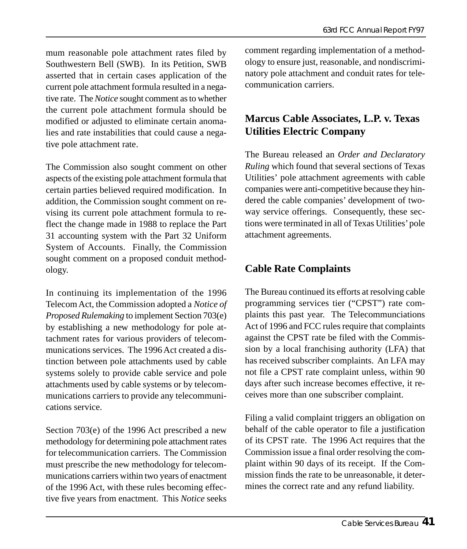mum reasonable pole attachment rates filed by Southwestern Bell (SWB). In its Petition, SWB asserted that in certain cases application of the current pole attachment formula resulted in a negative rate. The *Notice* sought comment as to whether the current pole attachment formula should be modified or adjusted to eliminate certain anomalies and rate instabilities that could cause a negative pole attachment rate.

The Commission also sought comment on other aspects of the existing pole attachment formula that certain parties believed required modification. In addition, the Commission sought comment on revising its current pole attachment formula to reflect the change made in 1988 to replace the Part 31 accounting system with the Part 32 Uniform System of Accounts. Finally, the Commission sought comment on a proposed conduit methodology.

In continuing its implementation of the 1996 Telecom Act, the Commission adopted a *Notice of Proposed Rulemaking* to implement Section 703(e) by establishing a new methodology for pole attachment rates for various providers of telecommunications services. The 1996 Act created a distinction between pole attachments used by cable systems solely to provide cable service and pole attachments used by cable systems or by telecommunications carriers to provide any telecommunications service.

Section 703(e) of the 1996 Act prescribed a new methodology for determining pole attachment rates for telecommunication carriers. The Commission must prescribe the new methodology for telecommunications carriers within two years of enactment of the 1996 Act, with these rules becoming effective five years from enactment. This *Notice* seeks

comment regarding implementation of a methodology to ensure just, reasonable, and nondiscriminatory pole attachment and conduit rates for telecommunication carriers.

#### **Marcus Cable Associates, L.P. v. Texas Utilities Electric Company**

The Bureau released an *Order and Declaratory Ruling* which found that several sections of Texas Utilities' pole attachment agreements with cable companies were anti-competitive because they hindered the cable companies' development of twoway service offerings. Consequently, these sections were terminated in all of Texas Utilities' pole attachment agreements.

#### **Cable Rate Complaints**

The Bureau continued its efforts at resolving cable programming services tier ("CPST") rate complaints this past year. The Telecommunciations Act of 1996 and FCC rules require that complaints against the CPST rate be filed with the Commission by a local franchising authority (LFA) that has received subscriber complaints. An LFA may not file a CPST rate complaint unless, within 90 days after such increase becomes effective, it receives more than one subscriber complaint.

Filing a valid complaint triggers an obligation on behalf of the cable operator to file a justification of its CPST rate. The 1996 Act requires that the Commission issue a final order resolving the complaint within 90 days of its receipt. If the Commission finds the rate to be unreasonable, it determines the correct rate and any refund liability.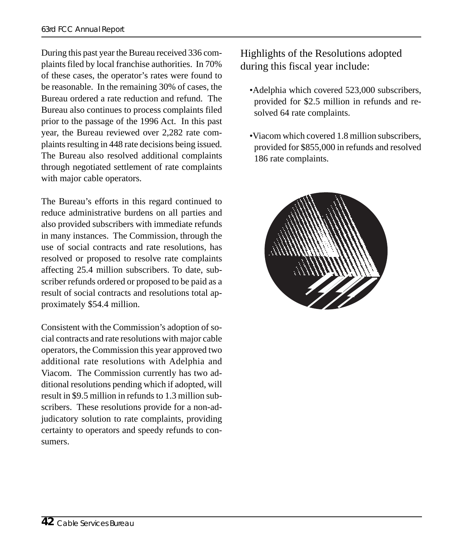During this past year the Bureau received 336 complaints filed by local franchise authorities. In 70% of these cases, the operator's rates were found to be reasonable. In the remaining 30% of cases, the Bureau ordered a rate reduction and refund. The Bureau also continues to process complaints filed prior to the passage of the 1996 Act. In this past year, the Bureau reviewed over 2,282 rate complaints resulting in 448 rate decisions being issued. The Bureau also resolved additional complaints through negotiated settlement of rate complaints with major cable operators.

The Bureau's efforts in this regard continued to reduce administrative burdens on all parties and also provided subscribers with immediate refunds in many instances. The Commission, through the use of social contracts and rate resolutions, has resolved or proposed to resolve rate complaints affecting 25.4 million subscribers. To date, subscriber refunds ordered or proposed to be paid as a result of social contracts and resolutions total approximately \$54.4 million.

Consistent with the Commission's adoption of social contracts and rate resolutions with major cable operators, the Commission this year approved two additional rate resolutions with Adelphia and Viacom. The Commission currently has two additional resolutions pending which if adopted, will result in \$9.5 million in refunds to 1.3 million subscribers. These resolutions provide for a non-adjudicatory solution to rate complaints, providing certainty to operators and speedy refunds to consumers.

Highlights of the Resolutions adopted during this fiscal year include:

- •Adelphia which covered 523,000 subscribers, provided for \$2.5 million in refunds and resolved 64 rate complaints.
- •Viacom which covered 1.8 million subscribers, provided for \$855,000 in refunds and resolved 186 rate complaints.

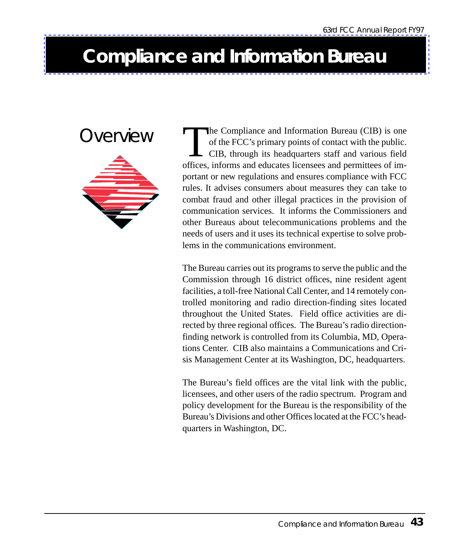### **Compliance and Information Bureau**



OVET VIEW The Compliance and Information Bureau (CIB) is one<br>of the FCC's primary points of contact with the public.<br>CIB, through its headquarters staff and various field<br>offices informs and educates licensees and permitte of the FCC's primary points of contact with the public. CIB, through its headquarters staff and various field offices, informs and educates licensees and permittees of important or new regulations and ensures compliance with FCC rules. It advises consumers about measures they can take to combat fraud and other illegal practices in the provision of communication services. It informs the Commissioners and other Bureaus about telecommunications problems and the needs of users and it uses its technical expertise to solve problems in the communications environment.

> The Bureau carries out its programs to serve the public and the Commission through 16 district offices, nine resident agent facilities, a toll-free National Call Center, and 14 remotely controlled monitoring and radio direction-finding sites located throughout the United States. Field office activities are directed by three regional offices. The Bureau's radio directionfinding network is controlled from its Columbia, MD, Operations Center. CIB also maintains a Communications and Crisis Management Center at its Washington, DC, headquarters.

> The Bureau's field offices are the vital link with the public, licensees, and other users of the radio spectrum. Program and policy development for the Bureau is the responsibility of the Bureau's Divisions and other Offices located at the FCC's headquarters in Washington, DC.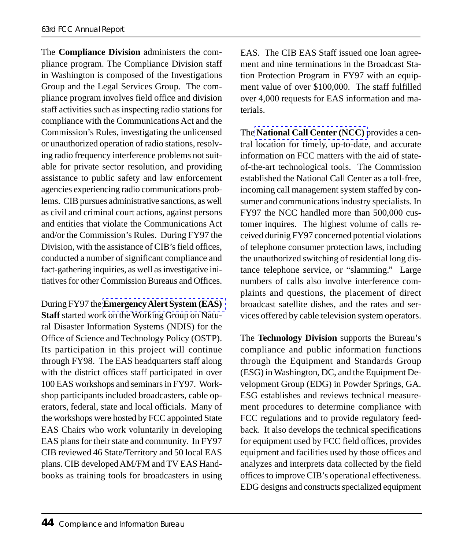#### 63rd FCC Annual Report

The **Compliance Division** administers the compliance program. The Compliance Division staff in Washington is composed of the Investigations Group and the Legal Services Group. The compliance program involves field office and division staff activities such as inspecting radio stations for compliance with the Communications Act and the Commission's Rules, investigating the unlicensed or unauthorized operation of radio stations, resolving radio frequency interference problems not suitable for private sector resolution, and providing assistance to public safety and law enforcement agencies experiencing radio communications problems. CIB pursues administrative sanctions, as well as civil and criminal court actions, against persons and entities that violate the Communications Act and/or the Commission's Rules. During FY97 the Division, with th[e assistance of CIB's field offices,](http://www.fcc.gov/cib/eas/Welcome.html) conducted a number of significant compliance and fact-gathering inquiries, as well as investigative initiatives for other Commission Bureaus and Offices.

During FY97 the **Emergency Alert System (EAS) Staff** started work on the Working Group on Natural Disaster Information Systems (NDIS) for the Office of Science and Technology Policy (OSTP). Its participation in this project will continue through FY98. The EAS headquarters staff along with the district offices staff participated in over 100 EAS workshops and seminars in FY97. Workshop participants included broadcasters, cable operators, federal, state and local officials. Many of the workshops were hosted by FCC appointed State EAS Chairs who work voluntarily in developing EAS plans for their state and community. In FY97 CIB reviewed 46 State/Territory and 50 local EAS plans. CIB developed AM/FM and TV EAS Handbooks as training tools for broadcasters in using

EAS. The CIB EAS Staff issued one loan agreement and nine terminations in the Broadcast Station [Protection Program in FY97 w](http://www.fcc.gov/cib/ncc/Welcome.html)ith an equipment value of over \$100,000. The staff fulfilled over 4,000 requests for EAS information and materials.

The **National Call Center (NCC)** provides a central location for timely, up-to-date, and accurate information on FCC matters with the aid of stateof-the-art technological tools. The Commission established the National Call Center as a toll-free, incoming call management system staffed by consumer and communications industry specialists. In FY97 the NCC handled more than 500,000 customer inquires. The highest volume of calls received durinig FY97 concerned potential violations of telephone consumer protection laws, including the unauthorized switching of residential long distance telephone service, or "slamming." Large numbers of calls also involve interference complaints and questions, the placement of direct broadcast satellite dishes, and the rates and services offered by cable television system operators.

The **Technology Division** supports the Bureau's compliance and public information functions through the Equipment and Standards Group (ESG) in Washington, DC, and the Equipment Development Group (EDG) in Powder Springs, GA. ESG establishes and reviews technical measurement procedures to determine compliance with FCC regulations and to provide regulatory feedback. It also develops the technical specifications for equipment used by FCC field offices, provides equipment and facilities used by those offices and analyzes and interprets data collected by the field offices to improve CIB's operational effectiveness. EDG designs and constructs specialized equipment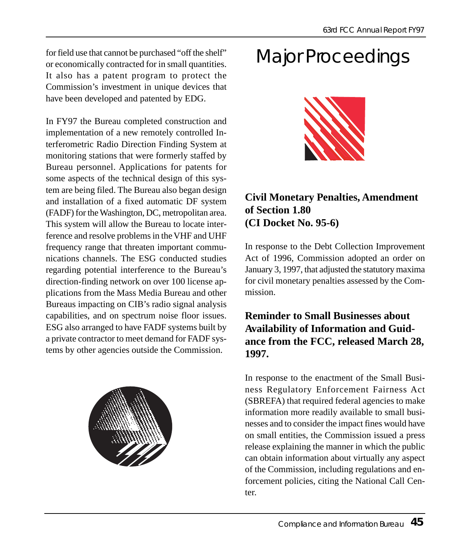for field use that cannot be purchased "off the shelf" or economically contracted for in small quantities. It also has a patent program to protect the Commission's investment in unique devices that have been developed and patented by EDG.

In FY97 the Bureau completed construction and implementation of a new remotely controlled Interferometric Radio Direction Finding System at monitoring stations that were formerly staffed by Bureau personnel. Applications for patents for some aspects of the technical design of this system are being filed. The Bureau also began design and installation of a fixed automatic DF system (FADF) for the Washington, DC, metropolitan area. This system will allow the Bureau to locate interference and resolve problems in the VHF and UHF frequency range that threaten important communications channels. The ESG conducted studies regarding potential interference to the Bureau's direction-finding network on over 100 license applications from the Mass Media Bureau and other Bureaus impacting on CIB's radio signal analysis capabilities, and on spectrum noise floor issues. ESG also arranged to have FADF systems built by a private contractor to meet demand for FADF systems by other agencies outside the Commission.



# Major Proceedings



#### **Civil Monetary Penalties, Amendment of Section 1.80 (CI Docket No. 95-6)**

In response to the Debt Collection Improvement Act of 1996, Commission adopted an order on January 3, 1997, that adjusted the statutory maxima for civil monetary penalties assessed by the Commission.

#### **Reminder to Small Businesses about Availability of Information and Guidance from the FCC, released March 28, 1997.**

In response to the enactment of the Small Business Regulatory Enforcement Fairness Act (SBREFA) that required federal agencies to make information more readily available to small businesses and to consider the impact fines would have on small entities, the Commission issued a press release explaining the manner in which the public can obtain information about virtually any aspect of the Commission, including regulations and enforcement policies, citing the National Call Center.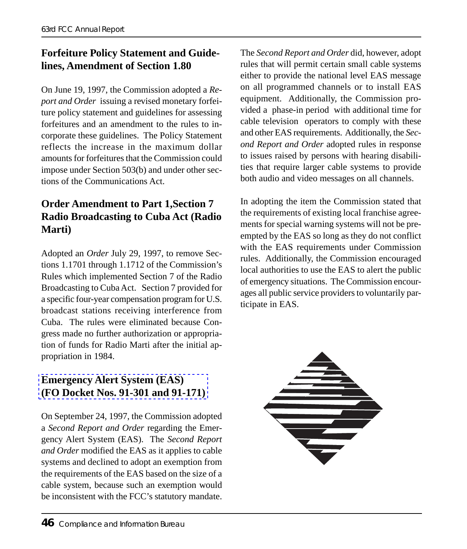#### **Forfeiture Policy Statement and Guidelines, Amendment of Section 1.80**

On June 19, 1997, the Commission adopted a *Report and Order* issuing a revised monetary forfeiture policy statement and guidelines for assessing forfeitures and an amendment to the rules to incorporate these guidelines. The Policy Statement reflects the increase in the maximum dollar amounts for forfeitures that the Commission could impose under Section 503(b) and under other sections of the Communications Act.

#### **Order Amendment to Part 1,Section 7 Radio Broadcasting to Cuba Act (Radio Marti)**

Adopted an *Order* July 29, 1997, to remove Sections 1.1701 through 1.1712 of the Commission's Rules which implemented Section 7 of the Radio Broadcasting to Cuba Act. Section 7 provided for a specific four-year compensation program for U.S. broadcast stations receiving interference from Cuba. The rules were eliminated because Con[gress made no further authorization or approp](http://www.fcc.gov/cib/eas/Welcome.html)riation of funds for Radio Marti after the initial appropriation in 1984.

#### **Emergency Alert System (EAS) (FO Docket Nos. 91-301 and 91-171)**

On September 24, 1997, the Commission adopted a *Second Report and Order* regarding the Emergency Alert System (EAS). The *Second Report and Order* modified the EAS as it applies to cable systems and declined to adopt an exemption from the requirements of the EAS based on the size of a cable system, because such an exemption would be inconsistent with the FCC's statutory mandate.

The *Second Report and Order* did, however, adopt rules that will permit certain small cable systems either to provide the national level EAS message on all programmed channels or to install EAS equipment. Additionally, the Commission provided a phase-in period with additional time for cable television operators to comply with these and other EAS requirements. Additionally, the *Second Report and Order* adopted rules in response to issues raised by persons with hearing disabilities that require larger cable systems to provide both audio and video messages on all channels.

In adopting the item the Commission stated that the requirements of existing local franchise agreements for special warning systems will not be preempted by the EAS so long as they do not conflict with the EAS requirements under Commission rules. Additionally, the Commission encouraged local authorities to use the EAS to alert the public of emergency situations. The Commission encourages all public service providers to voluntarily participate in EAS.

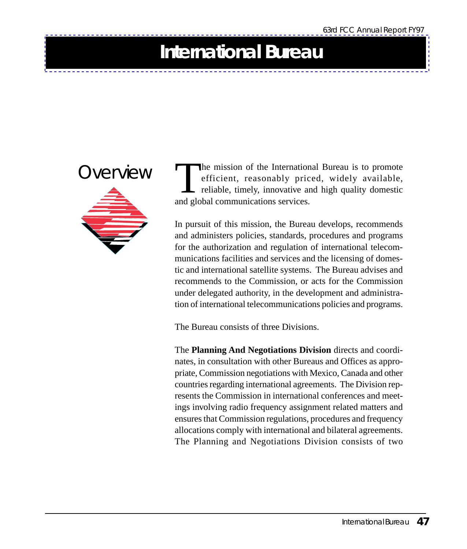### **International Bureau**



OVET VIEW The mission of the International Bureau is to promote<br>efficient, reasonably priced, widely available,<br>reliable, timely, innovative and high quality domestic<br>and global communications services efficient, reasonably priced, widely available, reliable, timely, innovative and high quality domestic and global communications services.

> In pursuit of this mission, the Bureau develops, recommends and administers policies, standards, procedures and programs for the authorization and regulation of international telecommunications facilities and services and the licensing of domestic and international satellite systems. The Bureau advises and recommends to the Commission, or acts for the Commission under delegated authority, in the development and administration of international telecommunications policies and programs.

The Bureau consists of three Divisions.

The **Planning And Negotiations Division** directs and coordinates, in consultation with other Bureaus and Offices as appropriate, Commission negotiations with Mexico, Canada and other countries regarding international agreements. The Division represents the Commission in international conferences and meetings involving radio frequency assignment related matters and ensures that Commission regulations, procedures and frequency allocations comply with international and bilateral agreements. The Planning and Negotiations Division consists of two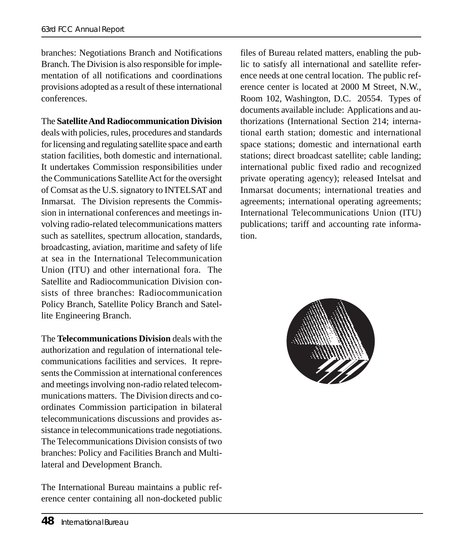branches: Negotiations Branch and Notifications Branch. The Division is also responsible for implementation of all notifications and coordinations provisions adopted as a result of these international conferences.

The **Satellite And Radiocommunication Division** deals with policies, rules, procedures and standards for licensing and regulating satellite space and earth station facilities, both domestic and international. It undertakes Commission responsibilities under the Communications Satellite Act for the oversight of Comsat as the U.S. signatory to INTELSAT and Inmarsat. The Division represents the Commission in international conferences and meetings involving radio-related telecommunications matters such as satellites, spectrum allocation, standards, broadcasting, aviation, maritime and safety of life at sea in the International Telecommunication Union (ITU) and other international fora. The Satellite and Radiocommunication Division consists of three branches: Radiocommunication Policy Branch, Satellite Policy Branch and Satellite Engineering Branch.

The **Telecommunications Division** deals with the authorization and regulation of international telecommunications facilities and services. It represents the Commission at international conferences and meetings involving non-radio related telecommunications matters. The Division directs and coordinates Commission participation in bilateral telecommunications discussions and provides assistance in telecommunications trade negotiations. The Telecommunications Division consists of two branches: Policy and Facilities Branch and Multilateral and Development Branch.

The International Bureau maintains a public reference center containing all non-docketed public

files of Bureau related matters, enabling the public to satisfy all international and satellite reference needs at one central location. The public reference center is located at 2000 M Street, N.W., Room 102, Washington, D.C. 20554. Types of documents available include: Applications and authorizations (International Section 214; international earth station; domestic and international space stations; domestic and international earth stations; direct broadcast satellite; cable landing; international public fixed radio and recognized private operating agency); released Intelsat and Inmarsat documents; international treaties and agreements; international operating agreements; International Telecommunications Union (ITU) publications; tariff and accounting rate information.

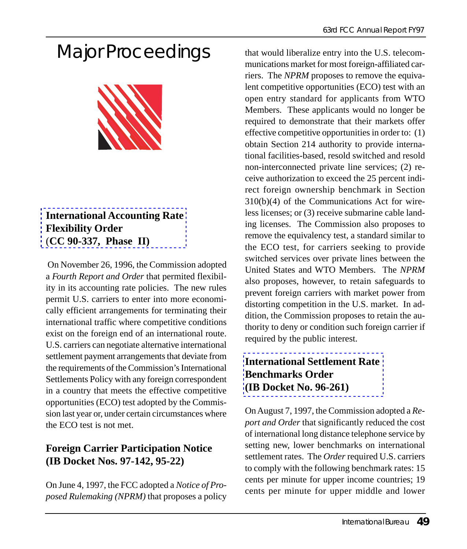# Major Proceedings



#### **International Accounting Rate Flexibility Order** (**CC 90-337, Phase II)**

 On November 26, 1996, the Commission adopted a *Fourth Report and Order* that permited flexibility in its accounting rate policies. The new rules permit U.S. carriers to enter into more economically efficient arrangements for terminating their international traffic where competitive conditions exist on the foreign end of an international route. U.S. carriers can negotiate alternative international settlement payment arrangements that deviate from the requirements of the Commission's International Settlements Policy with any foreign correspondent in a country that meets the effective competitive opportunities (ECO) test adopted by the Commission last year or, under certain circumstances where the ECO test is not met.

#### **Foreign Carrier Participation Notice (IB Docket Nos. 97-142, 95-22)**

On June 4, 1997, the FCC adopted a *Notice of Proposed Rulemaking (NPRM)* that proposes a policy that would liberalize entry into the U.S. telecommunications market for most foreign-affiliated carriers. The *NPRM* proposes to remove the equivalent competitive opportunities (ECO) test with an open entry standard for applicants from WTO Members. These applicants would no longer be required to demonstrate that their markets offer effective competitive opportunities in order to: (1) obtain Section 214 authority to provide international facilities-based, resold switched and resold non-interconnected private line services; (2) receive authorization to exceed the 25 percent indirect foreign ownership benchmark in Section 310(b)(4) of the Communications Act for wireless licenses; or (3) receive submarine cable landing licenses. The Commission also proposes to remove the equivalency test, a standard similar to the ECO test, for carriers seeking to provide switched services over private lines between the United States and WTO Members. The *NPRM* also proposes, however, to retain safeguards to prevent foreign carriers with market power from [distorting competition in the U.S. mar](http://www.fcc.gov/Bureaus/International/Orders/1997/fcc97280.html)ket. In addition, the Commission proposes to retain the authority to deny or condition such foreign carrier if required by the public interest.

#### **International Settlement Rate Benchmarks Order (IB Docket No. 96-261)**

On August 7, 1997, the Commission adopted a *Report and Order* that significantly reduced the cost of international long distance telephone service by setting new, lower benchmarks on international settlement rates. The *Order* required U.S. carriers to comply with the following benchmark rates: 15 cents per minute for upper income countries; 19 cents per minute for upper middle and lower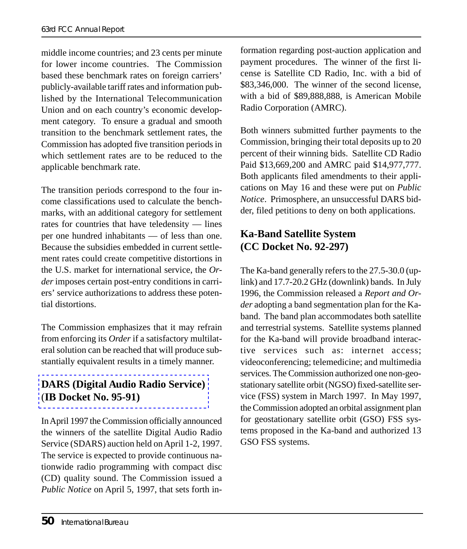middle income countries; and 23 cents per minute for lower income countries. The Commission based these benchmark rates on foreign carriers' publicly-available tariff rates and information published by the International Telecommunication Union and on each country's economic development category. To ensure a gradual and smooth transition to the benchmark settlement rates, the Commission has adopted five transition periods in which settlement rates are to be reduced to the applicable benchmark rate.

The transition periods correspond to the four income classifications used to calculate the benchmarks, with an additional category for settlement rates for countries that have teledensity — lines per one hundred inhabitants — of less than one. Because the subsidies embedded in current settlement rates could create competitive distortions in the U.S. market for international service, the *Order* imposes certain post-entry conditions in carriers' service authorizations to address these potential distortions.

[The Commission emphasizes that it may refr](http://www.fcc.gov/Bureaus/International/News_Releases/1997/nrin7004.txt)ain from enforcing its *Order* if a satisfactory multilateral solution can be reached that will produce substantially equivalent results in a timely manner.

#### **DARS (Digital Audio Radio Service)** (**IB Docket No. 95-91)**

In April 1997 the Commission officially announced the winners of the satellite Digital Audio Radio Service (SDARS) auction held on April 1-2, 1997. The service is expected to provide continuous nationwide radio programming with compact disc (CD) quality sound. The Commission issued a *Public Notice* on April 5, 1997, that sets forth information regarding post-auction application and payment procedures. The winner of the first license is Satellite CD Radio, Inc. with a bid of \$83,346,000. The winner of the second license, with a bid of \$89,888,888, is American Mobile Radio Corporation (AMRC).

Both winners submitted further payments to the Commission, bringing their total deposits up to 20 percent of their winning bids. Satellite CD Radio Paid \$13,669,200 and AMRC paid \$14,977,777. Both applicants filed amendments to their applications on May 16 and these were put on *Public Notice*. Primosphere, an unsuccessful DARS bidder, filed petitions to deny on both applications.

#### **Ka-Band Satellite System (CC Docket No. 92-297)**

The Ka-band generally refers to the 27.5-30.0 (uplink) and 17.7-20.2 GHz (downlink) bands. In July 1996, the Commission released a *Report and Order* adopting a band segmentation plan for the Kaband. The band plan accommodates both satellite and terrestrial systems. Satellite systems planned for the Ka-band will provide broadband interactive services such as: internet access; videoconferencing; telemedicine; and multimedia services. The Commission authorized one non-geostationary satellite orbit (NGSO) fixed-satellite service (FSS) system in March 1997. In May 1997, the Commission adopted an orbital assignment plan for geostationary satellite orbit (GSO) FSS systems proposed in the Ka-band and authorized 13 GSO FSS systems.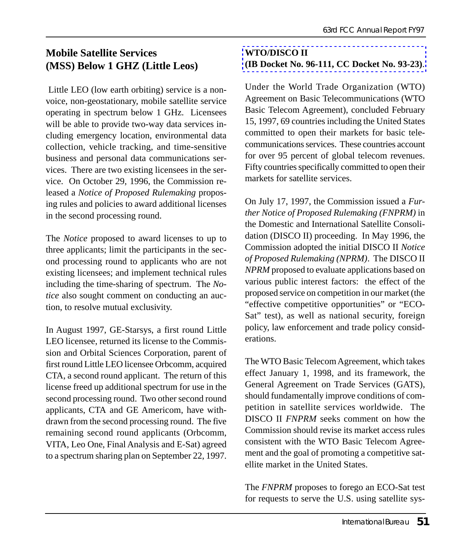#### **Mobile Satellite Services (MSS) Below 1 GHZ (Little Leos)**

 Little LEO (low earth orbiting) service is a nonvoice, non-geostationary, mobile satellite service operating in spectrum below 1 GHz. Licensees will be able to provide two-way data services including emergency location, environmental data collection, vehicle tracking, and time-sensitive business and personal data communications services. There are two existing licensees in the service. On October 29, 1996, the Commission released a *Notice of Proposed Rulemaking* proposing rules and policies to award additional licenses in the second processing round.

The *Notice* proposed to award licenses to up to three applicants; limit the participants in the second processing round to applicants who are not existing licensees; and implement technical rules including the time-sharing of spectrum. The *Notice* also sought comment on conducting an auction, to resolve mutual exclusivity.

In August 1997, GE-Starsys, a first round Little LEO licensee, returned its license to the Commission and Orbital Sciences Corporation, parent of first round Little LEO licensee Orbcomm, acquired CTA, a second round applicant. The return of this license freed up additional spectrum for use in the second processing round. Two other second round applicants, CTA and GE Americom, have withdrawn from the second processing round. The five remaining second round applicants (Orbcomm, VITA, Leo One, Final Analysis and E-Sat) agreed to a spectrum sharing plan on September 22, 1997.

#### **WTO/DISCO II (IB Docket No. 96-111, CC Docket No. 93-23)**.

Under the World Trade Organization (WTO) Agreement on Basic Telecommunications (WTO Basic Telecom Agreement), concluded February 15, 1997, 69 countries including the United States committed to open their markets for basic telecommunications services. These countries account for over 95 percent of global telecom revenues. Fifty countries specifically committed to open their markets for satellite services.

On July 17, 1997, the Commission issued a *Further Notice of Proposed Rulemaking (FNPRM)* in the Domestic and International Satellite Consolidation (DISCO II) proceeding. In May 1996, the Commission adopted the initial DISCO II *Notice of Proposed Rulemaking (NPRM)*. The DISCO II *NPRM* proposed to evaluate applications based on various public interest factors: the effect of the proposed service on competition in our market (the "effective competitive opportunities" or "ECO-Sat" test), as well as national security, foreign policy, law enforcement and trade policy considerations.

The WTO Basic Telecom Agreement, which takes effect January 1, 1998, and its framework, the General Agreement on Trade Services (GATS), should fundamentally improve conditions of competition in satellite services worldwide. The DISCO II *FNPRM* seeks comment on how the Commission should revise its market access rules consistent with the WTO Basic Telecom Agreement and the goal of promoting a competitive satellite market in the United States.

The *FNPRM* proposes to forego an ECO-Sat test for requests to serve the U.S. using satellite sys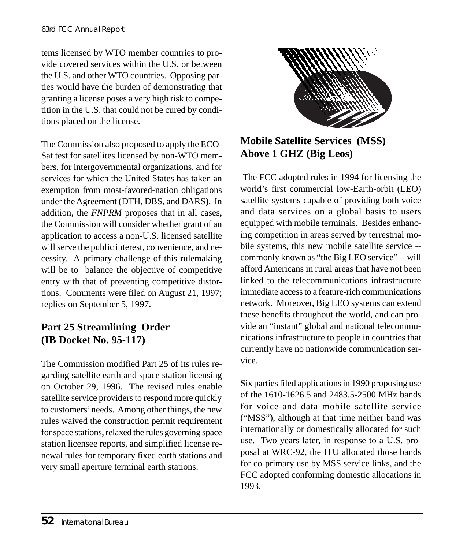tems licensed by WTO member countries to provide covered services within the U.S. or between the U.S. and other WTO countries. Opposing parties would have the burden of demonstrating that granting a license poses a very high risk to competition in the U.S. that could not be cured by conditions placed on the license.

The Commission also proposed to apply the ECO-Sat test for satellites licensed by non-WTO members, for intergovernmental organizations, and for services for which the United States has taken an exemption from most-favored-nation obligations under the Agreement (DTH, DBS, and DARS). In addition, the *FNPRM* proposes that in all cases, the Commission will consider whether grant of an application to access a non-U.S. licensed satellite will serve the public interest, convenience, and necessity. A primary challenge of this rulemaking will be to balance the objective of competitive entry with that of preventing competitive distortions. Comments were filed on August 21, 1997; replies on September 5, 1997.

#### **Part 25 Streamlining Order (IB Docket No. 95-117)**

The Commission modified Part 25 of its rules regarding satellite earth and space station licensing on October 29, 1996. The revised rules enable satellite service providers to respond more quickly to customers' needs. Among other things, the new rules waived the construction permit requirement for space stations, relaxed the rules governing space station licensee reports, and simplified license renewal rules for temporary fixed earth stations and very small aperture terminal earth stations.



#### **Mobile Satellite Services (MSS) Above 1 GHZ (Big Leos)**

 The FCC adopted rules in 1994 for licensing the world's first commercial low-Earth-orbit (LEO) satellite systems capable of providing both voice and data services on a global basis to users equipped with mobile terminals. Besides enhancing competition in areas served by terrestrial mobile systems, this new mobile satellite service - commonly known as "the Big LEO service" -- will afford Americans in rural areas that have not been linked to the telecommunications infrastructure immediate access to a feature-rich communications network. Moreover, Big LEO systems can extend these benefits throughout the world, and can provide an "instant" global and national telecommunications infrastructure to people in countries that currently have no nationwide communication service.

Six parties filed applications in 1990 proposing use of the 1610-1626.5 and 2483.5-2500 MHz bands for voice-and-data mobile satellite service ("MSS"), although at that time neither band was internationally or domestically allocated for such use. Two years later, in response to a U.S. proposal at WRC-92, the ITU allocated those bands for co-primary use by MSS service links, and the FCC adopted conforming domestic allocations in 1993.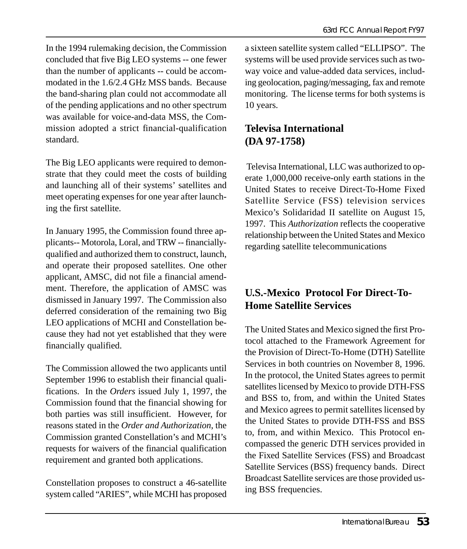In the 1994 rulemaking decision, the Commission concluded that five Big LEO systems -- one fewer than the number of applicants -- could be accommodated in the 1.6/2.4 GHz MSS bands. Because the band-sharing plan could not accommodate all of the pending applications and no other spectrum was available for voice-and-data MSS, the Commission adopted a strict financial-qualification standard.

The Big LEO applicants were required to demonstrate that they could meet the costs of building and launching all of their systems' satellites and meet operating expenses for one year after launching the first satellite.

In January 1995, the Commission found three applicants-- Motorola, Loral, and TRW -- financiallyqualified and authorized them to construct, launch, and operate their proposed satellites. One other applicant, AMSC, did not file a financial amendment. Therefore, the application of AMSC was dismissed in January 1997. The Commission also deferred consideration of the remaining two Big LEO applications of MCHI and Constellation because they had not yet established that they were financially qualified.

The Commission allowed the two applicants until September 1996 to establish their financial qualifications. In the *Orders* issued July 1, 1997, the Commission found that the financial showing for both parties was still insufficient. However, for reasons stated in the *Order and Authorization*, the Commission granted Constellation's and MCHI's requests for waivers of the financial qualification requirement and granted both applications.

Constellation proposes to construct a 46-satellite system called "ARIES", while MCHI has proposed

a sixteen satellite system called "ELLIPSO". The systems will be used provide services such as twoway voice and value-added data services, including geolocation, paging/messaging, fax and remote monitoring. The license terms for both systems is 10 years.

#### **Televisa International (DA 97-1758)**

 Televisa International, LLC was authorized to operate 1,000,000 receive-only earth stations in the United States to receive Direct-To-Home Fixed Satellite Service (FSS) television services Mexico's Solidaridad II satellite on August 15, 1997. This *Authorization* reflects the cooperative relationship between the United States and Mexico regarding satellite telecommunications

#### **U.S.-Mexico Protocol For Direct-To-Home Satellite Services**

The United States and Mexico signed the first Protocol attached to the Framework Agreement for the Provision of Direct-To-Home (DTH) Satellite Services in both countries on November 8, 1996. In the protocol, the United States agrees to permit satellites licensed by Mexico to provide DTH-FSS and BSS to, from, and within the United States and Mexico agrees to permit satellites licensed by the United States to provide DTH-FSS and BSS to, from, and within Mexico. This Protocol encompassed the generic DTH services provided in the Fixed Satellite Services (FSS) and Broadcast Satellite Services (BSS) frequency bands. Direct Broadcast Satellite services are those provided using BSS frequencies.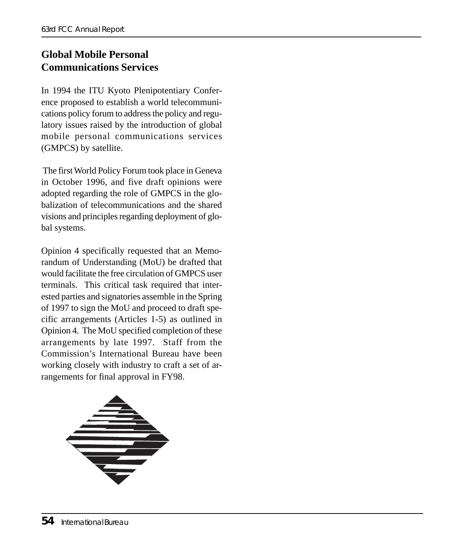#### **Global Mobile Personal Communications Services**

In 1994 the ITU Kyoto Plenipotentiary Conference proposed to establish a world telecommunications policy forum to address the policy and regulatory issues raised by the introduction of global mobile personal communications services (GMPCS) by satellite.

 The first World Policy Forum took place in Geneva in October 1996, and five draft opinions were adopted regarding the role of GMPCS in the globalization of telecommunications and the shared visions and principles regarding deployment of global systems.

Opinion 4 specifically requested that an Memorandum of Understanding (MoU) be drafted that would facilitate the free circulation of GMPCS user terminals. This critical task required that interested parties and signatories assemble in the Spring of 1997 to sign the MoU and proceed to draft specific arrangements (Articles 1-5) as outlined in Opinion 4. The MoU specified completion of these arrangements by late 1997. Staff from the Commission's International Bureau have been working closely with industry to craft a set of arrangements for final approval in FY98.

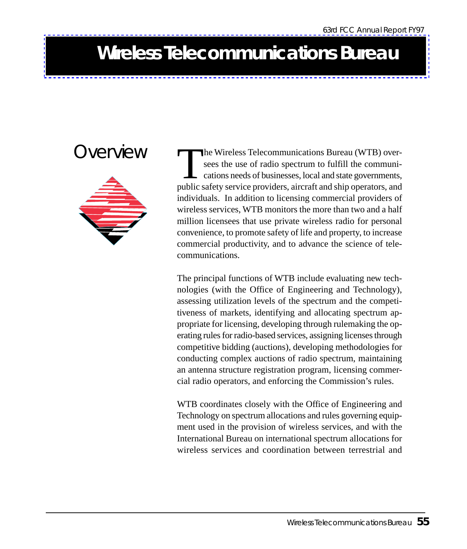### **Wireless Telecommunications Bureau**

### Overview



The Wireless Telecommunications Bureau (WTB) over-<br>sees the use of radio spectrum to fulfill the communi-<br>cations needs of businesses, local and state governments,<br>public safety service providers, aircraft and ship operato sees the use of radio spectrum to fulfill the communications needs of businesses, local and state governments, public safety service providers, aircraft and ship operators, and individuals. In addition to licensing commercial providers of wireless services, WTB monitors the more than two and a half million licensees that use private wireless radio for personal convenience, to promote safety of life and property, to increase commercial productivity, and to advance the science of telecommunications.

The principal functions of WTB include evaluating new technologies (with the Office of Engineering and Technology), assessing utilization levels of the spectrum and the competitiveness of markets, identifying and allocating spectrum appropriate for licensing, developing through rulemaking the operating rules for radio-based services, assigning licenses through competitive bidding (auctions), developing methodologies for conducting complex auctions of radio spectrum, maintaining an antenna structure registration program, licensing commercial radio operators, and enforcing the Commission's rules.

WTB coordinates closely with the Office of Engineering and Technology on spectrum allocations and rules governing equipment used in the provision of wireless services, and with the International Bureau on international spectrum allocations for wireless services and coordination between terrestrial and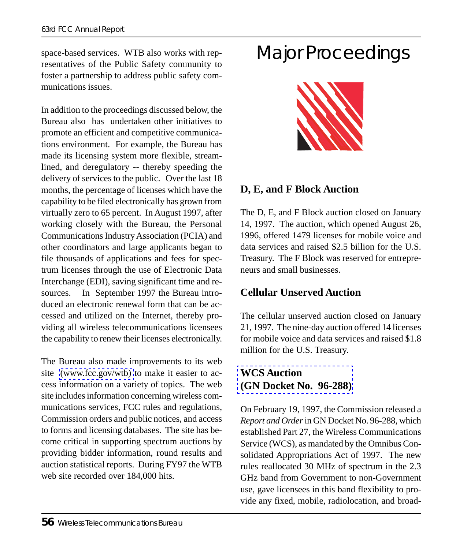space-based services. WTB also works with representatives of the Public Safety community to foster a partnership to address public safety communications issues.

In addition to the proceedings discussed below, the Bureau also has undertaken other initiatives to promote an efficient and competitive communications environment. For example, the Bureau has made its licensing system more flexible, streamlined, and deregulatory -- thereby speeding the delivery of services to the public. Over the last 18 months, the percentage of licenses which have the capability to be filed electronically has grown from virtually zero to 65 percent. In August 1997, after working closely with the Bureau, the Personal Communications Industry Association (PCIA) and other coordinators and large applicants began to file thousands of applications and fees for spectrum licenses through the use of Electronic Data Interchange (EDI), saving significant time and resources. In September 1997 the Bureau introduced an electronic renewal form that can be access[ed and utilized on th](http://www.fcc.gov/wtb/)e Internet, thereby providing all wireless telecommunications licensees the capability to renew their licenses electronically.

The Bureau also made improvements to its web site (www.fcc.gov/wtb) to make it easier to access information on a variety of topics. The web site includes information concerning wireless communications services, FCC rules and regulations, Commission orders and public notices, and access to forms and licensing databases. The site has become critical in supporting spectrum auctions by providing bidder information, round results and auction statistical reports. During FY97 the WTB web site recorded over 184,000 hits.

# Major Proceedings



#### **D, E, and F Block Auction**

The D, E, and F Block auction closed on January 14, 1997. The auction, which opened August 26, 1996, offered 1479 licenses for mobile voice and data services and raised \$2.5 billion for the U.S. Treasury. The F Block was reserved for entrepreneurs and small businesses.

#### **Cellular Unserved Auction**

[The cellular unserved auction](http://www.fcc.gov/wtb/auctions/wcs1.html) closed on January 21, 1997. The nine-day auction offered 14 licenses for mobile voice and data services and raised \$1.8 million for the U.S. Treasury.

#### **WCS Auction (GN Docket No. 96-288)**

On February 19, 1997, the Commission released a *Report and Order* in GN Docket No. 96-288, which established Part 27, the Wireless Communications Service (WCS), as mandated by the Omnibus Consolidated Appropriations Act of 1997. The new rules reallocated 30 MHz of spectrum in the 2.3 GHz band from Government to non-Government use, gave licensees in this band flexibility to provide any fixed, mobile, radiolocation, and broad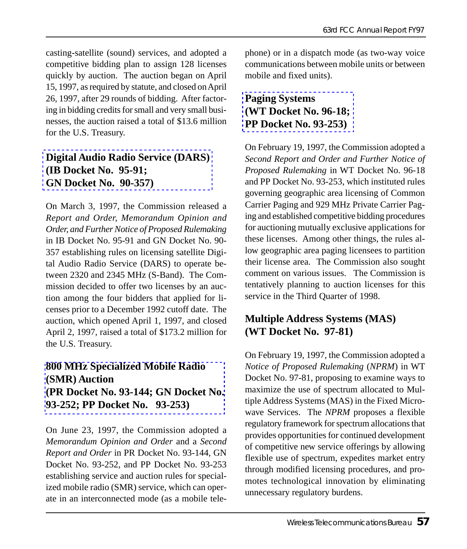casting-satellite (sound) services, and adopted a competitive bidding plan to assign 128 licenses quickly by auction. The auction began on April 15, 1997, as required by statute, and closed on April 26, 1997, after 29 rounds of bidding. After factor[ing in bidding credits for small and very small b](http://www.fcc.gov/Bureaus/International/Orders/1997/fcc97070.wp)usinesses, the auction raised a total of \$13.6 million for the U.S. Treasury.

#### **Digital Audio Radio Service (DARS) (IB Docket No. 95-91; GN Docket No. 90-357)**

On March 3, 1997, the Commission released a *Report and Order, Memorandum Opinion and Order, and Further Notice of Proposed Rulemaking* in IB Docket No. 95-91 and GN Docket No. 90- 357 establishing rules on licensing satellite Digital Audio Radio Service (DARS) to operate between 2320 and 2345 MHz (S-Band). The Commission decided to offer two licenses by an auction among the four bidders that applied for licenses prior to a December 1992 cutoff date. The [auction, which opened April 1, 1997, and closed](http://www.fcc.gov/wtb/auctions/smr200u2.html) April 2, 1997, raised a total of \$173.2 million for the U.S. Treasury.

#### **800 MHz Specialized Mobile Radio (SMR) Auction (PR Docket No. 93-144; GN Docket No. 93-252; PP Docket No. 93-253)**

On June 23, 1997, the Commission adopted a *Memorandum Opinion and Order* and a *Second Report and Order* in PR Docket No. 93-144, GN Docket No. 93-252, and PP Docket No. 93-253 establishing service and auction rules for specialized mobile radio (SMR) service, which can operate in an interconnected mode (as a mobile tele[phone\) or in a dispatch mode](http://www.fcc.gov/wtb/cpgnsrv.html) (as two-way voice communications between mobile units or between mobile and fixed units).

#### **Paging Systems (WT Docket No. 96-18; PP Docket No. 93-253)**

On February 19, 1997, the Commission adopted a *Second Report and Order and Further Notice of Proposed Rulemaking* in WT Docket No. 96-18 and PP Docket No. 93-253, which instituted rules governing geographic area licensing of Common Carrier Paging and 929 MHz Private Carrier Paging and established competitive bidding procedures for auctioning mutually exclusive applications for these licenses. Among other things, the rules allow geographic area paging licensees to partition their license area. The Commission also sought comment on various issues. The Commission is tentatively planning to auction licenses for this service in the Third Quarter of 1998.

#### **Multiple Address Systems (MAS) (WT Docket No. 97-81)**

On February 19, 1997, the Commission adopted a *Notice of Proposed Rulemaking* (*NPRM*) in WT Docket No. 97-81, proposing to examine ways to maximize the use of spectrum allocated to Multiple Address Systems (MAS) in the Fixed Microwave Services. The *NPRM* proposes a flexible regulatory framework for spectrum allocations that provides opportunities for continued development of competitive new service offerings by allowing flexible use of spectrum, expedites market entry through modified licensing procedures, and promotes technological innovation by eliminating unnecessary regulatory burdens.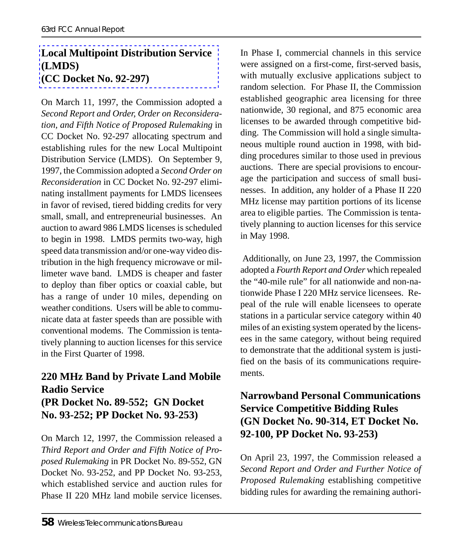#### **Local Multipoint Distribution Service (LMDS) (CC Docket No. 92-297)**

On March 11, 1997, the Commission adopted a *Second Report and Order, Order on Reconsideration, and Fifth Notice of Proposed Rulemaking* in CC Docket No. 92-297 allocating spectrum and establishing rules for the new Local Multipoint Distribution Service (LMDS). On September 9, 1997, the Commission adopted a *Second Order on Reconsideration* in CC Docket No. 92-297 eliminating installment payments for LMDS licensees in favor of revised, tiered bidding credits for very small, small, and entrepreneurial businesses. An auction to award 986 LMDS licenses is scheduled to begin in 1998. LMDS permits two-way, high speed data transmission and/or one-way video distribution in the high frequency microwave or millimeter wave band. LMDS is cheaper and faster to deploy than fiber optics or coaxial cable, but has a range of under 10 miles, depending on weather conditions. Users will be able to communicate data at faster speeds than are possible with conventional modems. The Commission is tentatively planning to auction licenses for this service in the First Quarter of 1998.

#### **220 MHz Band by Private Land Mobile Radio Service (PR Docket No. 89-552; GN Docket No. 93-252; PP Docket No. 93-253)**

On March 12, 1997, the Commission released a *Third Report and Order and Fifth Notice of Proposed Rulemaking* in PR Docket No. 89-552, GN Docket No. 93-252, and PP Docket No. 93-253, which established service and auction rules for Phase II 220 MHz land mobile service licenses.

In Phase I, commercial channels in this service were assigned on a first-come, first-served basis, with mutually exclusive applications subject to random selection. For Phase II, the Commission established geographic area licensing for three nationwide, 30 regional, and 875 economic area licenses to be awarded through competitive bidding. The Commission will hold a single simultaneous multiple round auction in 1998, with bidding procedures similar to those used in previous auctions. There are special provisions to encourage the participation and success of small businesses. In addition, any holder of a Phase II 220 MHz license may partition portions of its license area to eligible parties. The Commission is tentatively planning to auction licenses for this service in May 1998.

 Additionally, on June 23, 1997, the Commission adopted a *Fourth Report and Order* which repealed the "40-mile rule" for all nationwide and non-nationwide Phase I 220 MHz service licensees. Repeal of the rule will enable licensees to operate stations in a particular service category within 40 miles of an existing system operated by the licensees in the same category, without being required to demonstrate that the additional system is justified on the basis of its communications requirements.

#### **Narrowband Personal Communications Service Competitive Bidding Rules (GN Docket No. 90-314, ET Docket No. 92-100, PP Docket No. 93-253)**

On April 23, 1997, the Commission released a *Second Report and Order and Further Notice of Proposed Rulemaking* establishing competitive bidding rules for awarding the remaining authori-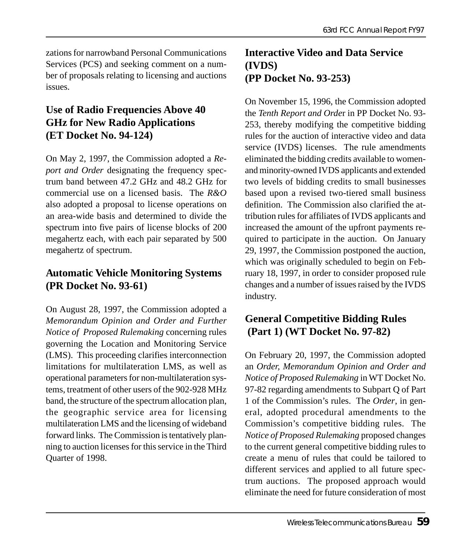zations for narrowband Personal Communications Services (PCS) and seeking comment on a number of proposals relating to licensing and auctions issues.

#### **Use of Radio Frequencies Above 40 GHz for New Radio Applications (ET Docket No. 94-124)**

On May 2, 1997, the Commission adopted a *Report and Order* designating the frequency spectrum band between 47.2 GHz and 48.2 GHz for commercial use on a licensed basis. The *R&O* also adopted a proposal to license operations on an area-wide basis and determined to divide the spectrum into five pairs of license blocks of 200 megahertz each, with each pair separated by 500 megahertz of spectrum.

#### **Automatic Vehicle Monitoring Systems (PR Docket No. 93-61)**

On August 28, 1997, the Commission adopted a *Memorandum Opinion and Order and Further Notice of Proposed Rulemaking* concerning rules governing the Location and Monitoring Service (LMS). This proceeding clarifies interconnection limitations for multilateration LMS, as well as operational parameters for non-multilateration systems, treatment of other users of the 902-928 MHz band, the structure of the spectrum allocation plan, the geographic service area for licensing multilateration LMS and the licensing of wideband forward links. The Commission is tentatively planning to auction licenses for this service in the Third Quarter of 1998.

#### **Interactive Video and Data Service (IVDS) (PP Docket No. 93-253)**

On November 15, 1996, the Commission adopted the *Tenth Report and Orde*r in PP Docket No. 93- 253, thereby modifying the competitive bidding rules for the auction of interactive video and data service (IVDS) licenses. The rule amendments eliminated the bidding credits available to womenand minority-owned IVDS applicants and extended two levels of bidding credits to small businesses based upon a revised two-tiered small business definition. The Commission also clarified the attribution rules for affiliates of IVDS applicants and increased the amount of the upfront payments required to participate in the auction. On January 29, 1997, the Commission postponed the auction, which was originally scheduled to begin on February 18, 1997, in order to consider proposed rule changes and a number of issues raised by the IVDS industry.

#### **General Competitive Bidding Rules (Part 1) (WT Docket No. 97-82)**

On February 20, 1997, the Commission adopted an *Order, Memorandum Opinion and Order and Notice of Proposed Rulemaking* in WT Docket No. 97-82 regarding amendments to Subpart Q of Part 1 of the Commission's rules. The *Order*, in general, adopted procedural amendments to the Commission's competitive bidding rules. The *Notice of Proposed Rulemaking* proposed changes to the current general competitive bidding rules to create a menu of rules that could be tailored to different services and applied to all future spectrum auctions. The proposed approach would eliminate the need for future consideration of most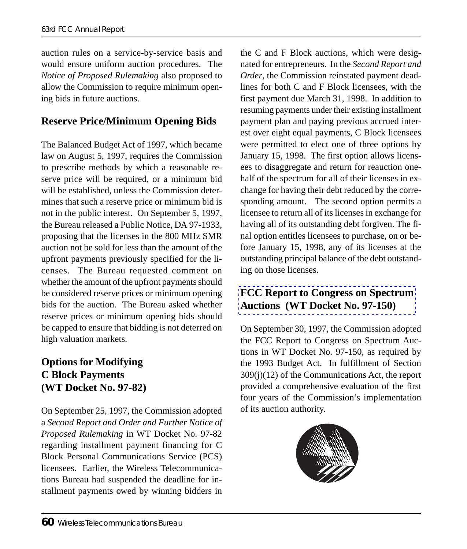auction rules on a service-by-service basis and would ensure uniform auction procedures. The *Notice of Proposed Rulemaking* also proposed to allow the Commission to require minimum opening bids in future auctions.

#### **Reserve Price/Minimum Opening Bids**

The Balanced Budget Act of 1997, which became law on August 5, 1997, requires the Commission to prescribe methods by which a reasonable reserve price will be required, or a minimum bid will be established, unless the Commission determines that such a reserve price or minimum bid is not in the public interest. On September 5, 1997, the Bureau released a Public Notice, DA 97-1933, proposing that the licenses in the 800 MHz SMR auction not be sold for less than the amount of the upfront payments previously specified for the licenses. The Bureau requested comment on whether the amount of the upfront payments should be considered reserve prices or minimum opening bids for the auction. The Bureau asked whether reserve prices or minimum opening bids should be capped to ensure that bidding is not deterred on high valuation markets.

#### **Options for Modifying C Block Payments (WT Docket No. 97-82)**

On September 25, 1997, the Commission adopted a *Second Report and Order and Further Notice of Proposed Rulemaking* in WT Docket No. 97-82 regarding installment payment financing for C Block Personal Communications Service (PCS) licensees. Earlier, the Wireless Telecommunications Bureau had suspended the deadline for installment payments owed by winning bidders in

the C and F Block auctions, which were designated for entrepreneurs. In the *Second Report and Order*, the Commission reinstated payment deadlines for both C and F Block licensees, with the first payment due March 31, 1998. In addition to resuming payments under their existing installment payment plan and paying previous accrued interest over eight equal payments, C Block licensees were permitted to elect one of three options by January 15, 1998. The first option allows licensees to disaggregate and return for reauction onehalf of the spectrum for all of their licenses in exchange for having their debt reduced by the corresponding amount. The second option permits a licensee to return all of its licenses in exchange for having all of its outstanding debt forgiven. The final option entitles licensees to purchase, on or be[fore January 15, 1998, any of its licenses at th](http://www.fcc.gov/wtb/auctions/papers/fc970353.pdf)e outstanding principal balance of the debt outstanding on those licenses.

#### **FCC Report to Congress on Spectrum Auctions (WT Docket No. 97-150)**

On September 30, 1997, the Commission adopted the FCC Report to Congress on Spectrum Auctions in WT Docket No. 97-150, as required by the 1993 Budget Act. In fulfillment of Section 309(j)(12) of the Communications Act, the report provided a comprehensive evaluation of the first four years of the Commission's implementation of its auction authority.

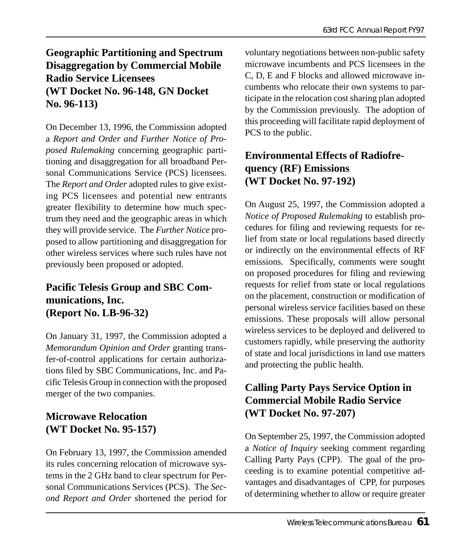### **Geographic Partitioning and Spectrum Disaggregation by Commercial Mobile Radio Service Licensees (WT Docket No. 96-148, GN Docket No. 96-113)**

On December 13, 1996, the Commission adopted a *Report and Order and Further Notice of Proposed Rulemaking* concerning geographic partitioning and disaggregation for all broadband Personal Communications Service (PCS) licensees. The *Report and Order* adopted rules to give existing PCS licensees and potential new entrants greater flexibility to determine how much spectrum they need and the geographic areas in which they will provide service. The *Further Notice* proposed to allow partitioning and disaggregation for other wireless services where such rules have not previously been proposed or adopted.

#### **Pacific Telesis Group and SBC Communications, Inc. (Report No. LB-96-32)**

On January 31, 1997, the Commission adopted a *Memorandum Opinion and Order* granting transfer-of-control applications for certain authorizations filed by SBC Communications, Inc. and Pacific Telesis Group in connection with the proposed merger of the two companies.

#### **Microwave Relocation (WT Docket No. 95-157)**

On February 13, 1997, the Commission amended its rules concerning relocation of microwave systems in the 2 GHz band to clear spectrum for Personal Communications Services (PCS). The *Second Report and Order* shortened the period for

voluntary negotiations between non-public safety microwave incumbents and PCS licensees in the C, D, E and F blocks and allowed microwave incumbents who relocate their own systems to participate in the relocation cost sharing plan adopted by the Commission previously. The adoption of this proceeding will facilitate rapid deployment of PCS to the public.

#### **Environmental Effects of Radiofrequency (RF) Emissions (WT Docket No. 97-192)**

On August 25, 1997, the Commission adopted a *Notice of Proposed Rulemaking* to establish procedures for filing and reviewing requests for relief from state or local regulations based directly or indirectly on the environmental effects of RF emissions. Specifically, comments were sought on proposed procedures for filing and reviewing requests for relief from state or local regulations on the placement, construction or modification of personal wireless service facilities based on these emissions. These proposals will allow personal wireless services to be deployed and delivered to customers rapidly, while preserving the authority of state and local jurisdictions in land use matters and protecting the public health.

#### **Calling Party Pays Service Option in Commercial Mobile Radio Service (WT Docket No. 97-207)**

On September 25, 1997, the Commission adopted a *Notice of Inquiry* seeking comment regarding Calling Party Pays (CPP). The goal of the proceeding is to examine potential competitive advantages and disadvantages of CPP, for purposes of determining whether to allow or require greater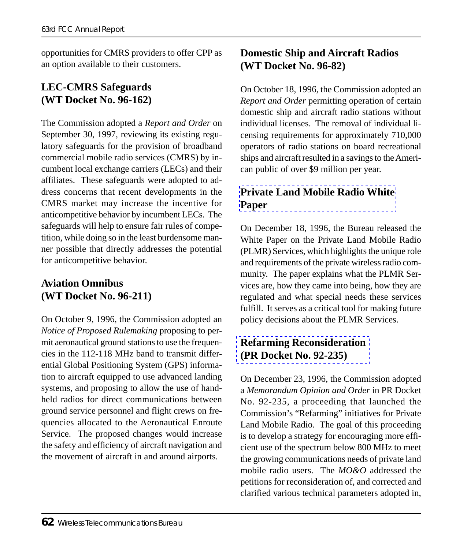opportunities for CMRS providers to offer CPP as an option available to their customers.

#### **LEC-CMRS Safeguards (WT Docket No. 96-162)**

The Commission adopted a *Report and Order* on September 30, 1997, reviewing its existing regulatory safeguards for the provision of broadband commercial mobile radio services (CMRS) by incumbent local exchange carriers (LECs) and their affiliates. These safeguards were adopted to address concerns that recent developments in the CMRS market may increase the incentive for anticompetitive behavior by incumbent LECs. The safeguards will help to ensure fair rules of competition, while doing so in the least burdensome manner possible that directly addresses the potential for anticompetitive behavior.

#### **Aviation Omnibus (WT Docket No. 96-211)**

On October 9, 1996, the Commission adopted an *Notice of Proposed Rulemaking* proposing to permit aeronautical ground stations to use the frequencies in the 112-118 MHz band to transmit differential Global Positioning System (GPS) information to aircraft equipped to use advanced landing systems, and proposing to allow the use of handheld radios for direct communications between ground service personnel and flight crews on frequencies allocated to the Aeronautical Enroute Service. The proposed changes would increase the safety and efficiency of aircraft navigation and the movement of aircraft in and around airports.

#### **Domestic Ship and Aircraft Radios (WT Docket No. 96-82)**

On October 18, 1996, the Commission adopted an *Report and Order* permitting operation of certain domestic ship and aircraft radio stations without individual licenses. The removal of individual licensing requirements for approximately 710,000 [operators of radio stations on board recre](http://www.fcc.gov/wtb/whtepapr.pdf)ational ships and aircraft resulted in a savings to the American public of over \$9 million per year.

#### **Private Land Mobile Radio White Paper**

On December 18, 1996, the Bureau released the White Paper on the Private Land Mobile Radio (PLMR) Services, which highlights the unique role and requirements of the private wireless radio community. The paper explains what the PLMR Ser[vices are, how they came into being](http://www.fcc.gov/wtb/plmrs/plmrs.html), how they are regulated and what special needs these services fulfill. It serves as a critical tool for making future policy decisions about the PLMR Services.

#### **Refarming Reconsideration (PR Docket No. 92-235)**

On December 23, 1996, the Commission adopted a *Memorandum Opinion and Order* in PR Docket No. 92-235, a proceeding that launched the Commission's "Refarming" initiatives for Private Land Mobile Radio. The goal of this proceeding is to develop a strategy for encouraging more efficient use of the spectrum below 800 MHz to meet the growing communications needs of private land mobile radio users. The *MO&O* addressed the petitions for reconsideration of, and corrected and clarified various technical parameters adopted in,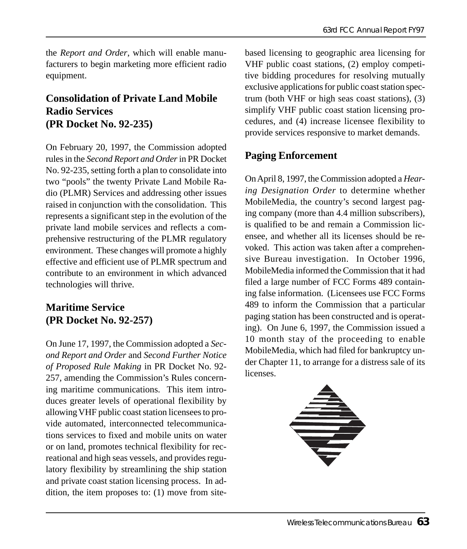the *Report and Order*, which will enable manufacturers to begin marketing more efficient radio equipment.

#### **Consolidation of Private Land Mobile Radio Services (PR Docket No. 92-235)**

On February 20, 1997, the Commission adopted rules in the *Second Report and Order* in PR Docket No. 92-235, setting forth a plan to consolidate into two "pools" the twenty Private Land Mobile Radio (PLMR) Services and addressing other issues raised in conjunction with the consolidation. This represents a significant step in the evolution of the private land mobile services and reflects a comprehensive restructuring of the PLMR regulatory environment. These changes will promote a highly effective and efficient use of PLMR spectrum and contribute to an environment in which advanced technologies will thrive.

#### **Maritime Service (PR Docket No. 92-257)**

On June 17, 1997, the Commission adopted a *Second Report and Order* and *Second Further Notice of Proposed Rule Making* in PR Docket No. 92- 257, amending the Commission's Rules concerning maritime communications. This item introduces greater levels of operational flexibility by allowing VHF public coast station licensees to provide automated, interconnected telecommunications services to fixed and mobile units on water or on land, promotes technical flexibility for recreational and high seas vessels, and provides regulatory flexibility by streamlining the ship station and private coast station licensing process. In addition, the item proposes to: (1) move from site-

based licensing to geographic area licensing for VHF public coast stations, (2) employ competitive bidding procedures for resolving mutually exclusive applications for public coast station spectrum (both VHF or high seas coast stations), (3) simplify VHF public coast station licensing procedures, and (4) increase licensee flexibility to provide services responsive to market demands.

#### **Paging Enforcement**

On April 8, 1997, the Commission adopted a *Hearing Designation Order* to determine whether MobileMedia, the country's second largest paging company (more than 4.4 million subscribers), is qualified to be and remain a Commission licensee, and whether all its licenses should be revoked. This action was taken after a comprehensive Bureau investigation. In October 1996, MobileMedia informed the Commission that it had filed a large number of FCC Forms 489 containing false information. (Licensees use FCC Forms 489 to inform the Commission that a particular paging station has been constructed and is operating). On June 6, 1997, the Commission issued a 10 month stay of the proceeding to enable MobileMedia, which had filed for bankruptcy under Chapter 11, to arrange for a distress sale of its licenses.

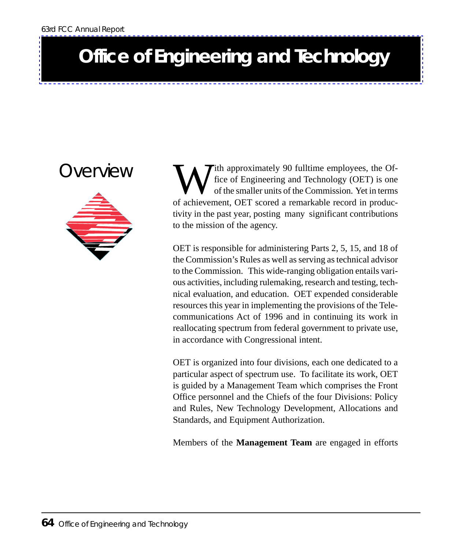## **Office of Engineering and Technology**

### Overview



Tith approximately 90 fulltime employees, the Office of Engineering and Technology (OET) is one of the smaller units of the Commission. Yet in terms of achievement, OET scored a remarkable record in productivity in the past year, posting many significant contributions to the mission of the agency.

OET is responsible for administering Parts 2, 5, 15, and 18 of the Commission's Rules as well as serving as technical advisor to the Commission. This wide-ranging obligation entails various activities, including rulemaking, research and testing, technical evaluation, and education. OET expended considerable resources this year in implementing the provisions of the Telecommunications Act of 1996 and in continuing its work in reallocating spectrum from federal government to private use, in accordance with Congressional intent.

OET is organized into four divisions, each one dedicated to a particular aspect of spectrum use. To facilitate its work, OET is guided by a Management Team which comprises the Front Office personnel and the Chiefs of the four Divisions: Policy and Rules, New Technology Development, Allocations and Standards, and Equipment Authorization.

Members of the **Management Team** are engaged in efforts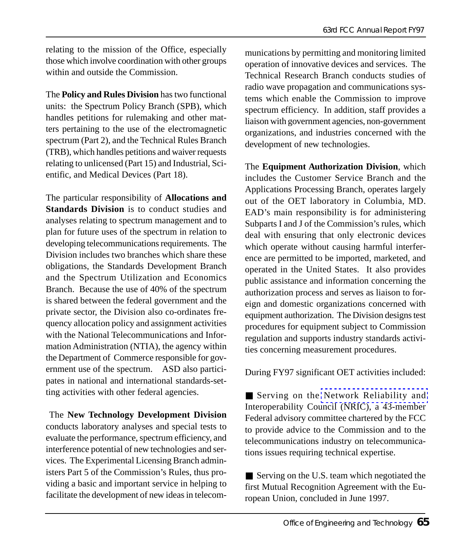relating to the mission of the Office, especially those which involve coordination with other groups within and outside the Commission.

The **Policy and Rules Division** has two functional units: the Spectrum Policy Branch (SPB), which handles petitions for rulemaking and other matters pertaining to the use of the electromagnetic spectrum (Part 2), and the Technical Rules Branch (TRB), which handles petitions and waiver requests relating to unlicensed (Part 15) and Industrial, Scientific, and Medical Devices (Part 18).

The particular responsibility of **Allocations and Standards Division** is to conduct studies and analyses relating to spectrum management and to plan for future uses of the spectrum in relation to developing telecommunications requirements. The Division includes two branches which share these obligations, the Standards Development Branch and the Spectrum Utilization and Economics Branch. Because the use of 40% of the spectrum is shared between the federal government and the private sector, the Division also co-ordinates frequency allocation policy and assignment activities with the National Telecommunications and Information Administration (NTIA), the agency within the Department of Commerce responsible for government use of the spectrum. ASD also participates in national and international standards-setting activities with other federal agencies.

 The **New Technology Development Division** conducts laboratory analyses and special tests to evaluate the performance, spectrum efficiency, and interference potential of new technologies and services. The Experimental Licensing Branch administers Part 5 of the Commission's Rules, thus providing a basic and important service in helping to facilitate the development of new ideas in telecommunications by permitting and monitoring limited operation of innovative devices and services. The Technical Research Branch conducts studies of radio wave propagation and communications systems which enable the Commission to improve spectrum efficiency. In addition, staff provides a liaison with government agencies, non-government organizations, and industries concerned with the development of new technologies.

The **Equipment Authorization Division**, which includes the Customer Service Branch and the Applications Processing Branch, operates largely out of the OET laboratory in Columbia, MD. EAD's main responsibility is for administering Subparts I and J of the Commission's rules, which deal with ensuring that only electronic devices which operate without causing harmful interference are permitted to be imported, marketed, and operated in the United States. It also provides public assistance and information concerning the authorization process and serves as liaison to foreign and domestic organizations concerned with equipment authorization. The Division designs test procedures for equipment subject to Commission regulation and supp[orts industry standards activi](http://www.fcc.gov/oet/nric/)ties concerning measurement procedures.

During FY97 significant OET activities included:

■ Serving on the Network Reliability and Interoperability Council (NRIC), a 43-member Federal advisory committee chartered by the FCC to provide advice to the Commission and to the telecommunications industry on telecommunications issues requiring technical expertise.

■ Serving on the U.S. team which negotiated the first Mutual Recognition Agreement with the European Union, concluded in June 1997.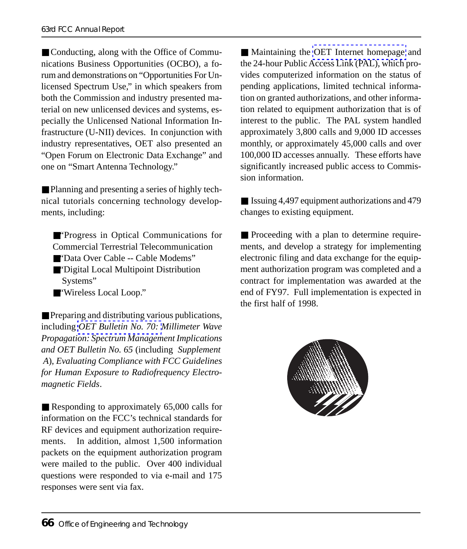■ Conducting, along with the Office of Communications Business Opportunities (OCBO), a forum and demonstrations on "Opportunities For Unlicensed Spectrum Use," in which speakers from both the Commission and industry presented material on new unlicensed devices and systems, especially the Unlicensed National Information Infrastructure (U-NII) devices. In conjunction with industry representatives, OET also presented an "Open Forum on Electronic Data Exchange" and one on "Smart Antenna Technology."

■ Planning and presenting a series of highly technical tutorials concerning technology developments, including:

■"Progress in Optical Communications for Commercial Terrestrial Telecommunication

- ■"Data Over Cable -- Cable Modems"
- ■"Dig[ital Local Multipoint D](http://www.fcc.gov/oet/info/documents/bulletins/#70)istribution Systems"
- ■"Wireless Local Loop."

■ Preparing and distributing various publications, including *OET Bulletin No. 70: Millimeter Wave Propagation: Spectrum Management Implications and OET Bulletin No. 65* (including *Supplement A*), *Evaluating Compliance with FCC Guidelines for Human Exposure to Radiofrequency Electromagnetic Fields*.

■ Responding to approximately 65,000 calls for information on the FCC's technical standards for RF devices and equipment authorization requirements. In addition, almost 1,500 information packets on the equipment authorization program were mailed to the public. Over 400 individual questions were responded to via e-mail and 175 responses were sent via fax.

■ Maintaining the OET Internet homepage and the 24-hour Public Access Link (PAL), which provides computerized information on the status of pending applications, limited technical information on granted authorizations, and other information related to equipment authorization that is of interest to the public. The PAL system handled approximately 3,800 calls and 9,000 ID accesses monthly, or approximately 45,000 calls and over 100,000 ID accesses annually. These efforts have significantly increased public access to Commission information.

■ Issuing 4,497 equipment authorizations and 479 changes to existing equipment.

■ Proceeding with a plan to determine requirements, and develop a strategy for implementing electronic filing and data exchange for the equipment authorization program was completed and a contract for implementation was awarded at the end of FY97. Full implementation is expected in the first half of 1998.

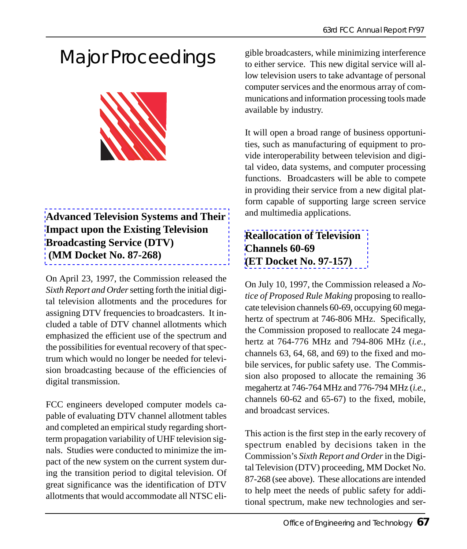# Major Proceedings



#### **Advanced Television Systems and Their Impact upon the Existing Television Broadcasting Service (DTV) (MM Docket No. 87-268)**

On April 23, 1997, the Commission released the *Sixth Report and Order* setting forth the initial digital television allotments and the procedures for assigning DTV frequencies to broadcasters. It included a table of DTV channel allotments which emphasized the efficient use of the spectrum and the possibilities for eventual recovery of that spectrum which would no longer be needed for television broadcasting because of the efficiencies of digital transmission.

FCC engineers developed computer models capable of evaluating DTV channel allotment tables and completed an empirical study regarding shortterm propagation variability of UHF television signals. Studies were conducted to minimize the impact of the new system on the current system during the transition period to digital television. Of great significance was the identification of DTV allotments that would accommodate all NTSC eli-

gible broadcasters, while minimizing interference to either service. This new digital service will allow television users to take advantage of personal computer services and the enormous array of communications and information processing tools made available by industry.

It will open a broad range of business opportunities, such as manufacturing of equipment to provide interoperability between television and digital video, data systems, and computer processing functions. Broadcasters will be able to compete [in providing their service from a n](http://www.fcc.gov/oet/dockets/et97-157/)ew digital platform capable of supporting large screen service and multimedia applications.

#### **Reallocation of Television Channels 60-69 (ET Docket No. 97-157)**

On July 10, 1997, the Commission released a *Notice of Proposed Rule Making* proposing to reallocate television channels 60-69, occupying 60 megahertz of spectrum at 746-806 MHz. Specifically, the Commission proposed to reallocate 24 megahertz at 764-776 MHz and 794-806 MHz (*i.e.*, channels 63, 64, 68, and 69) to the fixed and mobile services, for public safety use. The Commission also proposed to allocate the remaining 36 megahertz at 746-764 MHz and 776-794 MHz (*i.e.*, channels 60-62 and 65-67) to the fixed, mobile, and broadcast services.

This action is the first step in the early recovery of spectrum enabled by decisions taken in the Commission's *Sixth Report and Order* in the Digital Television (DTV) proceeding, MM Docket No. 87-268 (see above). These allocations are intended to help meet the needs of public safety for additional spectrum, make new technologies and ser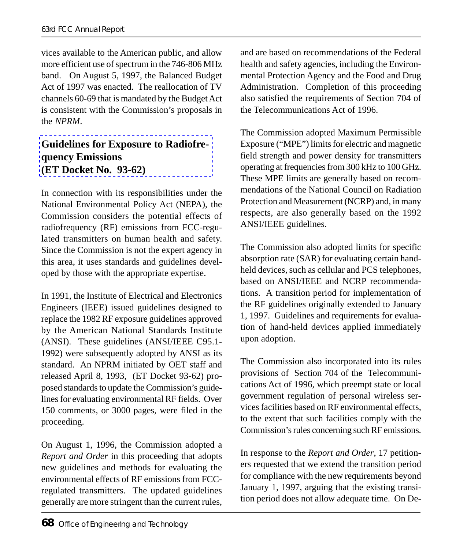vices available to the American public, and allow more efficient use of spectrum in the 746-806 MHz band. On August 5, 1997, the Balanced Budget [Act of 1997 was enacted. The reallocation of T](http://www.fcc.gov/oet/dockets/et93-62/)V channels 60-69 that is mandated by the Budget Act is consistent with the Commission's proposals in the *NPRM*.

#### **Guidelines for Exposure to Radiofrequency Emissions (ET Docket No. 93-62)**

In connection with its responsibilities under the National Environmental Policy Act (NEPA), the Commission considers the potential effects of radiofrequency (RF) emissions from FCC-regulated transmitters on human health and safety. Since the Commission is not the expert agency in this area, it uses standards and guidelines developed by those with the appropriate expertise.

In 1991, the Institute of Electrical and Electronics Engineers (IEEE) issued guidelines designed to replace the 1982 RF exposure guidelines approved by the American National Standards Institute (ANSI). These guidelines (ANSI/IEEE C95.1- 1992) were subsequently adopted by ANSI as its standard. An NPRM initiated by OET staff and released April 8, 1993, (ET Docket 93-62) proposed standards to update the Commission's guidelines for evaluating environmental RF fields. Over 150 comments, or 3000 pages, were filed in the proceeding.

On August 1, 1996, the Commission adopted a *Report and Order* in this proceeding that adopts new guidelines and methods for evaluating the environmental effects of RF emissions from FCCregulated transmitters. The updated guidelines generally are more stringent than the current rules, and are based on recommendations of the Federal health and safety agencies, including the Environmental Protection Agency and the Food and Drug Administration. Completion of this proceeding also satisfied the requirements of Section 704 of the Telecommunications Act of 1996.

The Commission adopted Maximum Permissible Exposure ("MPE") limits for electric and magnetic field strength and power density for transmitters operating at frequencies from 300 kHz to 100 GHz. These MPE limits are generally based on recommendations of the National Council on Radiation Protection and Measurement (NCRP) and, in many respects, are also generally based on the 1992 ANSI/IEEE guidelines.

The Commission also adopted limits for specific absorption rate (SAR) for evaluating certain handheld devices, such as cellular and PCS telephones, based on ANSI/IEEE and NCRP recommendations. A transition period for implementation of the RF guidelines originally extended to January 1, 1997. Guidelines and requirements for evaluation of hand-held devices applied immediately upon adoption.

The Commission also incorporated into its rules provisions of Section 704 of the Telecommunications Act of 1996, which preempt state or local government regulation of personal wireless services facilities based on RF environmental effects, to the extent that such facilities comply with the Commission's rules concerning such RF emissions.

In response to the *Report and Order*, 17 petitioners requested that we extend the transition period for compliance with the new requirements beyond January 1, 1997, arguing that the existing transition period does not allow adequate time. On De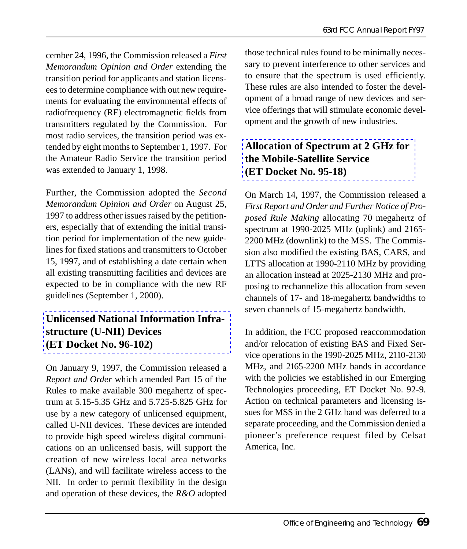cember 24, 1996, the Commission released a *First Memorandum Opinion and Order* extending the transition period for applicants and station licensees to determine compliance with out new requirements for evaluating the environmental effects of radiofrequency (RF) electromagnetic fields from transmitters regulated by the Commission. For most radio services, the transition period was extended by eight months to September 1, 1997. For the Amateur Radio Service the transition period was extended to January 1, 1998.

Further, the Commission adopted the *Second Memorandum Opinion and Order* on August 25, 1997 to address other issues raised by the petitioners, especially that of extending the initial transition period for implementation of the new guidelines for fixed stations and transmitters to October [15, 1997, and of establishing a date certain when](http://www.fcc.gov/oet/dockets/et96-102/) all existing transmitting facilities and devices are expected to be in compliance with the new RF guidelines (September 1, 2000).

#### **Unlicensed National Information Infrastructure (U-NII) Devices (ET Docket No. 96-102)**

On January 9, 1997, the Commission released a *Report and Order* which amended Part 15 of the Rules to make available 300 megahertz of spectrum at 5.15-5.35 GHz and 5.725-5.825 GHz for use by a new category of unlicensed equipment, called U-NII devices. These devices are intended to provide high speed wireless digital communications on an unlicensed basis, will support the creation of new wireless local area networks (LANs), and will facilitate wireless access to the NII. In order to permit flexibility in the design and operation of these devices, the *R&O* adopted those technical rules found to be minimally necessary to prevent interference to other services and to ensure that the spectrum is used efficiently. These rules are also intended to foster the devel[opment of a broad range of new devices and s](http://www.fcc.gov/oet/dockets/et95-18/)ervice offerings that will stimulate economic development and the growth of new industries.

#### **Allocation of Spectrum at 2 GHz for the Mobile-Satellite Service (ET Docket No. 95-18)**

On March 14, 1997, the Commission released a *First Report and Order and Further Notice of Proposed Rule Making* allocating 70 megahertz of spectrum at 1990-2025 MHz (uplink) and 2165- 2200 MHz (downlink) to the MSS. The Commission also modified the existing BAS, CARS, and LTTS allocation at 1990-2110 MHz by providing an allocation instead at 2025-2130 MHz and proposing to rechannelize this allocation from seven channels of 17- and 18-megahertz bandwidths to seven channels of 15-megahertz bandwidth.

In addition, the FCC proposed reaccommodation and/or relocation of existing BAS and Fixed Service operations in the 1990-2025 MHz, 2110-2130 MHz, and 2165-2200 MHz bands in accordance with the policies we established in our Emerging Technologies proceeding, ET Docket No. 92-9. Action on technical parameters and licensing issues for MSS in the 2 GHz band was deferred to a separate proceeding, and the Commission denied a pioneer's preference request filed by Celsat America, Inc.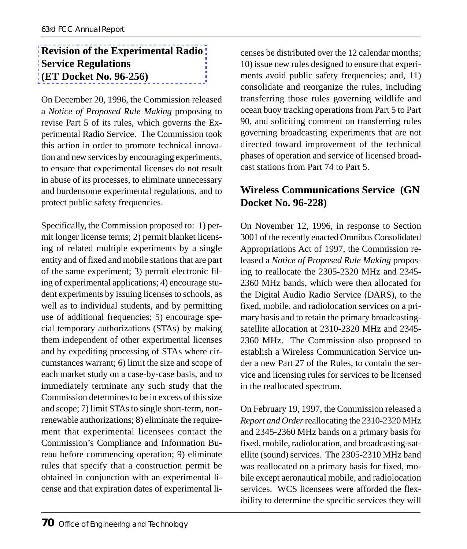#### **Revision of the Experimental Radio Service Regulations (ET Docket No. 96-256)**

On December 20, 1996, the Commission released a *Notice of Proposed Rule Making* proposing to revise Part 5 of its rules, which governs the Experimental Radio Service. The Commission took this action in order to promote technical innovation and new services by encouraging experiments, to ensure that experimental licenses do not result in abuse of its processes, to eliminate unnecessary and burdensome experimental regulations, and to protect public safety frequencies.

Specifically, the Commission proposed to: 1) permit longer license terms; 2) permit blanket licensing of related multiple experiments by a single entity and of fixed and mobile stations that are part of the same experiment; 3) permit electronic filing of experimental applications; 4) encourage student experiments by issuing licenses to schools, as well as to individual students, and by permitting use of additional frequencies; 5) encourage special temporary authorizations (STAs) by making them independent of other experimental licenses and by expediting processing of STAs where circumstances warrant; 6) limit the size and scope of each market study on a case-by-case basis, and to immediately terminate any such study that the Commission determines to be in excess of this size and scope; 7) limit STAs to single short-term, nonrenewable authorizations; 8) eliminate the requirement that experimental licensees contact the Commission's Compliance and Information Bureau before commencing operation; 9) eliminate rules that specify that a construction permit be obtained in conjunction with an experimental license and that expiration dates of experimental li-

censes be distributed over the 12 calendar months; 10) issue new rules designed to ensure that experiments avoid public safety frequencies; and, 11) consolidate and reorganize the rules, including transferring those rules governing wildlife and ocean buoy tracking operations from Part 5 to Part 90, and soliciting comment on transferring rules governing broadcasting experiments that are not directed toward improvement of the technical phases of operation and service of licensed broadcast stations from Part 74 to Part 5.

#### **Wireless Communications Service (GN Docket No. 96-228)**

On November 12, 1996, in response to Section 3001 of the recently enacted Omnibus Consolidated Appropriations Act of 1997, the Commission released a *Notice of Proposed Rule Making* proposing to reallocate the 2305-2320 MHz and 2345- 2360 MHz bands, which were then allocated for the Digital Audio Radio Service (DARS), to the fixed, mobile, and radiolocation services on a primary basis and to retain the primary broadcastingsatellite allocation at 2310-2320 MHz and 2345- 2360 MHz. The Commission also proposed to establish a Wireless Communication Service under a new Part 27 of the Rules, to contain the service and licensing rules for services to be licensed in the reallocated spectrum.

On February 19, 1997, the Commission released a *Report and Order* reallocating the 2310-2320 MHz and 2345-2360 MHz bands on a primary basis for fixed, mobile, radiolocation, and broadcasting-satellite (sound) services. The 2305-2310 MHz band was reallocated on a primary basis for fixed, mobile except aeronautical mobile, and radiolocation services. WCS licensees were afforded the flexibility to determine the specific services they will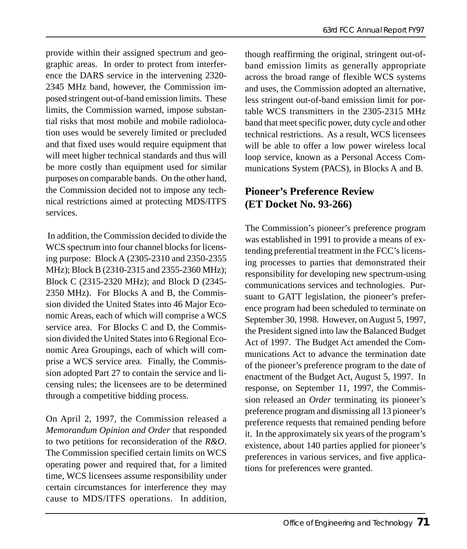provide within their assigned spectrum and geographic areas. In order to protect from interference the DARS service in the intervening 2320- 2345 MHz band, however, the Commission imposed stringent out-of-band emission limits. These limits, the Commission warned, impose substantial risks that most mobile and mobile radiolocation uses would be severely limited or precluded and that fixed uses would require equipment that will meet higher technical standards and thus will be more costly than equipment used for similar purposes on comparable bands. On the other hand, the Commission decided not to impose any technical restrictions aimed at protecting MDS/ITFS services.

 In addition, the Commission decided to divide the WCS spectrum into four channel blocks for licensing purpose: Block A (2305-2310 and 2350-2355 MHz); Block B (2310-2315 and 2355-2360 MHz); Block C (2315-2320 MHz); and Block D (2345- 2350 MHz). For Blocks A and B, the Commission divided the United States into 46 Major Economic Areas, each of which will comprise a WCS service area. For Blocks C and D, the Commission divided the United States into 6 Regional Economic Area Groupings, each of which will comprise a WCS service area. Finally, the Commission adopted Part 27 to contain the service and licensing rules; the licensees are to be determined through a competitive bidding process.

On April 2, 1997, the Commission released a *Memorandum Opinion and Order* that responded to two petitions for reconsideration of the *R&O*. The Commission specified certain limits on WCS operating power and required that, for a limited time, WCS licensees assume responsibility under certain circumstances for interference they may cause to MDS/ITFS operations. In addition,

though reaffirming the original, stringent out-ofband emission limits as generally appropriate across the broad range of flexible WCS systems and uses, the Commission adopted an alternative, less stringent out-of-band emission limit for portable WCS transmitters in the 2305-2315 MHz band that meet specific power, duty cycle and other technical restrictions. As a result, WCS licensees will be able to offer a low power wireless local loop service, known as a Personal Access Communications System (PACS), in Blocks A and B.

#### **Pioneer's Preference Review (ET Docket No. 93-266)**

The Commission's pioneer's preference program was established in 1991 to provide a means of extending preferential treatment in the FCC's licensing processes to parties that demonstrated their responsibility for developing new spectrum-using communications services and technologies. Pursuant to GATT legislation, the pioneer's preference program had been scheduled to terminate on September 30, 1998. However, on August 5, 1997, the President signed into law the Balanced Budget Act of 1997. The Budget Act amended the Communications Act to advance the termination date of the pioneer's preference program to the date of enactment of the Budget Act, August 5, 1997. In response, on September 11, 1997, the Commission released an *Order* terminating its pioneer's preference program and dismissing all 13 pioneer's preference requests that remained pending before it. In the approximately six years of the program's existence, about 140 parties applied for pioneer's preferences in various services, and five applications for preferences were granted.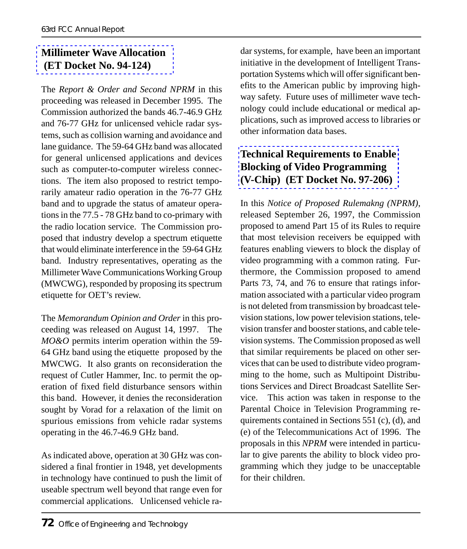#### **Millimeter Wave Allocation (ET Docket No. 94-124)**

The *Report & Order and Second NPRM* in this proceeding was released in December 1995. The Commission authorized the bands 46.7-46.9 GHz and 76-77 GHz for unlicensed vehicle radar systems, such as collision warning and avoidance and lane guidance. The 59-64 GHz band was allocated for general unlicensed applications and devices such as computer-to-computer wireless connections. The item also proposed to restrict temporarily amateur radio operation in the 76-77 GHz band and to upgrade the status of amateur operations in the 77.5 - 78 GHz band to co-primary with the radio location service. The Commission proposed that industry develop a spectrum etiquette that would eliminate interference in the 59-64 GHz band. Industry representatives, operating as the Millimeter Wave Communications Working Group (MWCWG), responded by proposing its spectrum etiquette for OET's review.

The *Memorandum Opinion and Order* in this proceeding was released on August 14, 1997. The *MO&O* permits interim operation within the 59- 64 GHz band using the etiquette proposed by the MWCWG. It also grants on reconsideration the request of Cutler Hammer, Inc. to permit the operation of fixed field disturbance sensors within this band. However, it denies the reconsideration sought by Vorad for a relaxation of the limit on spurious emissions from vehicle radar systems operating in the 46.7-46.9 GHz band.

As indicated above, operation at 30 GHz was considered a final frontier in 1948, yet developments in technology have continued to push the limit of useable spectrum well beyond that range even for commercial applications. Unlicensed vehicle radar systems, for example, have been an important initiative in the development of Intelligent Transportation Systems which will offer significant benefits to the American public by improving high[way safety. Future uses of millimeter wave](http://www.fcc.gov/oet/dockets/et97-206/) technology could include educational or medical applications, such as improved access to libraries or other information data bases.

#### **Technical Requirements to Enable Blocking of Video Programming (V-Chip) (ET Docket No. 97-206)**

In this *Notice of Proposed Rulemakng (NPRM)*, released September 26, 1997, the Commission proposed to amend Part 15 of its Rules to require that most television receivers be equipped with features enabling viewers to block the display of video programming with a common rating. Furthermore, the Commission proposed to amend Parts 73, 74, and 76 to ensure that ratings information associated with a particular video program is not deleted from transmission by broadcast television stations, low power television stations, television transfer and booster stations, and cable television systems. The Commission proposed as well that similar requirements be placed on other services that can be used to distribute video programming to the home, such as Multipoint Distributions Services and Direct Broadcast Satellite Service. This action was taken in response to the Parental Choice in Television Programming requirements contained in Sections 551 (c), (d), and (e) of the Telecommunications Act of 1996. The proposals in this *NPRM* were intended in particular to give parents the ability to block video programming which they judge to be unacceptable for their children.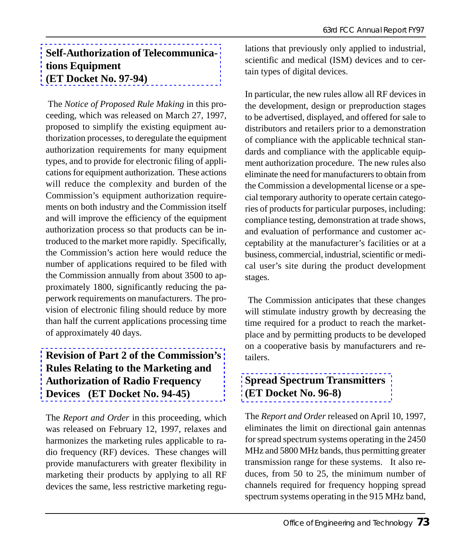#### **Self-Authorization of Telecommunications Equipment (ET Docket No. 97-94)**

 The *Notice of Proposed Rule Making* in this proceeding*,* which was released on March 27, 1997, proposed to simplify the existing equipment authorization processes, to deregulate the equipment authorization requirements for many equipment types, and to provide for electronic filing of applications for equipment authorization. These actions will reduce the complexity and burden of the Commission's equipment authorization requirements on both industry and the Commission itself and will improve the efficiency of the equipment authorization process so that products can be introduced to the market more rapidly. Specifically, the Commission's action here would reduce the number of applications required to be filed with the Commission annually from about 3500 to approximately 1800, significantly reducing the pa[perwork requirements on manufacturers. The pro](http://www.fcc.gov/oet/dockets/et94-45/)vision of electronic filing should reduce by more than half the current applications processing time of approximately 40 days.

#### **Revision of Part 2 of the Commission's Rules Relating to the Marketing and Authorization of Radio Frequency Devices (ET Docket No. 94-45)**

The *Report and Order* in this proceeding, which was released on February 12, 1997, relaxes and harmonizes the marketing rules applicable to radio frequency (RF) devices. These changes will provide manufacturers with greater flexibility in marketing their products by applying to all RF devices the same, less restrictive marketing regulations that previously only applied to industrial, scientific and medical (ISM) devices and to certain types of digital devices.

In particular, the new rules allow all RF devices in the development, design or preproduction stages to be advertised, displayed, and offered for sale to distributors and retailers prior to a demonstration of compliance with the applicable technical standards and compliance with the applicable equipment authorization procedure. The new rules also eliminate the need for manufacturers to obtain from the Commission a developmental license or a special temporary authority to operate certain categories of products for particular purposes, including: compliance testing, demonstration at trade shows, and evaluation of performance and customer acceptability at the manufacturer's facilities or at a business, commercial, industrial, scientific or medical user's site during the product development stages.

 The Commission anticipates that these changes will stimulate industry growth by decreasing the [time required for a product to reach the](http://www.fcc.gov/oet/dockets/et96-8/) marketplace and by permitting products to be developed on a cooperative basis by manufacturers and retailers.

#### **Spread Spectrum Transmitters (ET Docket No. 96-8)**

The *Report and Order* released on April 10, 1997, eliminates the limit on directional gain antennas for spread spectrum systems operating in the 2450 MHz and 5800 MHz bands, thus permitting greater transmission range for these systems. It also reduces, from 50 to 25, the minimum number of channels required for frequency hopping spread spectrum systems operating in the 915 MHz band,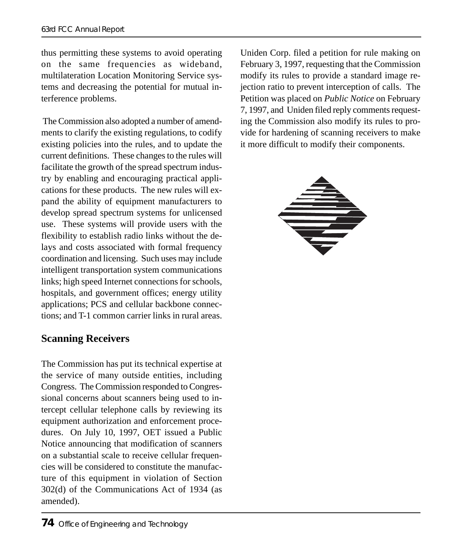thus permitting these systems to avoid operating on the same frequencies as wideband, multilateration Location Monitoring Service systems and decreasing the potential for mutual interference problems.

 The Commission also adopted a number of amendments to clarify the existing regulations, to codify existing policies into the rules, and to update the current definitions. These changes to the rules will facilitate the growth of the spread spectrum industry by enabling and encouraging practical applications for these products. The new rules will expand the ability of equipment manufacturers to develop spread spectrum systems for unlicensed use. These systems will provide users with the flexibility to establish radio links without the delays and costs associated with formal frequency coordination and licensing. Such uses may include intelligent transportation system communications links; high speed Internet connections for schools, hospitals, and government offices; energy utility applications; PCS and cellular backbone connections; and T-1 common carrier links in rural areas.

#### **Scanning Receivers**

The Commission has put its technical expertise at the service of many outside entities, including Congress. The Commission responded to Congressional concerns about scanners being used to intercept cellular telephone calls by reviewing its equipment authorization and enforcement procedures. On July 10, 1997, OET issued a Public Notice announcing that modification of scanners on a substantial scale to receive cellular frequencies will be considered to constitute the manufacture of this equipment in violation of Section 302(d) of the Communications Act of 1934 (as amended).

Uniden Corp. filed a petition for rule making on February 3, 1997, requesting that the Commission modify its rules to provide a standard image rejection ratio to prevent interception of calls. The Petition was placed on *Public Notice* on February 7, 1997, and Uniden filed reply comments requesting the Commission also modify its rules to provide for hardening of scanning receivers to make it more difficult to modify their components.

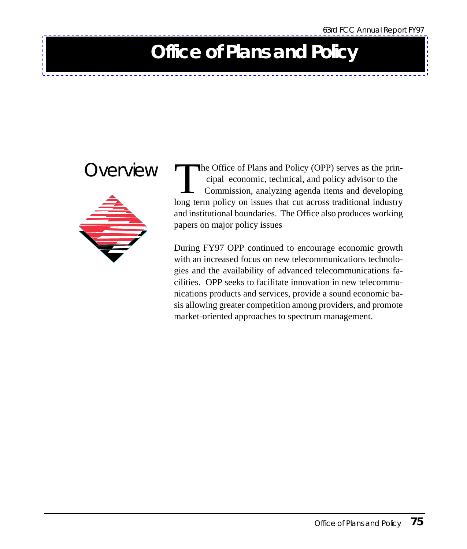## **Office of Plans and Policy**



OVERVIEW The Office of Plans and Policy (OPP) serves as the prin cipal economic, technical, and policy advisor to the Commission, analyzing agenda items and developing long term policy on issues that cut across traditional industry and institutional boundaries. The Office also produces working papers on major policy issues

> During FY97 OPP continued to encourage economic growth with an increased focus on new telecommunications technologies and the availability of advanced telecommunications facilities. OPP seeks to facilitate innovation in new telecommunications products and services, provide a sound economic basis allowing greater competition among providers, and promote market-oriented approaches to spectrum management.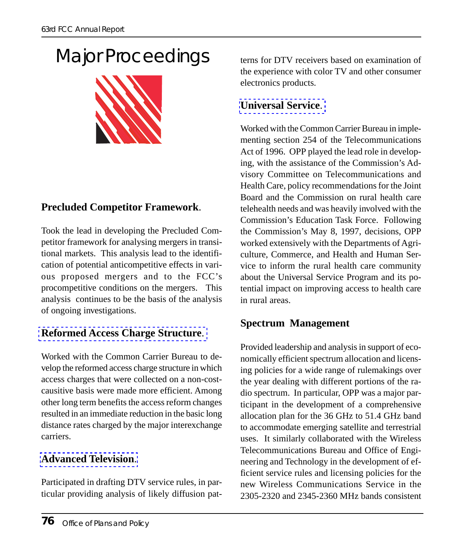# Major Proceedings



#### **Precluded Competitor Framework**.

Took the lead in developing the Precluded Competitor framework for analysing mergers in transitional markets. This analysis lead to the identification of potential anticompetitive effects in vari[ous proposed mergers and to the FC](http://www.fcc.gov/isp.html)C's procompetitive conditions on the mergers. This analysis continues to be the basis of the analysis of ongoing investigations.

#### **Reformed Access Charge Structure**.

Worked with the Common Carrier Bureau to develop the reformed access charge structure in which access charges that were collected on a non-costcausitive basis were made more efficient. Among [other long term benefits the](http://www.fcc.gov/dtv/) access reform changes resulted in an immediate reduction in the basic long distance rates charged by the major interexchange carriers.

#### **Advanced Television**.

Participated in drafting DTV service rules, in particular providing analysis of likely diffusion pat[terns for DTV receivers](http://www.fcc.gov/ccb/universal_service/) based on examination of the experience with color TV and other consumer electronics products.

#### **Universal Service**.

Worked with the Common Carrier Bureau in implementing section 254 of the Telecommunications Act of 1996. OPP played the lead role in developing, with the assistance of the Commission's Advisory Committee on Telecommunications and Health Care, policy recommendations for the Joint Board and the Commission on rural health care telehealth needs and was heavily involved with the Commission's Education Task Force. Following the Commission's May 8, 1997, decisions, OPP worked extensively with the Departments of Agriculture, Commerce, and Health and Human Service to inform the rural health care community about the Universal Service Program and its potential impact on improving access to health care in rural areas.

#### **Spectrum Management**

Provided leadership and analysis in support of economically efficient spectrum allocation and licensing policies for a wide range of rulemakings over the year dealing with different portions of the radio spectrum. In particular, OPP was a major participant in the development of a comprehensive allocation plan for the 36 GHz to 51.4 GHz band to accommodate emerging satellite and terrestrial uses. It similarly collaborated with the Wireless Telecommunications Bureau and Office of Engineering and Technology in the development of efficient service rules and licensing policies for the new Wireless Communications Service in the 2305-2320 and 2345-2360 MHz bands consistent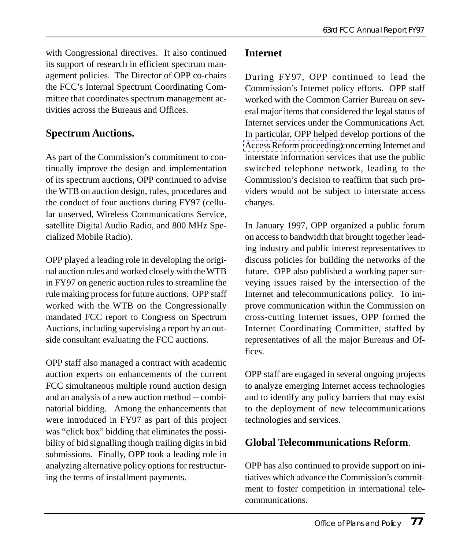with Congressional directives. It also continued its support of research in efficient spectrum management policies. The Director of OPP co-chairs the FCC's Internal Spectrum Coordinating Committee that coordinates spectrum management activities across the Bureaus and Offices.

#### **Spectrum Auctions.**

As part of the Commission's commitment to continually improve the design and implementation of its spectrum auctions, OPP continued to advise the WTB on auction design, rules, procedures and the conduct of four auctions during FY97 (cellular unserved, Wireless Communications Service, satellite Digital Audio Radio, and 800 MHz Specialized Mobile Radio).

OPP played a leading role in developing the original auction rules and worked closely with the WTB in FY97 on generic auction rules to streamline the rule making process for future auctions. OPP staff worked with the WTB on the Congressionally mandated FCC report to Congress on Spectrum Auctions, including supervising a report by an outside consultant evaluating the FCC auctions.

OPP staff also managed a contract with academic auction experts on enhancements of the current FCC simultaneous multiple round auction design and an analysis of a new auction method -- combinatorial bidding. Among the enhancements that were introduced in FY97 as part of this project was "click box" bidding that eliminates the possibility of bid signalling though trailing digits in bid submissions. Finally, OPP took a leading role in analyzing alternative policy options for restructuring the terms of installment payments.

#### **Internet**

During FY97, OPP continued to lead the [Commission's Internet pol](http://www.fcc.gov/isp.html)icy efforts. OPP staff worked with the Common Carrier Bureau on several major items that considered the legal status of Internet services under the Communications Act. In particular, OPP helped develop portions of the Access Reform proceeding concerning Internet and interstate information services that use the public switched telephone network, leading to the Commission's decision to reaffirm that such providers would not be subject to interstate access charges.

In January 1997, OPP organized a public forum on access to bandwidth that brought together leading industry and public interest representatives to discuss policies for building the networks of the future. OPP also published a working paper surveying issues raised by the intersection of the Internet and telecommunications policy. To improve communication within the Commission on cross-cutting Internet issues, OPP formed the Internet Coordinating Committee, staffed by representatives of all the major Bureaus and Offices.

OPP staff are engaged in several ongoing projects to analyze emerging Internet access technologies and to identify any policy barriers that may exist to the deployment of new telecommunications technologies and services.

#### **Global Telecommunications Reform**.

OPP has also continued to provide support on initiatives which advance the Commission's commitment to foster competition in international telecommunications.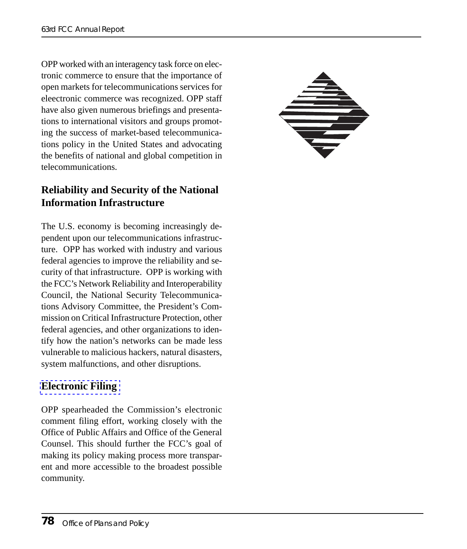OPP worked with an interagency task force on electronic commerce to ensure that the importance of open markets for telecommunications services for eleectronic commerce was recognized. OPP staff have also given numerous briefings and presentations to international visitors and groups promoting the success of market-based telecommunications policy in the United States and advocating the benefits of national and global competition in telecommunications.



#### **Reliability and Security of the National Information Infrastructure**

The U.S. economy is becoming increasingly dependent upon our telecommunications infrastructure. OPP has worked with industry and various federal agencies to improve the reliability and security of that infrastructure. OPP is working with the FCC's Network Reliability and Interoperability Council, the National Security Telecommunications Advisory Committee, the President's Commission on Critical Infrastructure Protection, other [federal agencies, and](http://www.fcc.gov/e-file/ecfs.html) other organizations to identify how the nation's networks can be made less vulnerable to malicious hackers, natural disasters, system malfunctions, and other disruptions.

#### **Electronic Filing**

OPP spearheaded the Commission's electronic comment filing effort, working closely with the Office of Public Affairs and Office of the General Counsel. This should further the FCC's goal of making its policy making process more transparent and more accessible to the broadest possible community.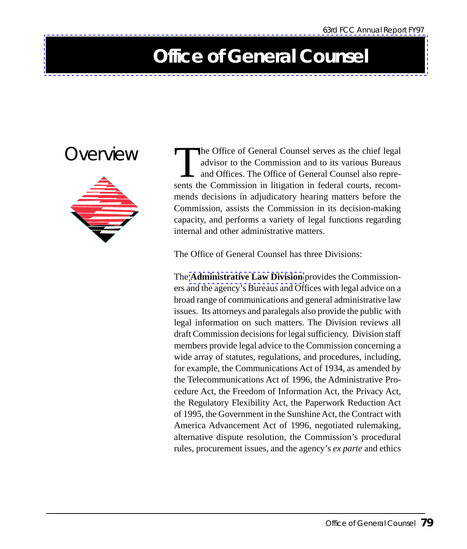### **Office of General Counsel**

### Overview



The Office of General Counsel serves as the chief legal<br>advisor to the Commission and to its various Bureaus<br>and Offices. The Office of General Counsel also repre-<br>sents the Commission in litigation in federal courts, reco advisor to the Commission and to its various Bureaus and Offices. The Office of General Counsel also represents the Commission in litigation in federal courts, recommends decisions in adjudicatory hearing matters before the Commission, assists the Commission in its decision-making cap[acity, and performs a variety of](http://www.fcc.gov/ogc/admain.html) legal functions regarding internal and other administrative matters.

The Office of General Counsel has three Divisions:

The **Administrative Law Division** provides the Commissioners and the agency's Bureaus and Offices with legal advice on a broad range of communications and general administrative law issues. Its attorneys and paralegals also provide the public with legal information on such matters. The Division reviews all draft Commission decisions for legal sufficiency. Division staff members provide legal advice to the Commission concerning a wide array of statutes, regulations, and procedures, including, for example, the Communications Act of 1934, as amended by the Telecommunications Act of 1996, the Administrative Procedure Act, the Freedom of Information Act, the Privacy Act, the Regulatory Flexibility Act, the Paperwork Reduction Act of 1995, the Government in the Sunshine Act, the Contract with America Advancement Act of 1996, negotiated rulemaking, alternative dispute resolution, the Commission's procedural rules, procurement issues, and the agency's *ex parte* and ethics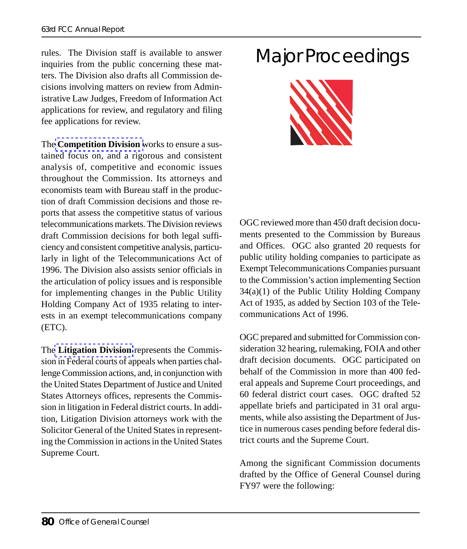rules. The Division staff is available to answer inquiries from the public concerning these matters. The Division also drafts all Commission decisi[ons involving matters on](http://www.fcc.gov/ogc/compmain.html) review from Administrative Law Judges, Freedom of Information Act applications for review, and regulatory and filing fee applications for review.

The **Competition Division** works to ensure a sustained focus on, and a rigorous and consistent analysis of, competitive and economic issues throughout the Commission. Its attorneys and economists team with Bureau staff in the production of draft Commission decisions and those reports that assess the competitive status of various telecommunications markets. The Division reviews draft Commission decisions for both legal sufficiency and consistent competitive analysis, particularly in light of the Telecommunications Act of 1996. The Division also assists senior officials in the articulation of policy issues and is responsible for [implementing chang](http://www.fcc.gov/ogc/litmain.html)es in the Public Utility Holding Company Act of 1935 relating to interests in an exempt telecommunications company (ETC).

The **Litigation Division** represents the Commission in Federal courts of appeals when parties challenge Commission actions, and, in conjunction with the United States Department of Justice and United States Attorneys offices, represents the Commission in litigation in Federal district courts. In addition, Litigation Division attorneys work with the Solicitor General of the United States in representing the Commission in actions in the United States Supreme Court.

### Major Proceedings



OGC reviewed more than 450 draft decision documents presented to the Commission by Bureaus and Offices. OGC also granted 20 requests for public utility holding companies to participate as Exempt Telecommunications Companies pursuant to the Commission's action implementing Section 34(a)(1) of the Public Utility Holding Company Act of 1935, as added by Section 103 of the Telecommunications Act of 1996.

OGC prepared and submitted for Commission consideration 32 hearing, rulemaking, FOIA and other draft decision documents. OGC participated on behalf of the Commission in more than 400 federal appeals and Supreme Court proceedings, and 60 federal district court cases. OGC drafted 52 appellate briefs and participated in 31 oral arguments, while also assisting the Department of Justice in numerous cases pending before federal district courts and the Supreme Court.

Among the significant Commission documents drafted by the Office of General Counsel during FY97 were the following: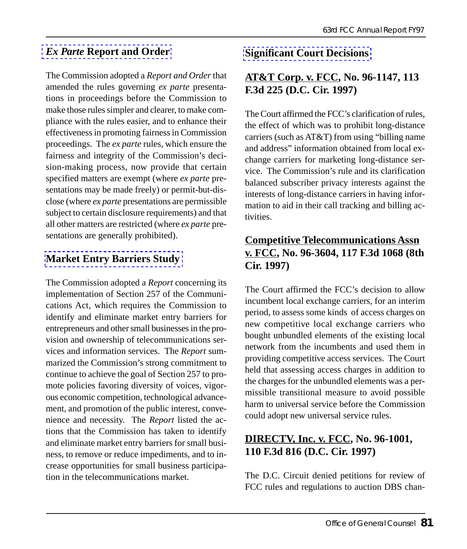#### *Ex Parte* **Report and Order**

The Commission adopted a *Report and Order* that amended the rules governing *ex parte* presentations in proceedings before the Commission to make those rules simpler and clearer, to make compliance with the rules easier, and to enhance their effectiveness in promoting fairness in Commission proceedings. The *ex parte* rules, which ensure the fairness and integrity of the Commission's decision-making process, now provide that certain specified matters are exempt (where *ex parte* presentations may be made freely) or permit-but-disclose (where *ex parte* [presentations are](http://www.fcc.gov/Bureaus/OGC/Orders/1997/fcc97164.wp) permissible subject to certain disclosure requirements) and that all other matters are restricted (where *ex parte* presentations are generally prohibited).

#### **Market Entry Barriers Study**

The Commission adopted a *Report* concerning its implementation of Section 257 of the Communications Act, which requires the Commission to identify and eliminate market entry barriers for entrepreneurs and other small businesses in the provision and ownership of telecommunications services and information services. The *Report* summarized the Commission's strong commitment to continue to achieve the goal of Section 257 to promote policies favoring diversity of voices, vigorous economic competition, technological advancement, and promotion of the public interest, convenience and necessity. The *Report* listed the actions that the Commission has taken to identify and eliminate market entry barriers for small business, to remove or reduce impediments, and to increase opportunities for small business participation in the telecommunications market.

#### **Significant Court Decisions**

#### **AT&T Corp. v. FCC, No. 96-1147, 113 F.3d 225 (D.C. Cir. 1997)**

The Court affirmed the FCC's clarification of rules, the effect of which was to prohibit long-distance carriers (such as AT&T) from using "billing name and address" information obtained from local exchange carriers for marketing long-distance service. The Commission's rule and its clarification balanced subscriber privacy interests against the interests of long-distance carriers in having information to aid in their call tracking and billing activities.

#### **Competitive Telecommunications Assn v. FCC, No. 96-3604, 117 F.3d 1068 (8th Cir. 1997)**

The Court affirmed the FCC's decision to allow incumbent local exchange carriers, for an interim period, to assess some kinds of access charges on new competitive local exchange carriers who bought unbundled elements of the existing local network from the incumbents and used them in providing competitive access services. The Court held that assessing access charges in addition to the charges for the unbundled elements was a permissible transitional measure to avoid possible harm to universal service before the Commission could adopt new universal service rules.

#### **DIRECTV, Inc. v. FCC, No. 96-1001, 110 F.3d 816 (D.C. Cir. 1997)**

The D.C. Circuit denied petitions for review of FCC rules and regulations to auction DBS chan-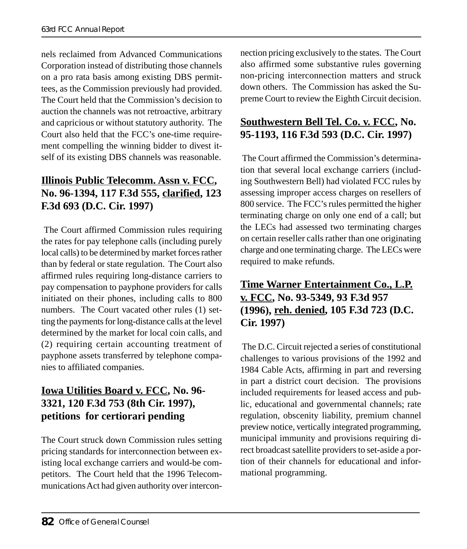nels reclaimed from Advanced Communications Corporation instead of distributing those channels on a pro rata basis among existing DBS permittees, as the Commission previously had provided. The Court held that the Commission's decision to auction the channels was not retroactive, arbitrary and capricious or without statutory authority. The Court also held that the FCC's one-time requirement compelling the winning bidder to divest itself of its existing DBS channels was reasonable.

#### **Illinois Public Telecomm. Assn v. FCC, No. 96-1394, 117 F.3d 555, clarified, 123 F.3d 693 (D.C. Cir. 1997)**

 The Court affirmed Commission rules requiring the rates for pay telephone calls (including purely local calls) to be determined by market forces rather than by federal or state regulation. The Court also affirmed rules requiring long-distance carriers to pay compensation to payphone providers for calls initiated on their phones, including calls to 800 numbers. The Court vacated other rules (1) setting the payments for long-distance calls at the level determined by the market for local coin calls, and (2) requiring certain accounting treatment of payphone assets transferred by telephone companies to affiliated companies.

### **Iowa Utilities Board v. FCC, No. 96- 3321, 120 F.3d 753 (8th Cir. 1997), petitions for certiorari pending**

The Court struck down Commission rules setting pricing standards for interconnection between existing local exchange carriers and would-be competitors. The Court held that the 1996 Telecommunications Act had given authority over intercon-

nection pricing exclusively to the states. The Court also affirmed some substantive rules governing non-pricing interconnection matters and struck down others. The Commission has asked the Supreme Court to review the Eighth Circuit decision.

### **Southwestern Bell Tel. Co. v. FCC, No. 95-1193, 116 F.3d 593 (D.C. Cir. 1997)**

 The Court affirmed the Commission's determination that several local exchange carriers (including Southwestern Bell) had violated FCC rules by assessing improper access charges on resellers of 800 service. The FCC's rules permitted the higher terminating charge on only one end of a call; but the LECs had assessed two terminating charges on certain reseller calls rather than one originating charge and one terminating charge. The LECs were required to make refunds.

#### **Time Warner Entertainment Co., L.P. v. FCC, No. 93-5349, 93 F.3d 957 (1996), reh. denied, 105 F.3d 723 (D.C. Cir. 1997)**

 The D.C. Circuit rejected a series of constitutional challenges to various provisions of the 1992 and 1984 Cable Acts, affirming in part and reversing in part a district court decision. The provisions included requirements for leased access and public, educational and governmental channels; rate regulation, obscenity liability, premium channel preview notice, vertically integrated programming, municipal immunity and provisions requiring direct broadcast satellite providers to set-aside a portion of their channels for educational and informational programming.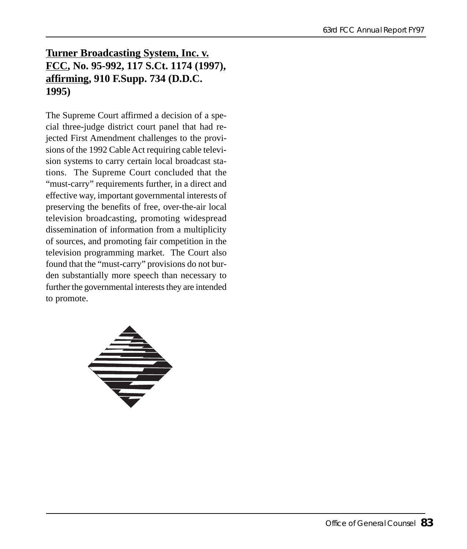#### **Turner Broadcasting System, Inc. v. FCC, No. 95-992, 117 S.Ct. 1174 (1997), affirming, 910 F.Supp. 734 (D.D.C. 1995)**

The Supreme Court affirmed a decision of a special three-judge district court panel that had rejected First Amendment challenges to the provisions of the 1992 Cable Act requiring cable television systems to carry certain local broadcast stations. The Supreme Court concluded that the "must-carry" requirements further, in a direct and effective way, important governmental interests of preserving the benefits of free, over-the-air local television broadcasting, promoting widespread dissemination of information from a multiplicity of sources, and promoting fair competition in the television programming market. The Court also found that the "must-carry" provisions do not burden substantially more speech than necessary to further the governmental interests they are intended to promote.

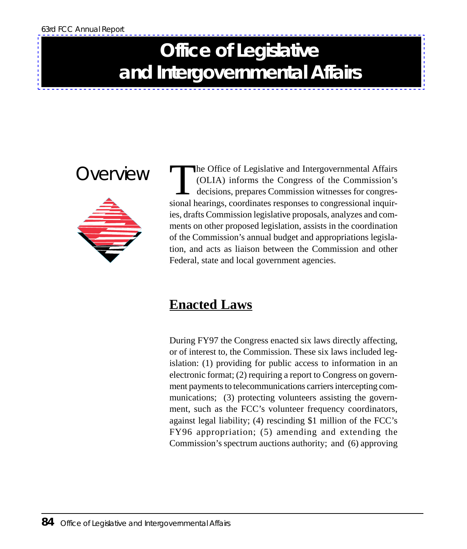# **Office of Legislative and Intergovernmental Affairs**



The Office of Legislative and Intergovernmental Affairs<br>
(OLIA) informs the Congress of the Commission's<br>
decisions, prepares Commission witnesses for congres-<br>
sional hearings coordinates responses to congressional inquir (OLIA) informs the Congress of the Commission's decisions, prepares Commission witnesses for congressional hearings, coordinates responses to congressional inquiries, drafts Commission legislative proposals, analyzes and comments on other proposed legislation, assists in the coordination of the Commission's annual budget and appropriations legislation, and acts as liaison between the Commission and other Federal, state and local government agencies.

### **Enacted Laws**

During FY97 the Congress enacted six laws directly affecting, or of interest to, the Commission. These six laws included legislation: (1) providing for public access to information in an electronic format; (2) requiring a report to Congress on government payments to telecommunications carriers intercepting communications; (3) protecting volunteers assisting the government, such as the FCC's volunteer frequency coordinators, against legal liability; (4) rescinding \$1 million of the FCC's FY96 appropriation; (5) amending and extending the Commission's spectrum auctions authority; and (6) approving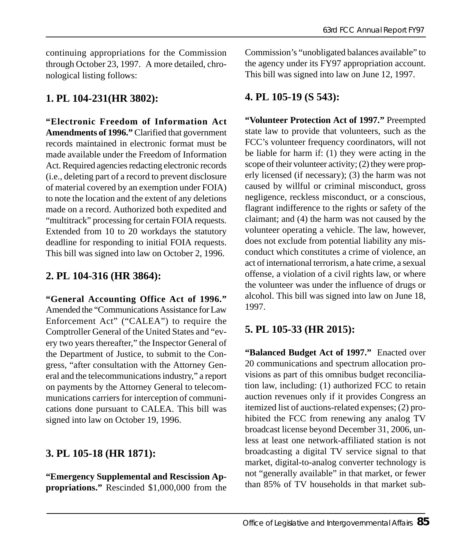continuing appropriations for the Commission through October 23, 1997. A more detailed, chronological listing follows:

#### **1. PL 104-231(HR 3802):**

**"Electronic Freedom of Information Act Amendments of 1996."** Clarified that government records maintained in electronic format must be made available under the Freedom of Information Act. Required agencies redacting electronic records (i.e., deleting part of a record to prevent disclosure of material covered by an exemption under FOIA) to note the location and the extent of any deletions made on a record. Authorized both expedited and "multitrack" processing for certain FOIA requests. Extended from 10 to 20 workdays the statutory deadline for responding to initial FOIA requests. This bill was signed into law on October 2, 1996.

#### **2. PL 104-316 (HR 3864):**

**"General Accounting Office Act of 1996."** Amended the "Communications Assistance for Law Enforcement Act" ("CALEA") to require the Comptroller General of the United States and "every two years thereafter," the Inspector General of the Department of Justice, to submit to the Congress, "after consultation with the Attorney General and the telecommunications industry," a report on payments by the Attorney General to telecommunications carriers for interception of communications done pursuant to CALEA. This bill was signed into law on October 19, 1996.

#### **3. PL 105-18 (HR 1871):**

**"Emergency Supplemental and Rescission Appropriations."** Rescinded \$1,000,000 from the Commission's "unobligated balances available" to the agency under its FY97 appropriation account. This bill was signed into law on June 12, 1997.

#### **4. PL 105-19 (S 543):**

**"Volunteer Protection Act of 1997."** Preempted state law to provide that volunteers, such as the FCC's volunteer frequency coordinators, will not be liable for harm if: (1) they were acting in the scope of their volunteer activity; (2) they were properly licensed (if necessary); (3) the harm was not caused by willful or criminal misconduct, gross negligence, reckless misconduct, or a conscious, flagrant indifference to the rights or safety of the claimant; and (4) the harm was not caused by the volunteer operating a vehicle. The law, however, does not exclude from potential liability any misconduct which constitutes a crime of violence, an act of international terrorism, a hate crime, a sexual offense, a violation of a civil rights law, or where the volunteer was under the influence of drugs or alcohol. This bill was signed into law on June 18, 1997.

#### **5. PL 105-33 (HR 2015):**

**"Balanced Budget Act of 1997."** Enacted over 20 communications and spectrum allocation provisions as part of this omnibus budget reconciliation law, including: (1) authorized FCC to retain auction revenues only if it provides Congress an itemized list of auctions-related expenses; (2) prohibited the FCC from renewing any analog TV broadcast license beyond December 31, 2006, unless at least one network-affiliated station is not broadcasting a digital TV service signal to that market, digital-to-analog converter technology is not "generally available" in that market, or fewer than 85% of TV households in that market sub-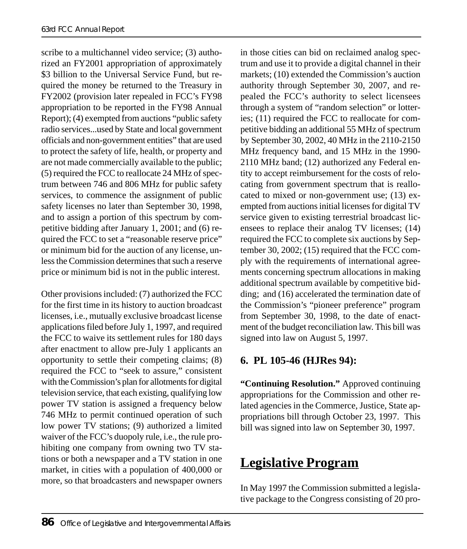scribe to a multichannel video service; (3) authorized an FY2001 appropriation of approximately \$3 billion to the Universal Service Fund, but required the money be returned to the Treasury in FY2002 (provision later repealed in FCC's FY98 appropriation to be reported in the FY98 Annual Report); (4) exempted from auctions "public safety radio services...used by State and local government officials and non-government entities" that are used to protect the safety of life, health, or property and are not made commercially available to the public; (5) required the FCC to reallocate 24 MHz of spectrum between 746 and 806 MHz for public safety services, to commence the assignment of public safety licenses no later than September 30, 1998, and to assign a portion of this spectrum by competitive bidding after January 1, 2001; and (6) required the FCC to set a "reasonable reserve price" or minimum bid for the auction of any license, unless the Commission determines that such a reserve price or minimum bid is not in the public interest.

Other provisions included: (7) authorized the FCC for the first time in its history to auction broadcast licenses, i.e., mutually exclusive broadcast license applications filed before July 1, 1997, and required the FCC to waive its settlement rules for 180 days after enactment to allow pre-July 1 applicants an opportunity to settle their competing claims; (8) required the FCC to "seek to assure," consistent with the Commission's plan for allotments for digital television service, that each existing, qualifying low power TV station is assigned a frequency below 746 MHz to permit continued operation of such low power TV stations; (9) authorized a limited waiver of the FCC's duopoly rule, i.e., the rule prohibiting one company from owning two TV stations or both a newspaper and a TV station in one market, in cities with a population of 400,000 or more, so that broadcasters and newspaper owners

in those cities can bid on reclaimed analog spectrum and use it to provide a digital channel in their markets; (10) extended the Commission's auction authority through September 30, 2007, and repealed the FCC's authority to select licensees through a system of "random selection" or lotteries; (11) required the FCC to reallocate for competitive bidding an additional 55 MHz of spectrum by September 30, 2002, 40 MHz in the 2110-2150 MHz frequency band, and 15 MHz in the 1990- 2110 MHz band; (12) authorized any Federal entity to accept reimbursement for the costs of relocating from government spectrum that is reallocated to mixed or non-government use; (13) exempted from auctions initial licenses for digital TV service given to existing terrestrial broadcast licensees to replace their analog TV licenses; (14) required the FCC to complete six auctions by September 30, 2002; (15) required that the FCC comply with the requirements of international agreements concerning spectrum allocations in making additional spectrum available by competitive bidding; and (16) accelerated the termination date of the Commission's "pioneer preference" program from September 30, 1998, to the date of enactment of the budget reconciliation law. This bill was signed into law on August 5, 1997.

#### **6. PL 105-46 (HJRes 94):**

**"Continuing Resolution."** Approved continuing appropriations for the Commission and other related agencies in the Commerce, Justice, State appropriations bill through October 23, 1997. This bill was signed into law on September 30, 1997.

### **Legislative Program**

In May 1997 the Commission submitted a legislative package to the Congress consisting of 20 pro